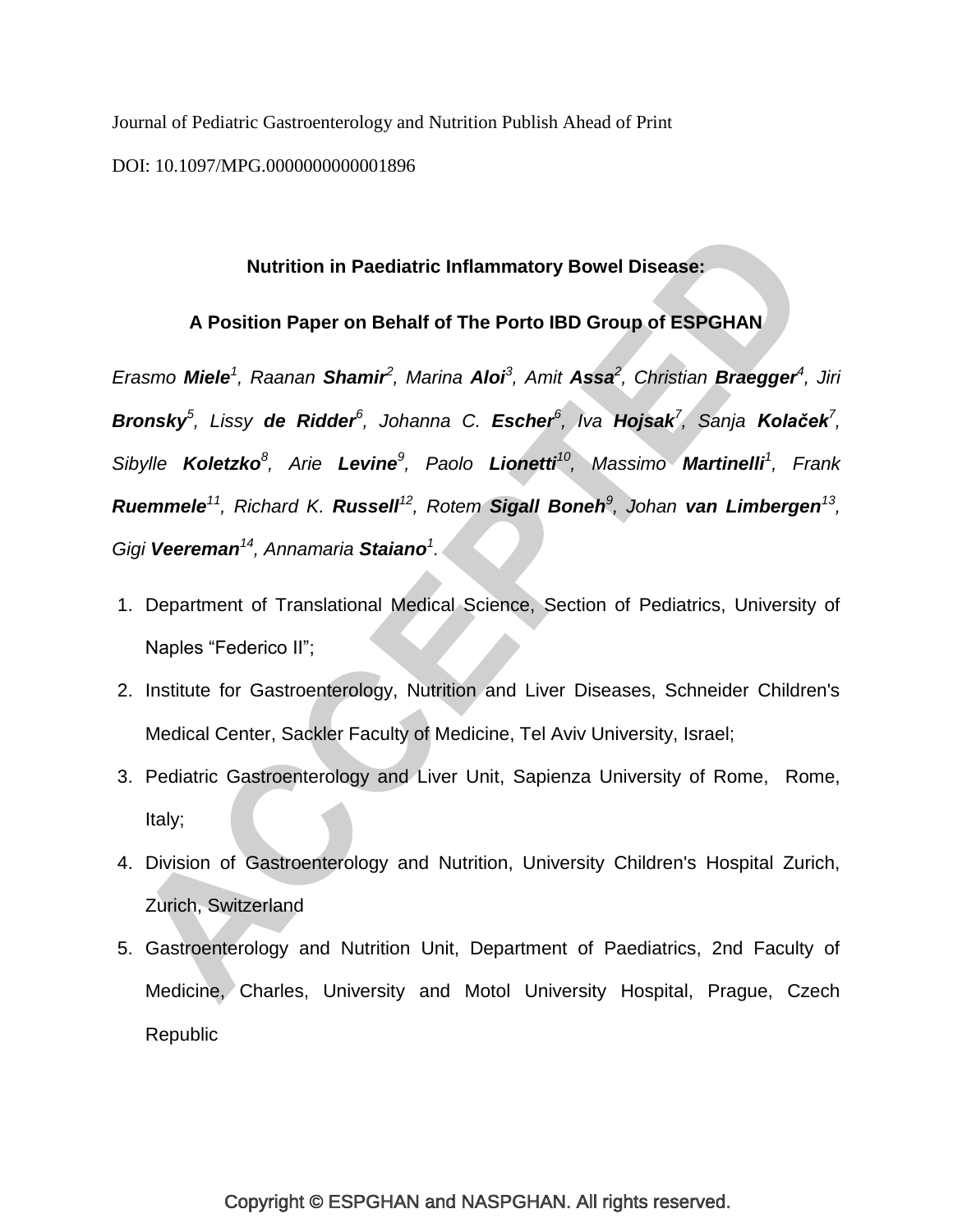Journal of Pediatric Gastroenterology and Nutrition Publish Ahead of Print

DOI: 10.1097/MPG.0000000000001896

# **Nutrition in Paediatric Inflammatory Bowel Disease:**

# **A Position Paper on Behalf of The Porto IBD Group of ESPGHAN**

*Erasmo Miele<sup>1</sup> , Raanan Shamir<sup>2</sup> , Marina Aloi<sup>3</sup> , Amit Assa<sup>2</sup> , Christian Braegger<sup>4</sup> , Jiri Bronsky<sup>5</sup> , Lissy de Ridder<sup>6</sup> , Johanna C. Escher<sup>6</sup> , Iva Hojsak<sup>7</sup> , Sanja Kolaček<sup>7</sup> , Sibylle Koletzko<sup>8</sup> , Arie Levine<sup>9</sup> , Paolo Lionetti<sup>10</sup> , Massimo Martinelli<sup>1</sup> , Frank Ruemmele<sup>11</sup>, Richard K. Russell<sup>12</sup>, Rotem Sigall Boneh<sup>9</sup>, Johan van Limbergen<sup>13</sup>, Gigi Veereman<sup>14</sup> , Annamaria Staiano<sup>1</sup> .*

- 1. Department of Translational Medical Science, Section of Pediatrics, University of Naples "Federico II";
- 2. Institute for Gastroenterology, Nutrition and Liver Diseases, Schneider Children's Medical Center, Sackler Faculty of Medicine, Tel Aviv University, Israel;
- 3. Pediatric Gastroenterology and Liver Unit, Sapienza University of Rome, Rome, Italy;
- 4. Division of Gastroenterology and Nutrition, University Children's Hospital Zurich, Zurich, Switzerland
- 5. Gastroenterology and Nutrition Unit, Department of Paediatrics, 2nd Faculty of Medicine, Charles, University and Motol University Hospital, Prague, Czech Republic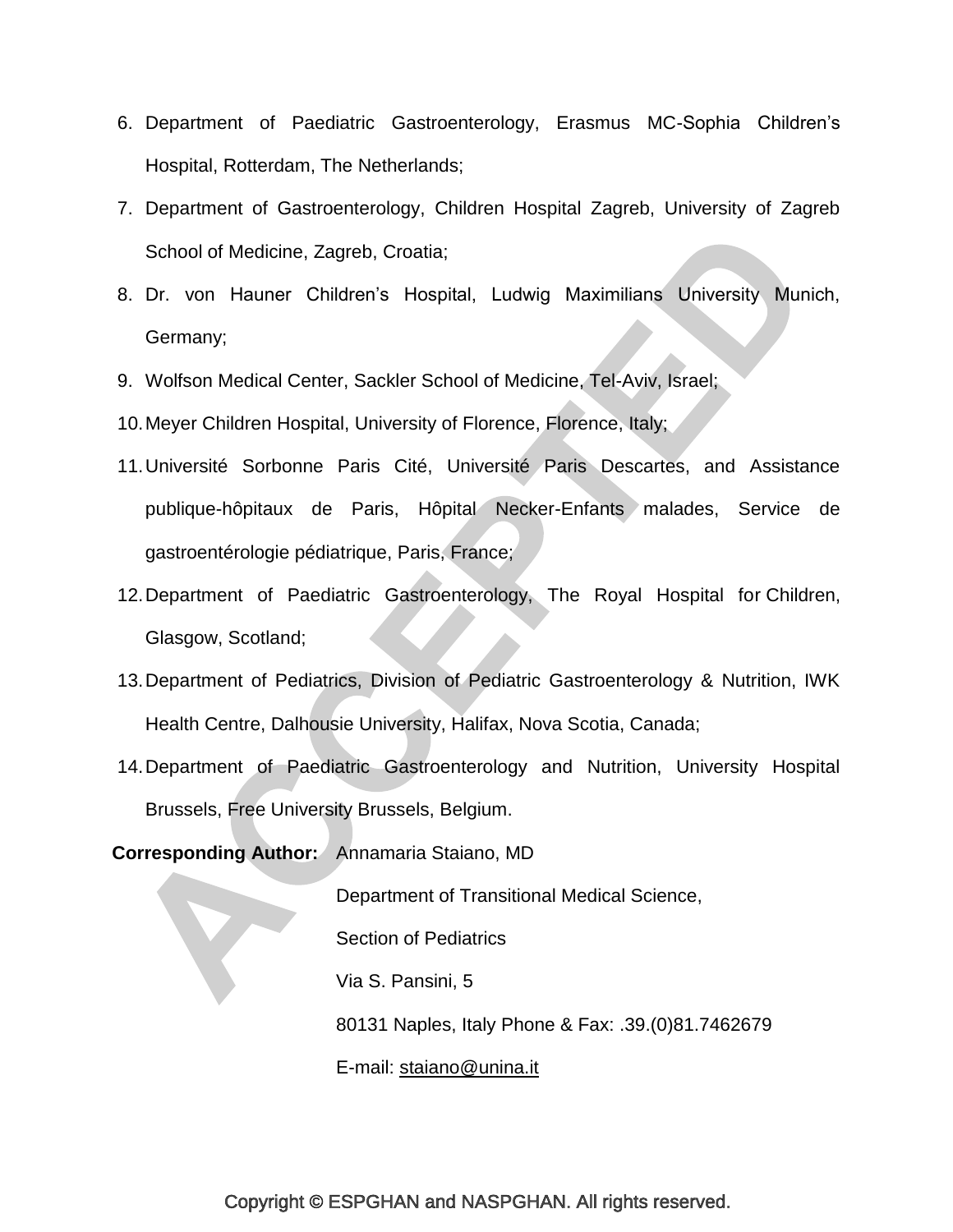- 6. Department of Paediatric Gastroenterology, Erasmus MC-Sophia Children's Hospital, Rotterdam, The Netherlands;
- 7. Department of Gastroenterology, Children Hospital Zagreb, University of Zagreb School of Medicine, Zagreb, Croatia;
- 8. Dr. von Hauner Children's Hospital, Ludwig Maximilians University Munich, Germany;
- 9. Wolfson Medical Center, Sackler School of Medicine, Tel-Aviv, Israel;
- 10.Meyer Children Hospital, University of Florence, Florence, Italy;
- 11.Université Sorbonne Paris Cité, Université Paris Descartes, and Assistance publique-hôpitaux de Paris, Hôpital Necker-Enfants malades, Service de gastroentérologie pédiatrique, Paris, France;
- 12.Department of Paediatric Gastroenterology, The Royal Hospital for Children, Glasgow, Scotland;
- 13.Department of Pediatrics, Division of Pediatric Gastroenterology & Nutrition, IWK Health Centre, Dalhousie University, Halifax, Nova Scotia, Canada;
- 14.Department of Paediatric Gastroenterology and Nutrition, University Hospital Brussels, Free University Brussels, Belgium.

**Corresponding Author:** Annamaria Staiano, MD

Department of Transitional Medical Science,

Section of Pediatrics

Via S. Pansini, 5

80131 Naples, Italy Phone & Fax: .39.(0)81.7462679

E-mail: [staiano@unina.it](mailto:staiano@unina.it)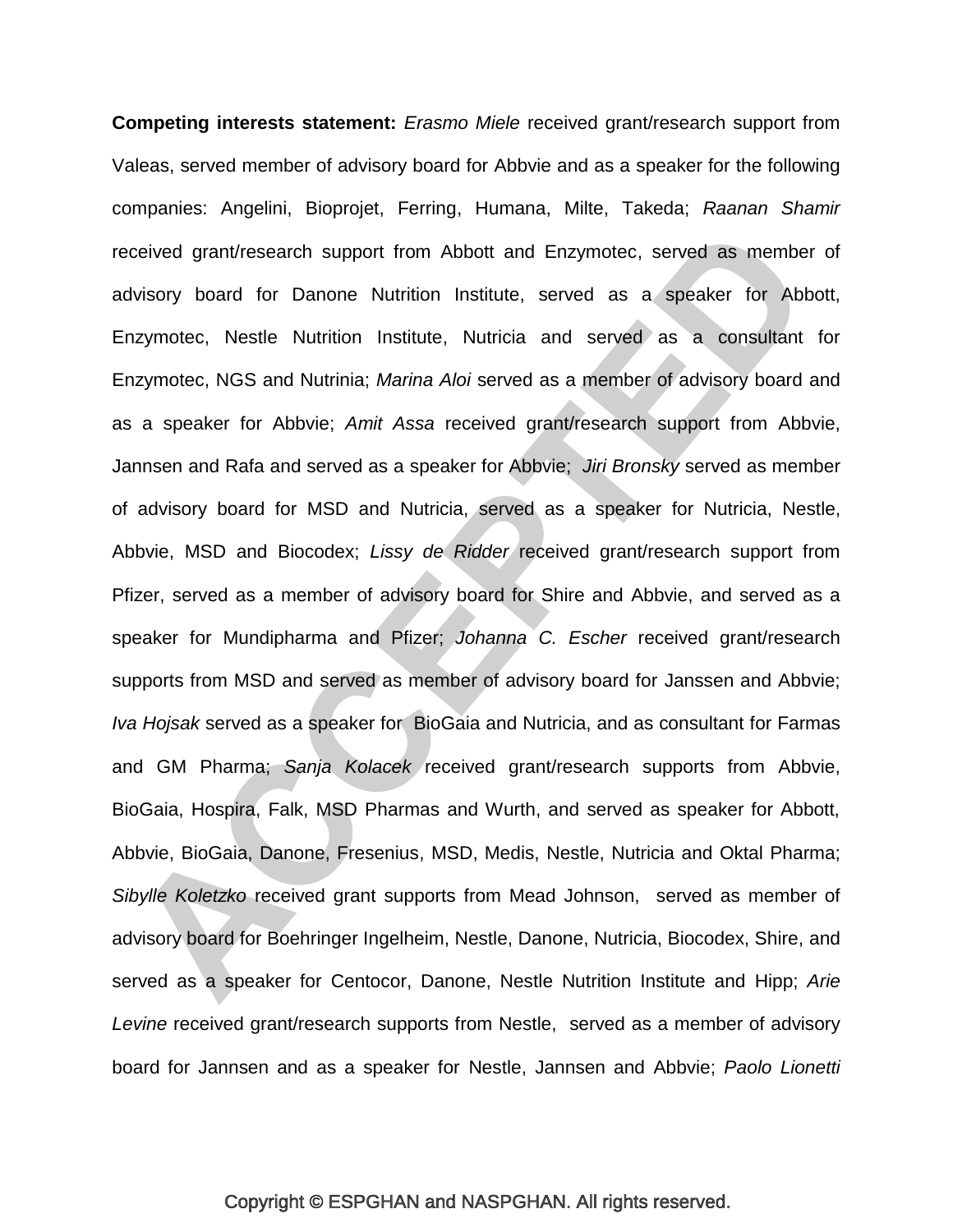**Competing interests statement:** *Erasmo Miele* received grant/research support from Valeas, served member of advisory board for Abbvie and as a speaker for the following companies: Angelini, Bioprojet, Ferring, Humana, Milte, Takeda; *Raanan Shamir* received grant/research support from Abbott and Enzymotec, served as member of advisory board for Danone Nutrition Institute, served as a speaker for Abbott, Enzymotec, Nestle Nutrition Institute, Nutricia and served as a consultant for Enzymotec, NGS and Nutrinia; *Marina Aloi* served as a member of advisory board and as a speaker for Abbvie; *Amit Assa* received grant/research support from Abbvie, Jannsen and Rafa and served as a speaker for Abbvie; *Jiri Bronsky* served as member of advisory board for MSD and Nutricia, served as a speaker for Nutricia, Nestle, Abbvie, MSD and Biocodex; *Lissy de Ridder* received grant/research support from Pfizer, served as a member of advisory board for Shire and Abbvie, and served as a speaker for Mundipharma and Pfizer; *Johanna C. Escher* received grant/research supports from MSD and served as member of advisory board for Janssen and Abbvie; *Iva Hojsak* served as a speaker for BioGaia and Nutricia, and as consultant for Farmas and GM Pharma; *Sanja Kolacek* received grant/research supports from Abbvie, BioGaia, Hospira, Falk, MSD Pharmas and Wurth, and served as speaker for Abbott, Abbvie, BioGaia, Danone, Fresenius, MSD, Medis, Nestle, Nutricia and Oktal Pharma; *Sibylle Koletzko* received grant supports from Mead Johnson, served as member of advisory board for Boehringer Ingelheim, Nestle, Danone, Nutricia, Biocodex, Shire, and served as a speaker for Centocor, Danone, Nestle Nutrition Institute and Hipp; *Arie Levine* received grant/research supports from Nestle, served as a member of advisory board for Jannsen and as a speaker for Nestle, Jannsen and Abbvie; *Paolo Lionetti*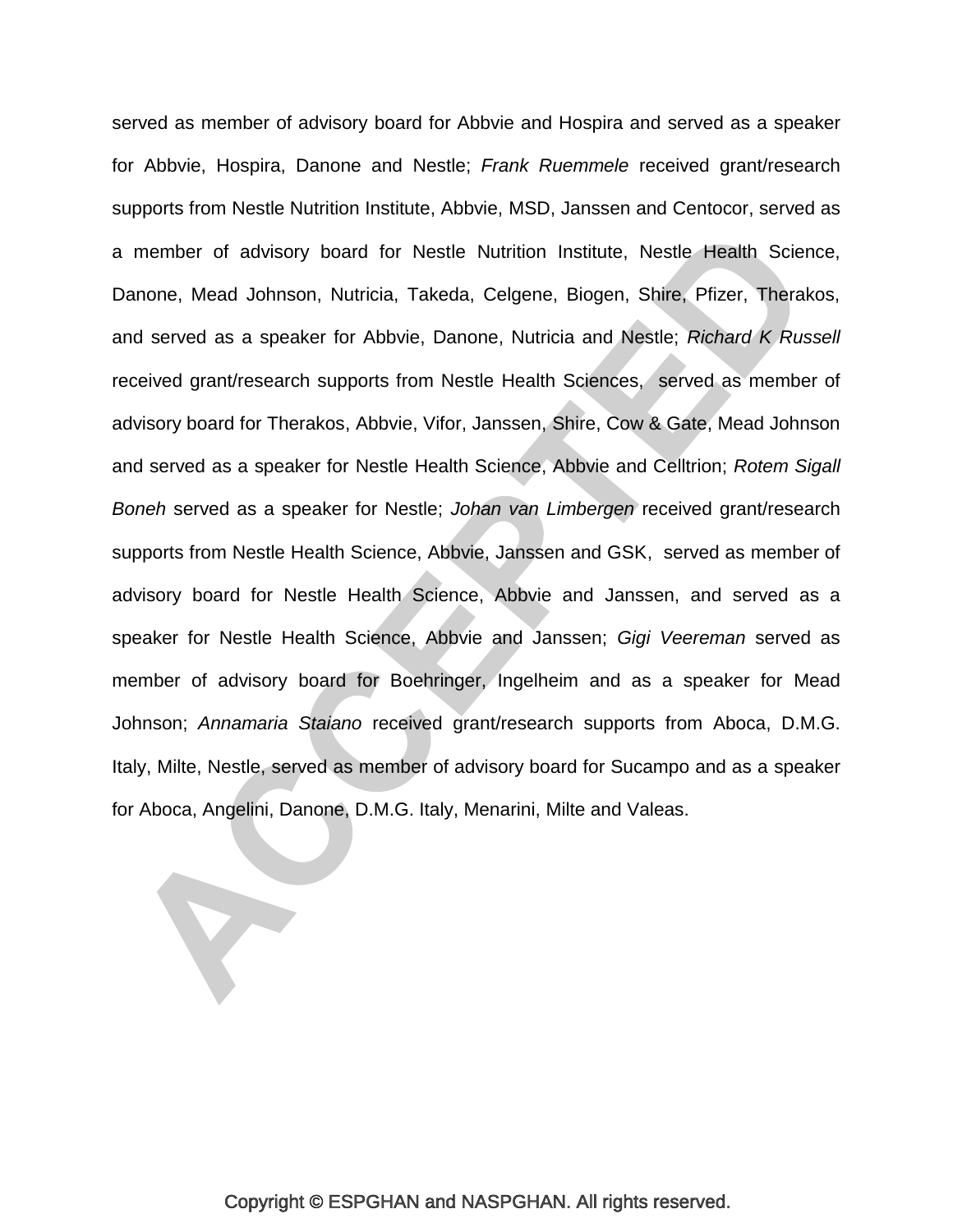served as member of advisory board for Abbvie and Hospira and served as a speaker for Abbvie, Hospira, Danone and Nestle; *Frank Ruemmele* received grant/research supports from Nestle Nutrition Institute, Abbvie, MSD, Janssen and Centocor, served as a member of advisory board for Nestle Nutrition Institute, Nestle Health Science, Danone, Mead Johnson, Nutricia, Takeda, Celgene, Biogen, Shire, Pfizer, Therakos, and served as a speaker for Abbvie, Danone, Nutricia and Nestle; *Richard K Russell* received grant/research supports from Nestle Health Sciences, served as member of advisory board for Therakos, Abbvie, Vifor, Janssen, Shire, Cow & Gate, Mead Johnson and served as a speaker for Nestle Health Science, Abbvie and Celltrion; *Rotem Sigall Boneh* served as a speaker for Nestle; *Johan van Limbergen* received grant/research supports from Nestle Health Science, Abbvie, Janssen and GSK, served as member of advisory board for Nestle Health Science, Abbvie and Janssen, and served as a speaker for Nestle Health Science, Abbvie and Janssen; *Gigi Veereman* served as member of advisory board for Boehringer, Ingelheim and as a speaker for Mead Johnson; *Annamaria Staiano* received grant/research supports from Aboca, D.M.G. Italy, Milte, Nestle, served as member of advisory board for Sucampo and as a speaker for Aboca, Angelini, Danone, D.M.G. Italy, Menarini, Milte and Valeas.

Y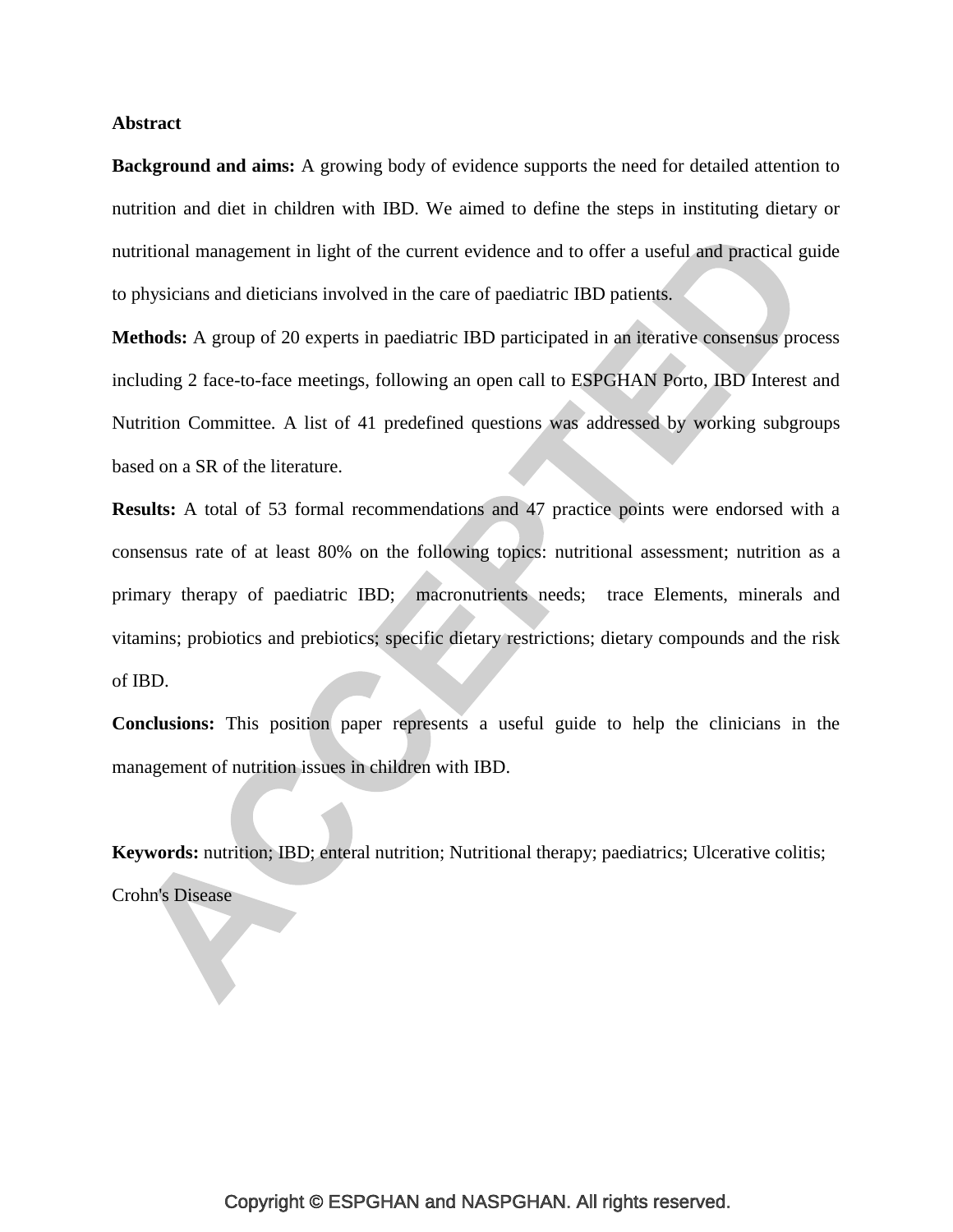#### **Abstract**

**Background and aims:** A growing body of evidence supports the need for detailed attention to nutrition and diet in children with IBD. We aimed to define the steps in instituting dietary or nutritional management in light of the current evidence and to offer a useful and practical guide to physicians and dieticians involved in the care of paediatric IBD patients.

**Methods:** A group of 20 experts in paediatric IBD participated in an iterative consensus process including 2 face-to-face meetings, following an open call to ESPGHAN Porto, IBD Interest and Nutrition Committee. A list of 41 predefined questions was addressed by working subgroups based on a SR of the literature.

**Results:** A total of 53 formal recommendations and 47 practice points were endorsed with a consensus rate of at least 80% on the following topics: nutritional assessment; nutrition as a primary therapy of paediatric IBD; macronutrients needs; trace Elements, minerals and vitamins; probiotics and prebiotics; specific dietary restrictions; dietary compounds and the risk of IBD.

**Conclusions:** This position paper represents a useful guide to help the clinicians in the management of nutrition issues in children with IBD.

**Keywords:** nutrition; IBD; enteral nutrition; Nutritional therapy; paediatrics; Ulcerative colitis; Crohn's Disease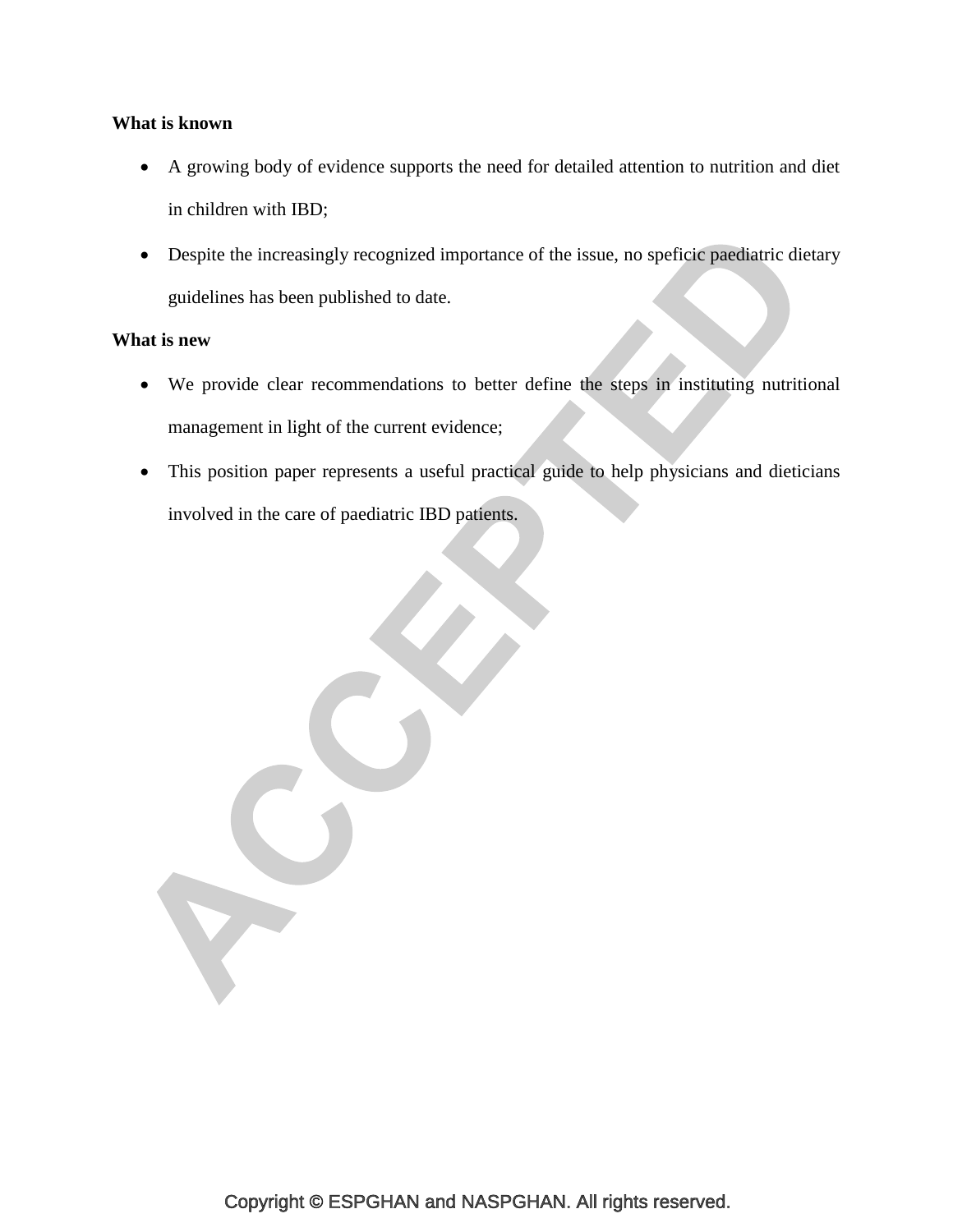# **What is known**

- A growing body of evidence supports the need for detailed attention to nutrition and diet in children with IBD;
- Despite the increasingly recognized importance of the issue, no speficic paediatric dietary guidelines has been published to date.

# **What is new**

- We provide clear recommendations to better define the steps in instituting nutritional management in light of the current evidence;
- This position paper represents a useful practical guide to help physicians and dieticians involved in the care of paediatric IBD patients.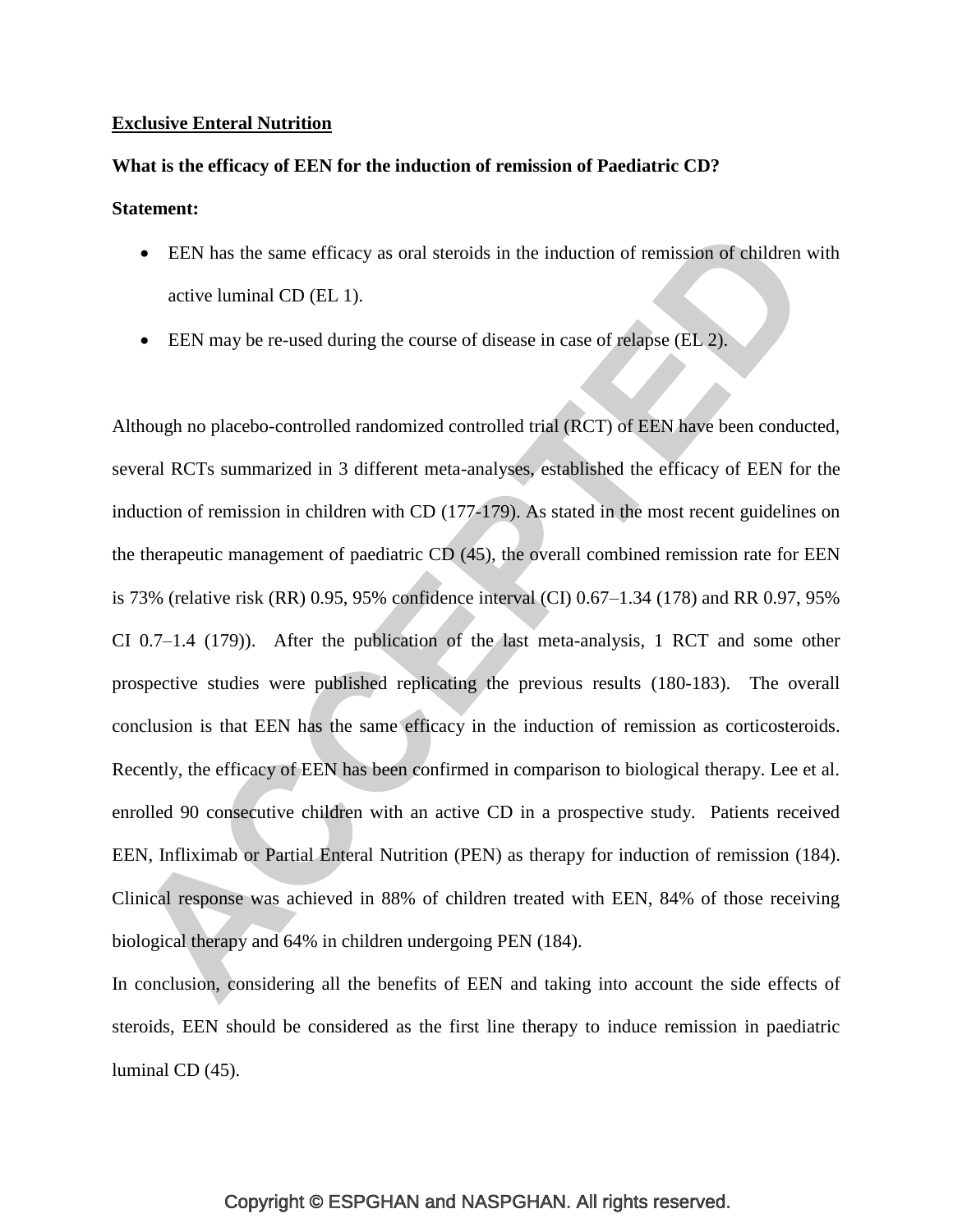#### **Exclusive Enteral Nutrition**

#### **What is the efficacy of EEN for the induction of remission of Paediatric CD?**

## **Statement:**

- EEN has the same efficacy as oral steroids in the induction of remission of children with active luminal CD (EL 1).
- EEN may be re-used during the course of disease in case of relapse (EL 2).

Although no placebo-controlled randomized controlled trial (RCT) of EEN have been conducted, several RCTs summarized in 3 different meta-analyses, established the efficacy of EEN for the induction of remission in children with CD [\(177-179\)](#page-48-0). As stated in the most recent guidelines on the therapeutic management of paediatric CD [\(45\)](#page-34-0), the overall combined remission rate for EEN is 73% (relative risk (RR) 0.95, 95% confidence interval (CI) 0.67–1.34 [\(178\)](#page-49-0) and RR 0.97, 95% CI 0.7–1.4 [\(179\)](#page-49-1)). After the publication of the last meta-analysis, 1 RCT and some other prospective studies were published replicating the previous results [\(180-183\)](#page-49-2). The overall conclusion is that EEN has the same efficacy in the induction of remission as corticosteroids. Recently, the efficacy of EEN has been confirmed in comparison to biological therapy. Lee et al. enrolled 90 consecutive children with an active CD in a prospective study. Patients received EEN, Infliximab or Partial Enteral Nutrition (PEN) as therapy for induction of remission [\(184\)](#page-49-3). Clinical response was achieved in 88% of children treated with EEN, 84% of those receiving biological therapy and 64% in children undergoing PEN [\(184\)](#page-49-3).

In conclusion, considering all the benefits of EEN and taking into account the side effects of steroids, EEN should be considered as the first line therapy to induce remission in paediatric luminal CD [\(45\)](#page-34-0).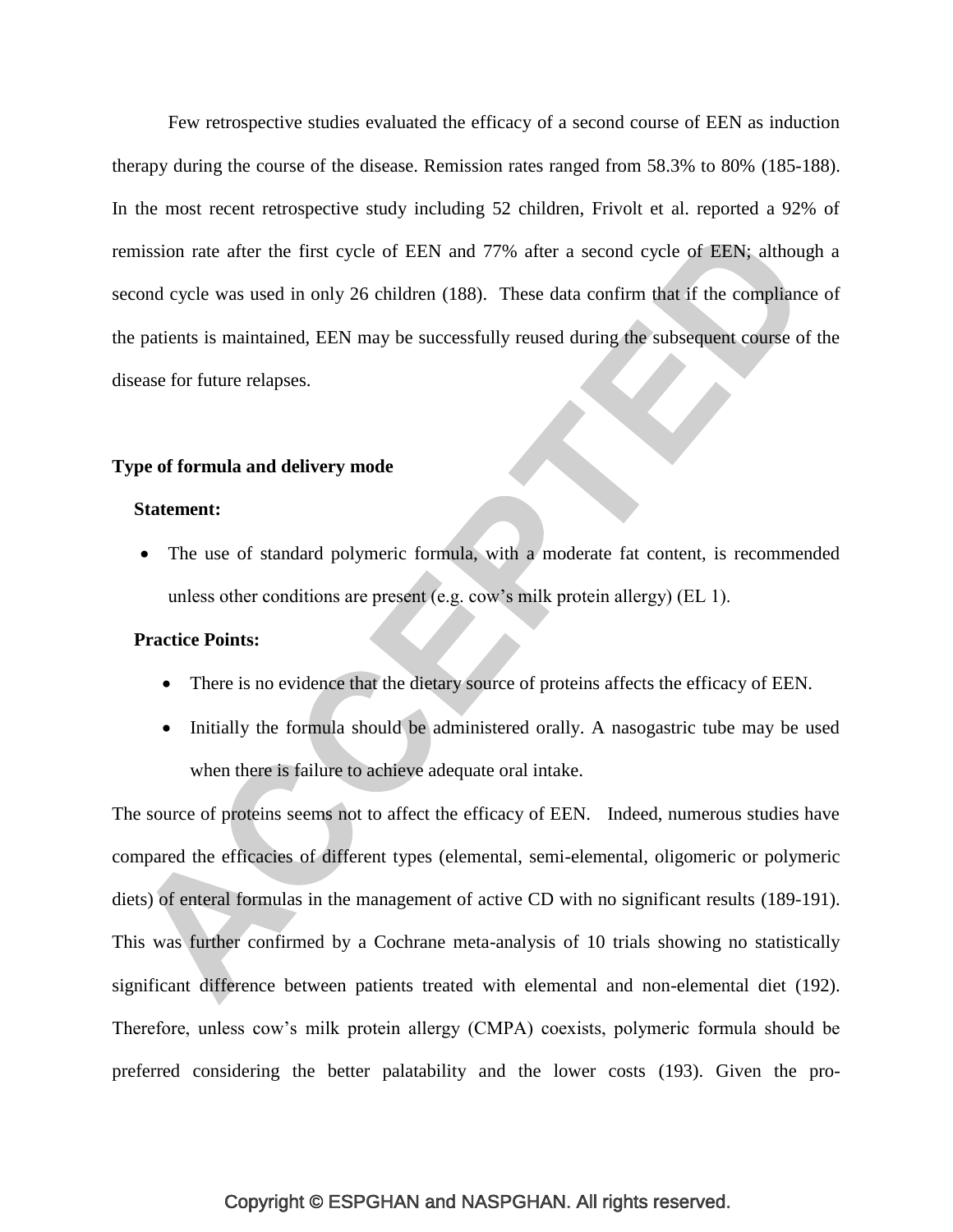Few retrospective studies evaluated the efficacy of a second course of EEN as induction therapy during the course of the disease. Remission rates ranged from 58.3% to 80% [\(185-188\)](#page-49-4). In the most recent retrospective study including 52 children, Frivolt et al. reported a 92% of remission rate after the first cycle of EEN and 77% after a second cycle of EEN; although a second cycle was used in only 26 children [\(188\)](#page-50-0). These data confirm that if the compliance of the patients is maintained, EEN may be successfully reused during the subsequent course of the disease for future relapses.

# **Type of formula and delivery mode**

#### **Statement:**

 The use of standard polymeric formula, with a moderate fat content, is recommended unless other conditions are present (e.g. cow's milk protein allergy) (EL 1).

# **Practice Points:**

- There is no evidence that the dietary source of proteins affects the efficacy of EEN.
- Initially the formula should be administered orally. A nasogastric tube may be used when there is failure to achieve adequate oral intake.

The source of proteins seems not to affect the efficacy of EEN. Indeed, numerous studies have compared the efficacies of different types (elemental, semi-elemental, oligomeric or polymeric diets) of enteral formulas in the management of active CD with no significant results [\(189-191\)](#page-50-1). This was further confirmed by a Cochrane meta-analysis of 10 trials showing no statistically significant difference between patients treated with elemental and non-elemental diet [\(192\)](#page-50-2). Therefore, unless cow's milk protein allergy (CMPA) coexists, polymeric formula should be preferred considering the better palatability and the lower costs [\(193\)](#page-50-3). Given the pro-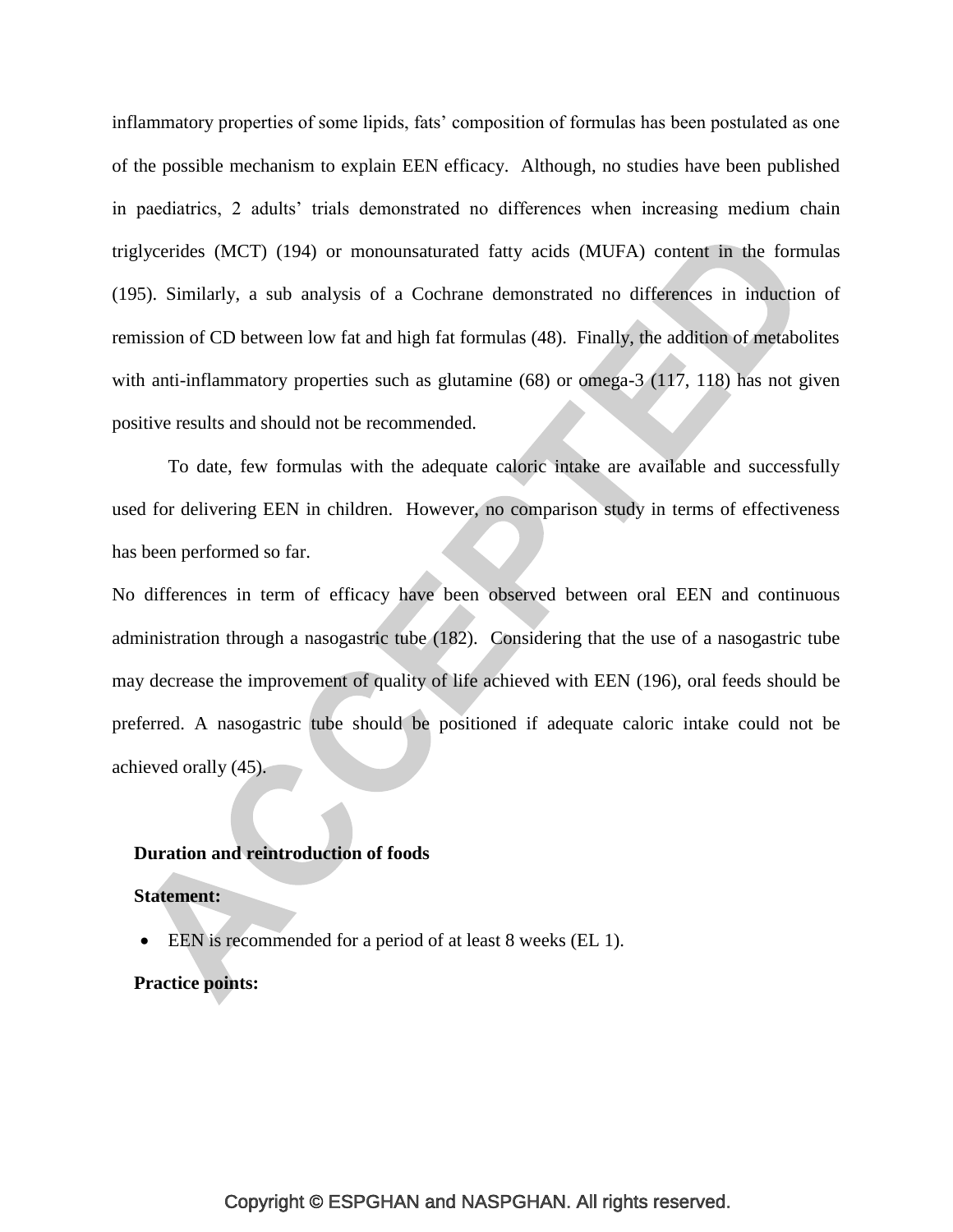inflammatory properties of some lipids, fats' composition of formulas has been postulated as one of the possible mechanism to explain EEN efficacy. Although, no studies have been published in paediatrics, 2 adults' trials demonstrated no differences when increasing medium chain triglycerides (MCT) [\(194\)](#page-51-0) or monounsaturated fatty acids (MUFA) content in the formulas [\(195\)](#page-51-1). Similarly, a sub analysis of a Cochrane demonstrated no differences in induction of remission of CD between low fat and high fat formulas (48). Finally, the addition of metabolites with anti-inflammatory properties such as glutamine (68) or omega-3 (117, 118) has not given positive results and should not be recommended.

To date, few formulas with the adequate caloric intake are available and successfully used for delivering EEN in children. However, no comparison study in terms of effectiveness has been performed so far.

No differences in term of efficacy have been observed between oral EEN and continuous administration through a nasogastric tube [\(182\)](#page-49-5). Considering that the use of a nasogastric tube may decrease the improvement of quality of life achieved with EEN [\(196\)](#page-51-2), oral feeds should be preferred. A nasogastric tube should be positioned if adequate caloric intake could not be achieved orally [\(45\)](#page-34-0).

#### **Duration and reintroduction of foods**

## **Statement:**

EEN is recommended for a period of at least 8 weeks (EL 1).

## **Practice points:**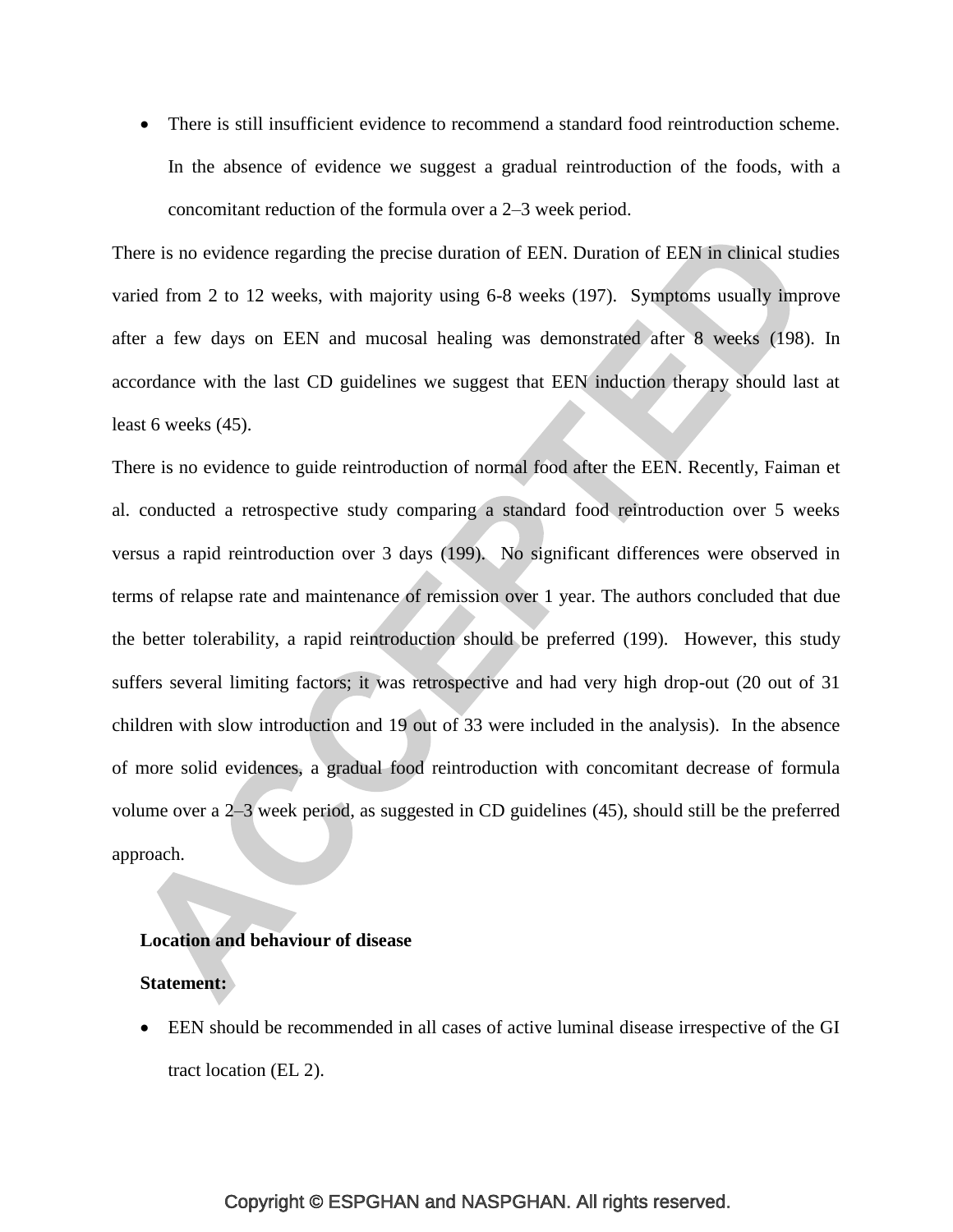There is still insufficient evidence to recommend a standard food reintroduction scheme. In the absence of evidence we suggest a gradual reintroduction of the foods, with a concomitant reduction of the formula over a 2–3 week period.

There is no evidence regarding the precise duration of EEN. Duration of EEN in clinical studies varied from 2 to 12 weeks, with majority using 6-8 weeks [\(197\)](#page-51-3). Symptoms usually improve after a few days on EEN and mucosal healing was demonstrated after 8 weeks [\(198\)](#page-51-4). In accordance with the last CD guidelines we suggest that EEN induction therapy should last at least 6 weeks [\(45\)](#page-34-0).

There is no evidence to guide reintroduction of normal food after the EEN. Recently, Faiman et al. conducted a retrospective study comparing a standard food reintroduction over 5 weeks versus a rapid reintroduction over 3 days [\(199\)](#page-51-5). No significant differences were observed in terms of relapse rate and maintenance of remission over 1 year. The authors concluded that due the better tolerability, a rapid reintroduction should be preferred [\(199\)](#page-51-5). However, this study suffers several limiting factors; it was retrospective and had very high drop-out (20 out of 31 children with slow introduction and 19 out of 33 were included in the analysis). In the absence of more solid evidences, a gradual food reintroduction with concomitant decrease of formula volume over a 2–3 week period, as suggested in CD guidelines [\(45\)](#page-34-0), should still be the preferred approach.

#### **Location and behaviour of disease**

#### **Statement:**

 EEN should be recommended in all cases of active luminal disease irrespective of the GI tract location (EL 2).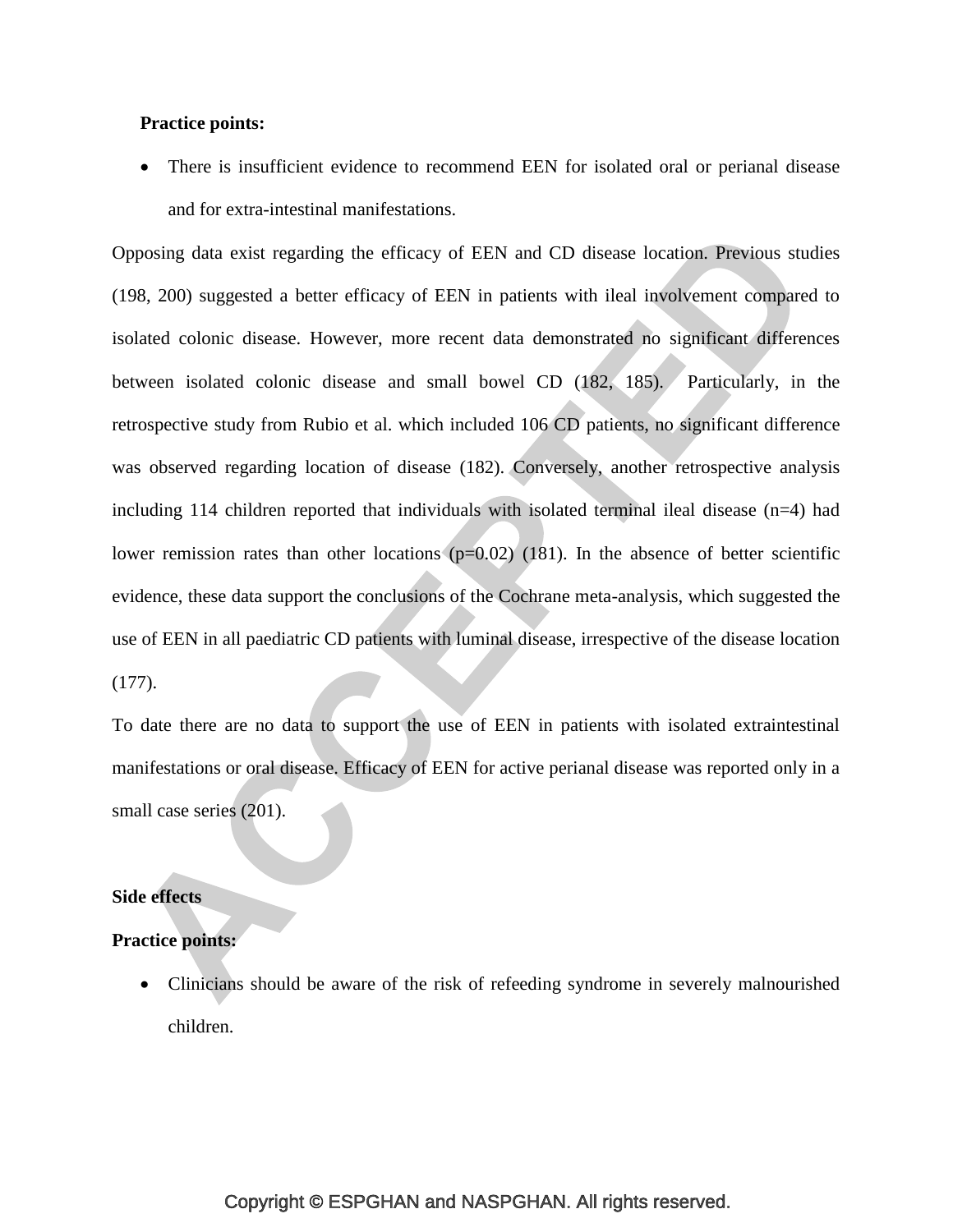# **Practice points:**

 There is insufficient evidence to recommend EEN for isolated oral or perianal disease and for extra-intestinal manifestations.

Opposing data exist regarding the efficacy of EEN and CD disease location. Previous studies [\(198,](#page-51-4) [200\)](#page-51-6) suggested a better efficacy of EEN in patients with ileal involvement compared to isolated colonic disease. However, more recent data demonstrated no significant differences between isolated colonic disease and small bowel CD [\(182,](#page-49-5) [185\)](#page-49-4). Particularly, in the retrospective study from Rubio et al. which included 106 CD patients, no significant difference was observed regarding location of disease [\(182\)](#page-49-5). Conversely, another retrospective analysis including 114 children reported that individuals with isolated terminal ileal disease (n=4) had lower remission rates than other locations  $(p=0.02)$  [\(181\)](#page-49-6). In the absence of better scientific evidence, these data support the conclusions of the Cochrane meta-analysis, which suggested the use of EEN in all paediatric CD patients with luminal disease, irrespective of the disease location [\(177\)](#page-48-0).

To date there are no data to support the use of EEN in patients with isolated extraintestinal manifestations or oral disease. Efficacy of EEN for active perianal disease was reported only in a small case series  $(201)$ .

# **Side effects**

# **Practice points:**

• Clinicians should be aware of the risk of refeeding syndrome in severely malnourished children.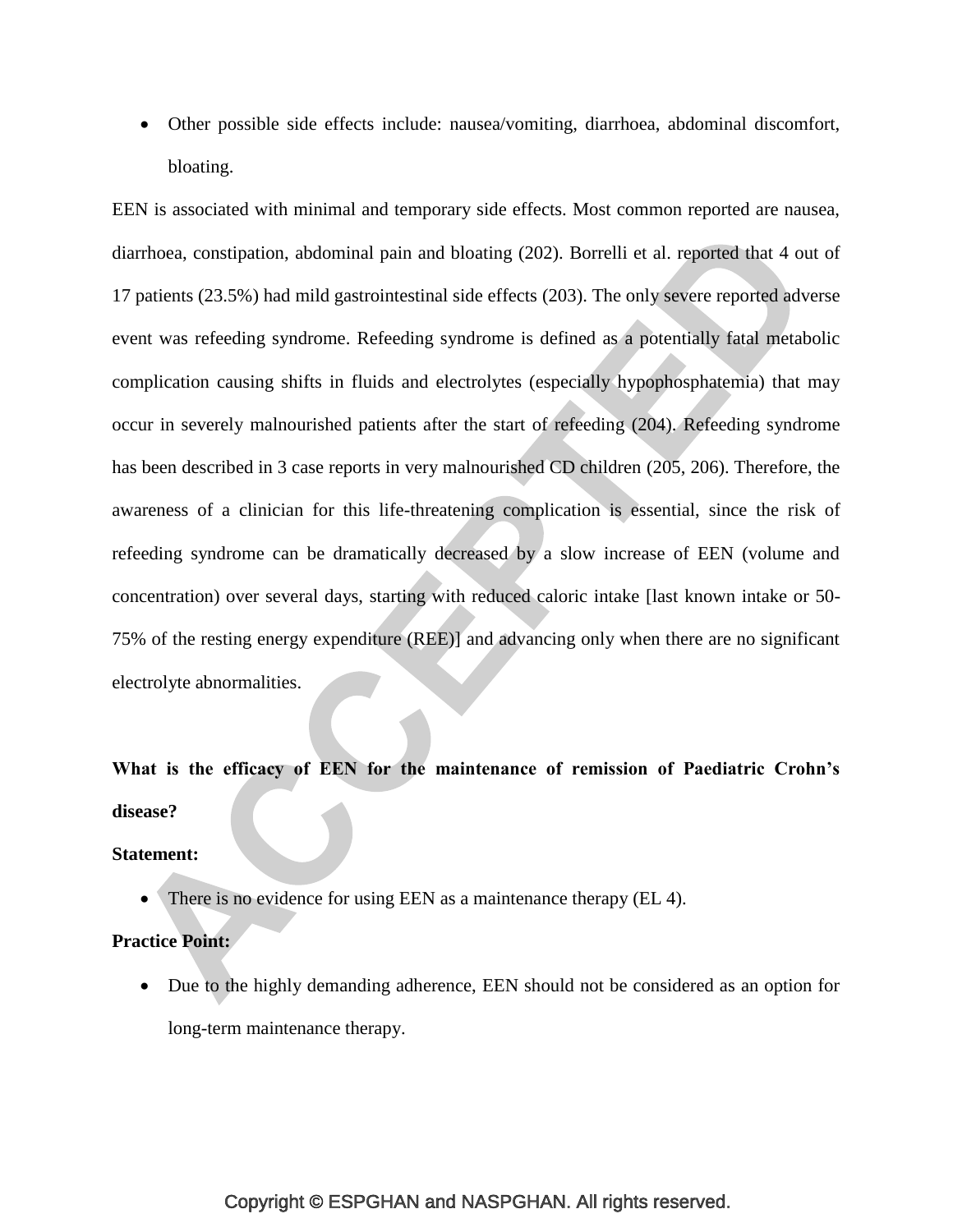Other possible side effects include: nausea/vomiting, diarrhoea, abdominal discomfort, bloating.

EEN is associated with minimal and temporary side effects. Most common reported are nausea, diarrhoea, constipation, abdominal pain and bloating [\(202\)](#page-52-0). Borrelli et al. reported that 4 out of 17 patients (23.5%) had mild gastrointestinal side effects [\(203\)](#page-52-1). The only severe reported adverse event was refeeding syndrome. Refeeding syndrome is defined as a potentially fatal metabolic complication causing shifts in fluids and electrolytes (especially hypophosphatemia) that may occur in severely malnourished patients after the start of refeeding [\(204\)](#page-52-2). Refeeding syndrome has been described in 3 case reports in very malnourished CD children [\(205,](#page-52-3) [206\)](#page-52-4). Therefore, the awareness of a clinician for this life-threatening complication is essential, since the risk of refeeding syndrome can be dramatically decreased by a slow increase of EEN (volume and concentration) over several days, starting with reduced caloric intake [last known intake or 50-75% of the resting energy expenditure (REE)] and advancing only when there are no significant electrolyte abnormalities.

**What is the efficacy of EEN for the maintenance of remission of Paediatric Crohn's disease?**

**Statement:**

There is no evidence for using EEN as a maintenance therapy (EL 4).

# **Practice Point:**

 Due to the highly demanding adherence, EEN should not be considered as an option for long-term maintenance therapy.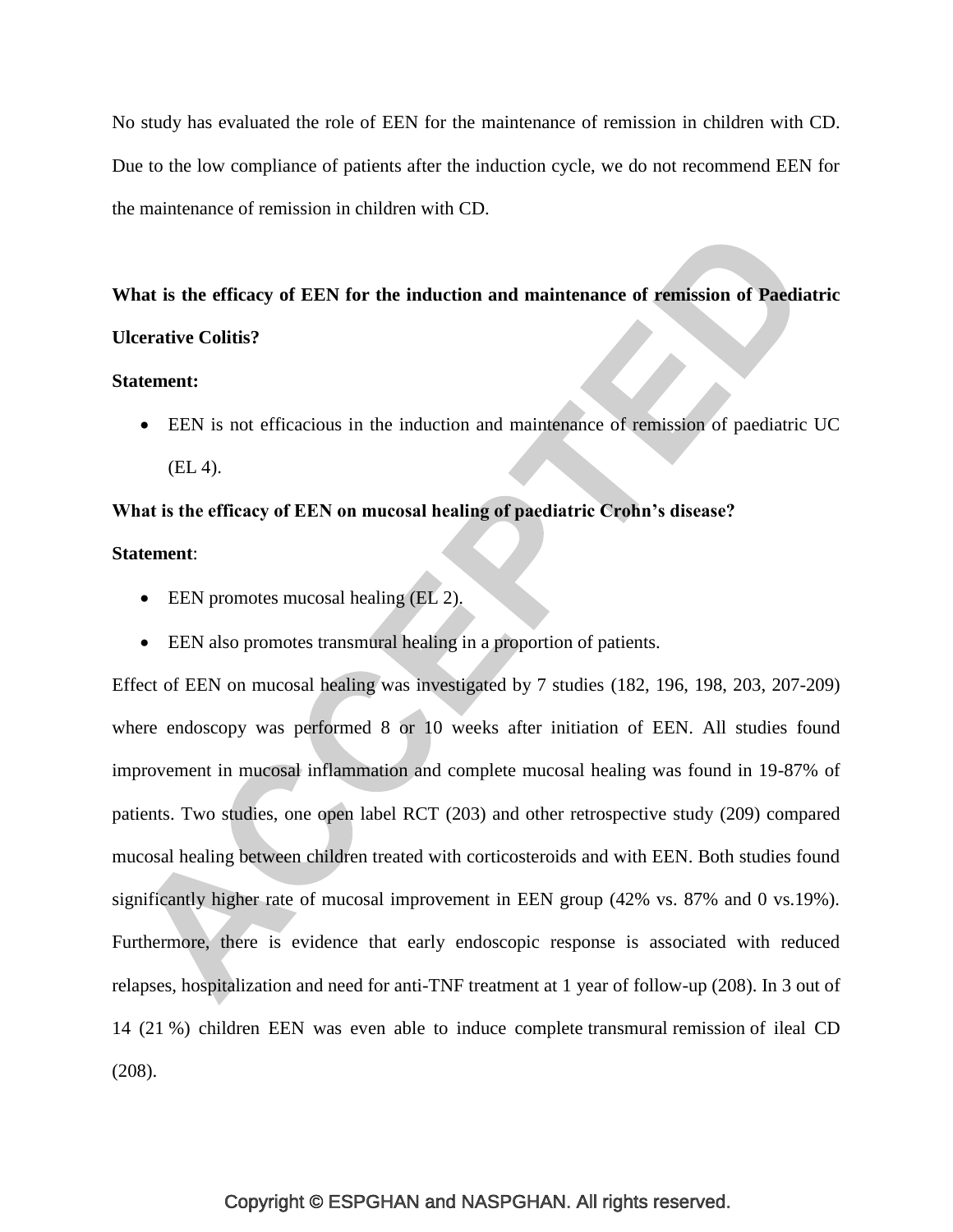No study has evaluated the role of EEN for the maintenance of remission in children with CD. Due to the low compliance of patients after the induction cycle, we do not recommend EEN for the maintenance of remission in children with CD.

# **What is the efficacy of EEN for the induction and maintenance of remission of Paediatric Ulcerative Colitis?**

#### **Statement:**

 EEN is not efficacious in the induction and maintenance of remission of paediatric UC (EL 4).

# **What is the efficacy of EEN on mucosal healing of paediatric Crohn's disease?**

#### **Statement**:

- EEN promotes mucosal healing (EL 2).
- EEN also promotes transmural healing in a proportion of patients.

Effect of EEN on mucosal healing was investigated by 7 studies [\(182,](#page-49-5) [196,](#page-51-2) [198,](#page-51-4) [203,](#page-52-1) [207-209\)](#page-52-5) where endoscopy was performed 8 or 10 weeks after initiation of EEN. All studies found improvement in mucosal inflammation and complete mucosal healing was found in 19-87% of patients. Two studies, one open label RCT [\(203\)](#page-52-1) and other retrospective study [\(209\)](#page-52-6) compared mucosal healing between children treated with corticosteroids and with EEN. Both studies found significantly higher rate of mucosal improvement in EEN group (42% vs. 87% and 0 vs.19%). Furthermore, there is evidence that early endoscopic response is associated with reduced relapses, hospitalization and need for anti-TNF treatment at 1 year of follow-up [\(208\)](#page-52-7). In 3 out of 14 (21 %) children EEN was even able to induce complete transmural remission of ileal CD [\(208\)](#page-52-7).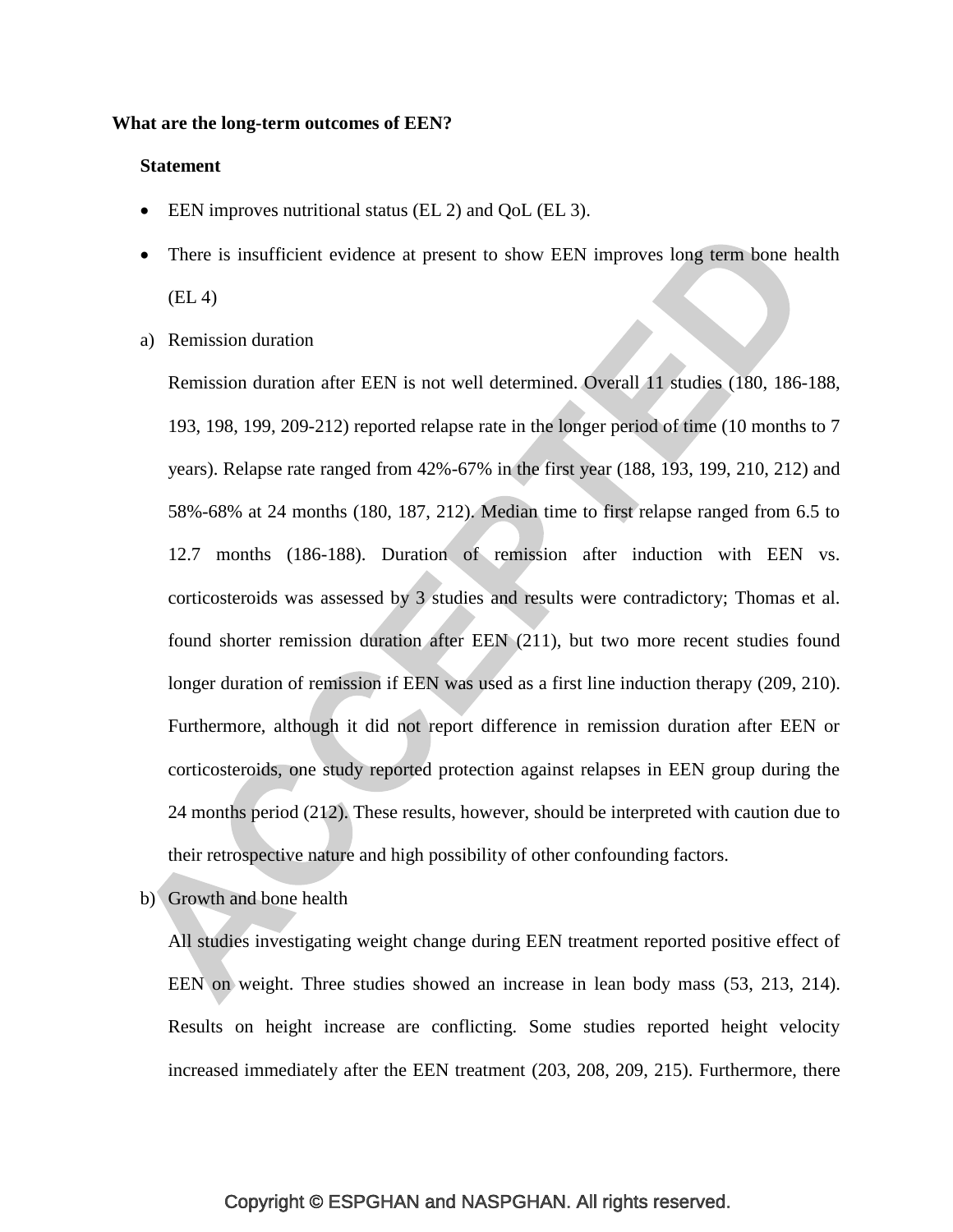#### **What are the long-term outcomes of EEN?**

#### **Statement**

- EEN improves nutritional status (EL 2) and QoL (EL 3).
- There is insufficient evidence at present to show EEN improves long term bone health (EL 4)
- a) Remission duration

Remission duration after EEN is not well determined. Overall 11 studies [\(180,](#page-49-2) [186-188,](#page-50-4) [193,](#page-50-3) [198,](#page-51-4) [199,](#page-51-5) [209-212\)](#page-52-6) reported relapse rate in the longer period of time (10 months to 7 years). Relapse rate ranged from 42%-67% in the first year [\(188,](#page-50-0) [193,](#page-50-3) [199,](#page-51-5) [210,](#page-52-8) [212\)](#page-52-9) and 58%-68% at 24 months [\(180,](#page-49-2) [187,](#page-50-5) [212\)](#page-52-9). Median time to first relapse ranged from 6.5 to 12.7 months [\(186-188\)](#page-50-4). Duration of remission after induction with EEN vs. corticosteroids was assessed by 3 studies and results were contradictory; Thomas et al. found shorter remission duration after EEN [\(211\)](#page-52-10), but two more recent studies found longer duration of remission if EEN was used as a first line induction therapy [\(209,](#page-52-6) [210\)](#page-52-8). Furthermore, although it did not report difference in remission duration after EEN or corticosteroids, one study reported protection against relapses in EEN group during the 24 months period [\(212\)](#page-52-9). These results, however, should be interpreted with caution due to their retrospective nature and high possibility of other confounding factors.

b) Growth and bone health

All studies investigating weight change during EEN treatment reported positive effect of EEN on weight. Three studies showed an increase in lean body mass [\(53,](#page-35-0) [213,](#page-53-0) [214\)](#page-53-1). Results on height increase are conflicting. Some studies reported height velocity increased immediately after the EEN treatment [\(203,](#page-52-1) [208,](#page-52-7) [209,](#page-52-6) [215\)](#page-53-2). Furthermore, there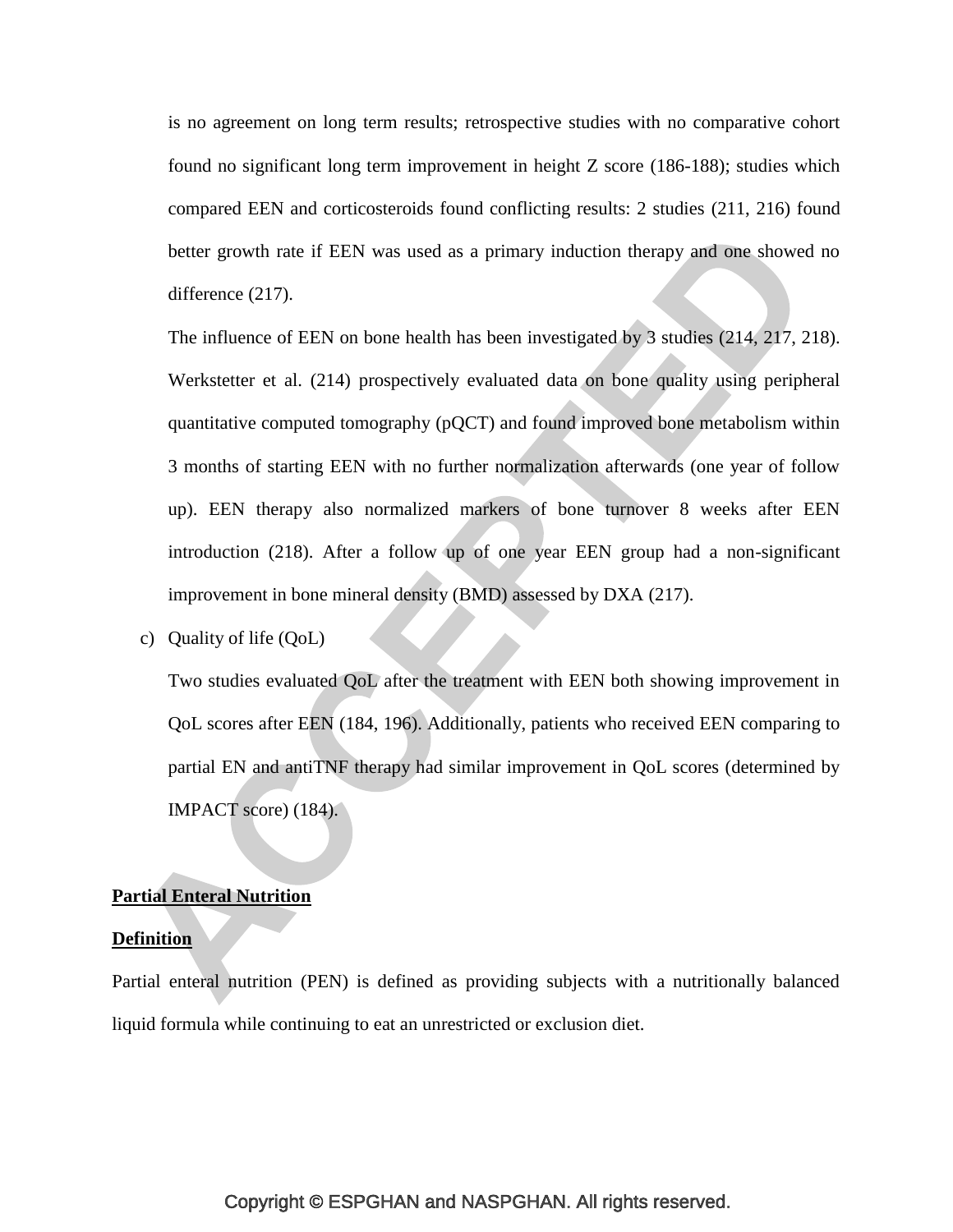is no agreement on long term results; retrospective studies with no comparative cohort found no significant long term improvement in height Z score [\(186-188\)](#page-50-4); studies which compared EEN and corticosteroids found conflicting results: 2 studies [\(211,](#page-52-10) [216\)](#page-53-3) found better growth rate if EEN was used as a primary induction therapy and one showed no difference [\(217\)](#page-53-4).

The influence of EEN on bone health has been investigated by 3 studies [\(214,](#page-53-1) [217,](#page-53-4) [218\)](#page-53-5). Werkstetter et al. [\(214\)](#page-53-1) prospectively evaluated data on bone quality using peripheral quantitative computed tomography (pQCT) and found improved bone metabolism within 3 months of starting EEN with no further normalization afterwards (one year of follow up). EEN therapy also normalized markers of bone turnover 8 weeks after EEN introduction [\(218\)](#page-53-5). After a follow up of one year EEN group had a non-significant improvement in bone mineral density (BMD) assessed by DXA [\(217\)](#page-53-4).

c) Quality of life (QoL)

Two studies evaluated QoL after the treatment with EEN both showing improvement in QoL scores after EEN [\(184,](#page-49-3) [196\)](#page-51-2). Additionally, patients who received EEN comparing to partial EN and antiTNF therapy had similar improvement in QoL scores (determined by IMPACT score) [\(184\)](#page-49-3).

#### **Partial Enteral Nutrition**

#### **Definition**

Partial enteral nutrition (PEN) is defined as providing subjects with a nutritionally balanced liquid formula while continuing to eat an unrestricted or exclusion diet.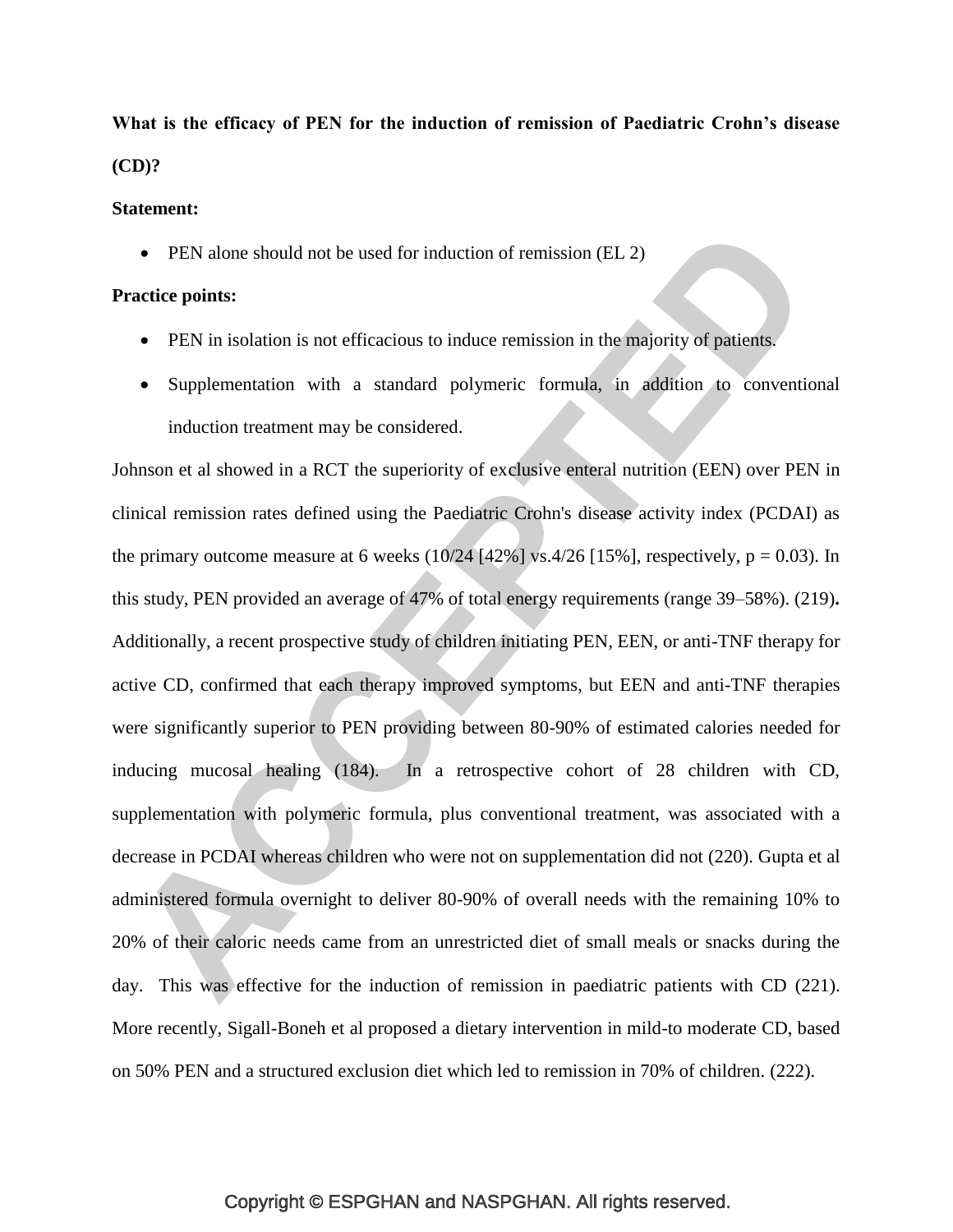**What is the efficacy of PEN for the induction of remission of Paediatric Crohn's disease (CD)?**

#### **Statement:**

• PEN alone should not be used for induction of remission (EL 2)

#### **Practice points:**

- PEN in isolation is not efficacious to induce remission in the majority of patients.
- Supplementation with a standard polymeric formula, in addition to conventional induction treatment may be considered.

Johnson et al showed in a RCT the superiority of exclusive enteral nutrition (EEN) over PEN in clinical remission rates defined using the Paediatric Crohn's disease activity index (PCDAI) as the primary outcome measure at 6 weeks  $(10/24)$  [42%] vs.4/26 [15%], respectively, p = 0.03). In this study, PEN provided an average of 47% of total energy requirements (range 39–58%). [\(219\)](#page-53-6)**.** Additionally, a recent prospective study of children initiating PEN, EEN, or anti-TNF therapy for active CD, confirmed that each therapy improved symptoms, but EEN and anti-TNF therapies were significantly superior to PEN providing between 80-90% of estimated calories needed for inducing mucosal healing [\(184\)](#page-49-3). In a retrospective cohort of 28 children with CD, supplementation with polymeric formula, plus conventional treatment, was associated with a decrease in PCDAI whereas children who were not on supplementation did not [\(220\)](#page-53-7). Gupta et al administered formula overnight to deliver 80-90% of overall needs with the remaining 10% to 20% of their caloric needs came from an unrestricted diet of small meals or snacks during the day. This was effective for the induction of remission in paediatric patients with CD [\(221\)](#page-53-8). More recently, Sigall-Boneh et al proposed a dietary intervention in mild-to moderate CD, based on 50% PEN and a structured exclusion diet which led to remission in 70% of children. [\(222\)](#page-54-0).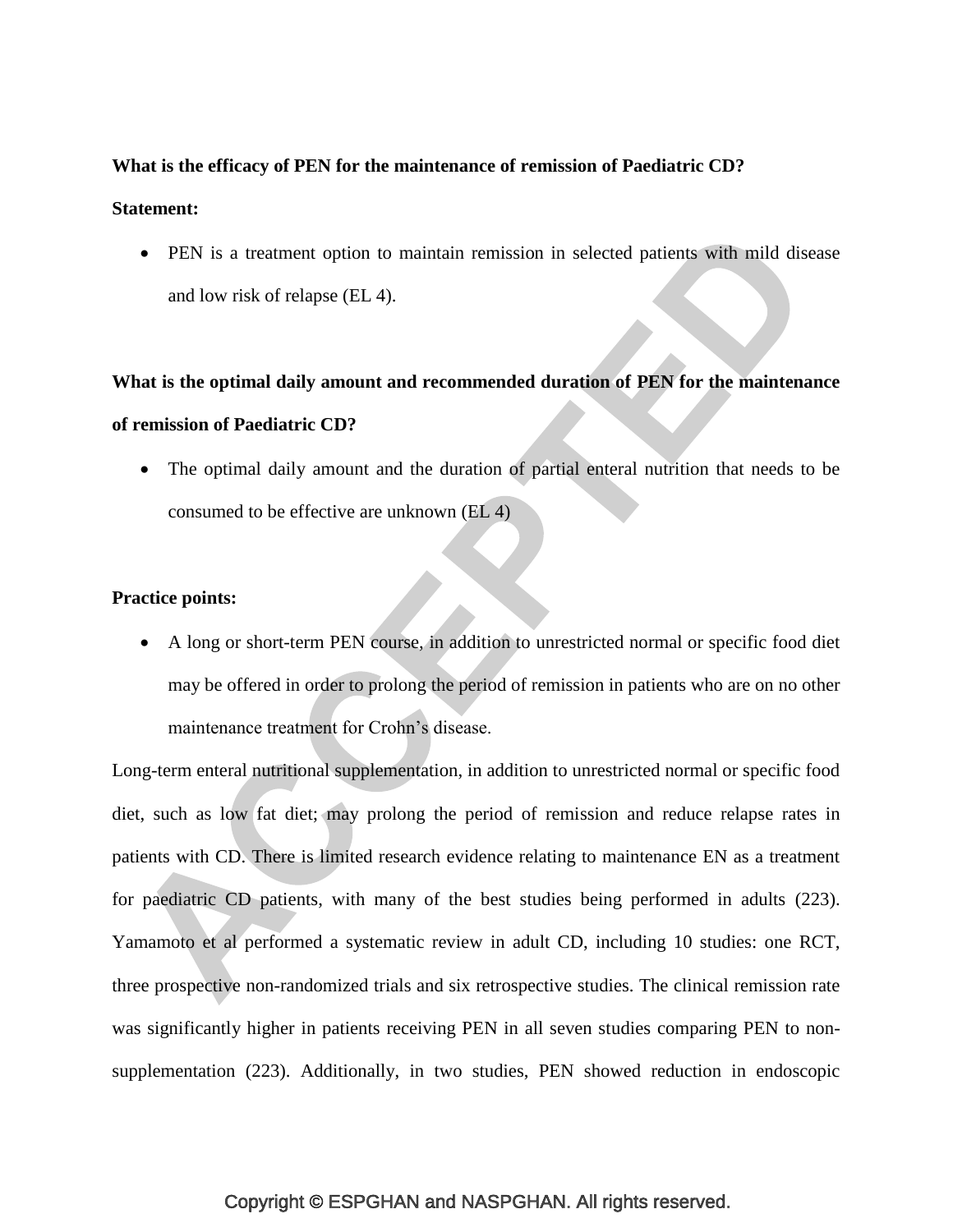## **What is the efficacy of PEN for the maintenance of remission of Paediatric CD?**

#### **Statement:**

 PEN is a treatment option to maintain remission in selected patients with mild disease and low risk of relapse (EL 4).

# **What is the optimal daily amount and recommended duration of PEN for the maintenance of remission of Paediatric CD?**

• The optimal daily amount and the duration of partial enteral nutrition that needs to be consumed to be effective are unknown (EL 4)

# **Practice points:**

 A long or short-term PEN course, in addition to unrestricted normal or specific food diet may be offered in order to prolong the period of remission in patients who are on no other maintenance treatment for Crohn's disease.

Long-term enteral nutritional supplementation, in addition to unrestricted normal or specific food diet, such as low fat diet; may prolong the period of remission and reduce relapse rates in patients with CD. There is limited research evidence relating to maintenance EN as a treatment for paediatric CD patients, with many of the best studies being performed in adults [\(223\)](#page-54-1). Yamamoto et al performed a systematic review in adult CD, including 10 studies: one RCT, three prospective non-randomized trials and six retrospective studies. The clinical remission rate was significantly higher in patients receiving PEN in all seven studies comparing PEN to nonsupplementation [\(223\)](#page-54-1). Additionally, in two studies, PEN showed reduction in endoscopic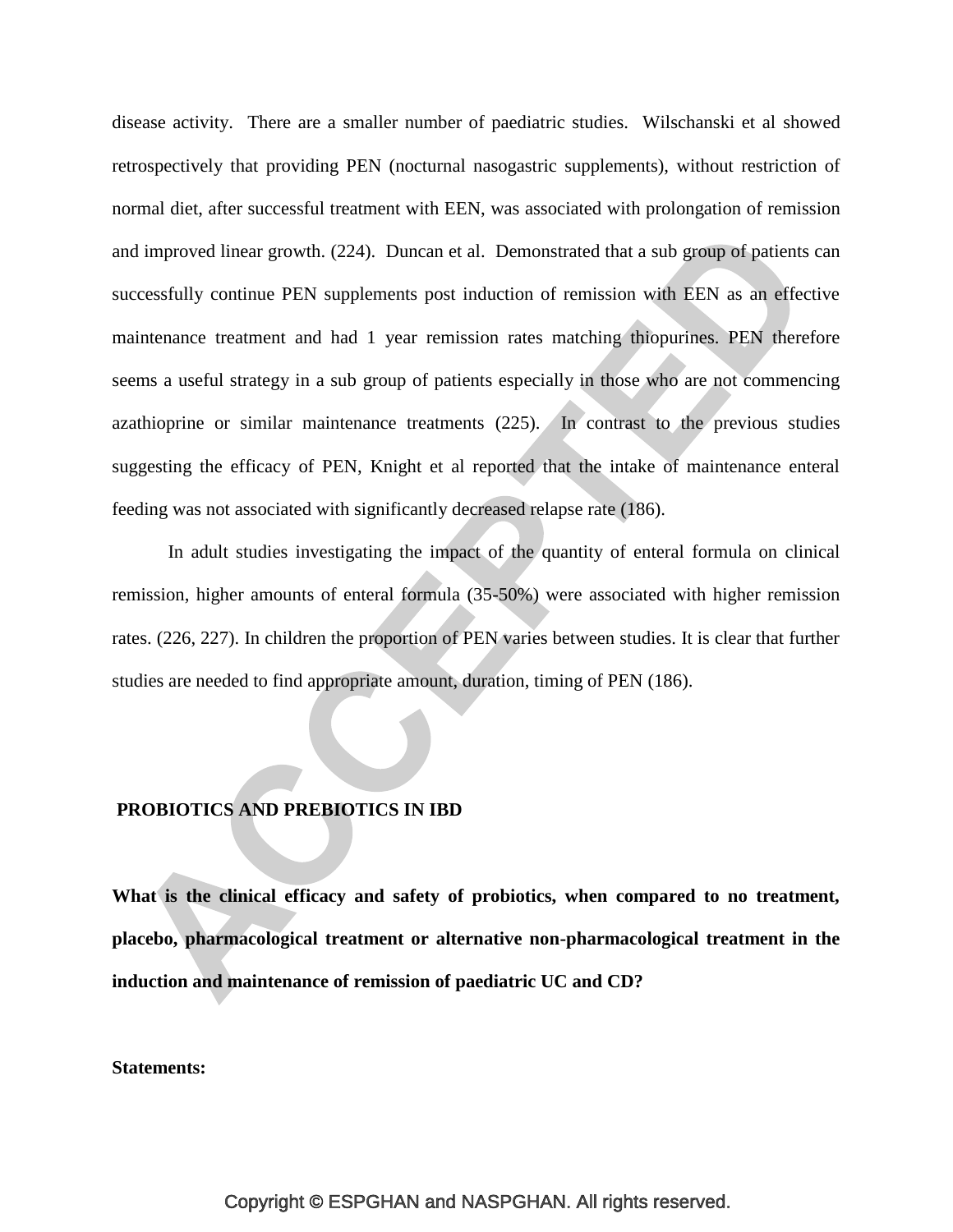disease activity. There are a smaller number of paediatric studies. Wilschanski et al showed retrospectively that providing PEN (nocturnal nasogastric supplements), without restriction of normal diet, after successful treatment with EEN, was associated with prolongation of remission and improved linear growth. [\(224\)](#page-54-2). Duncan et al. Demonstrated that a sub group of patients can successfully continue PEN supplements post induction of remission with EEN as an effective maintenance treatment and had 1 year remission rates matching thiopurines. PEN therefore seems a useful strategy in a sub group of patients especially in those who are not commencing azathioprine or similar maintenance treatments [\(225\)](#page-54-3). In contrast to the previous studies suggesting the efficacy of PEN, Knight et al reported that the intake of maintenance enteral feeding was not associated with significantly decreased relapse rate [\(186\)](#page-50-4).

In adult studies investigating the impact of the quantity of enteral formula on clinical remission, higher amounts of enteral formula (35-50%) were associated with higher remission rates. [\(226,](#page-54-4) [227\)](#page-54-5). In children the proportion of PEN varies between studies. It is clear that further studies are needed to find appropriate amount, duration, timing of PEN [\(186\)](#page-50-4).

#### **PROBIOTICS AND PREBIOTICS IN IBD**

**What is the clinical efficacy and safety of probiotics, when compared to no treatment, placebo, pharmacological treatment or alternative non-pharmacological treatment in the induction and maintenance of remission of paediatric UC and CD?** 

**Statements:**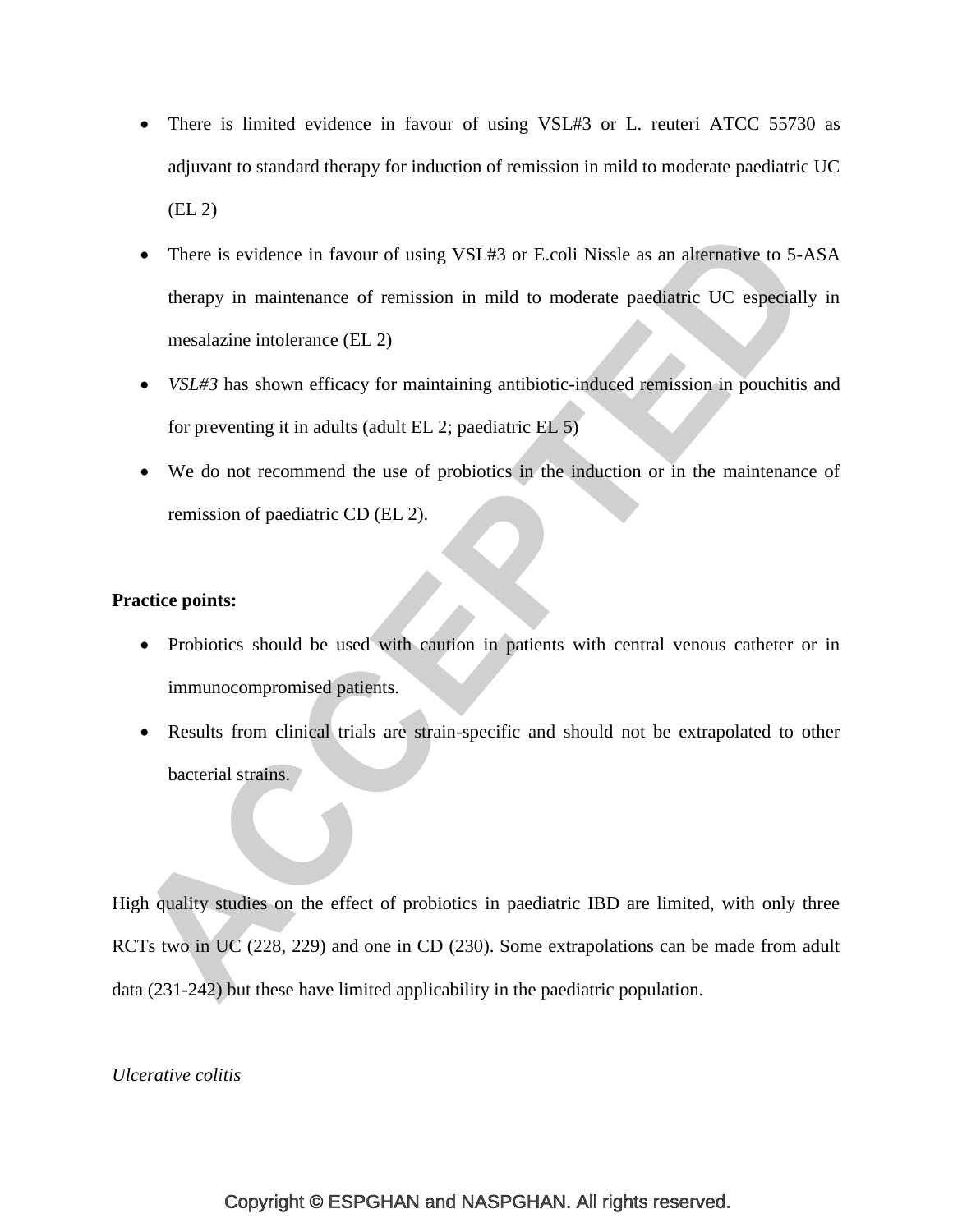- There is limited evidence in favour of using VSL#3 or L. reuteri ATCC 55730 as adjuvant to standard therapy for induction of remission in mild to moderate paediatric UC (EL 2)
- There is evidence in favour of using VSL#3 or E.coli Nissle as an alternative to 5-ASA therapy in maintenance of remission in mild to moderate paediatric UC especially in mesalazine intolerance (EL 2)
- *VSL#3* has shown efficacy for maintaining antibiotic-induced remission in pouchitis and for preventing it in adults (adult EL 2; paediatric EL 5)
- We do not recommend the use of probiotics in the induction or in the maintenance of remission of paediatric CD (EL 2).

# **Practice points:**

- Probiotics should be used with caution in patients with central venous catheter or in immunocompromised patients.
- Results from clinical trials are strain-specific and should not be extrapolated to other bacterial strains.

High quality studies on the effect of probiotics in paediatric IBD are limited, with only three RCTs two in UC [\(228,](#page-54-6) [229\)](#page-54-7) and one in CD [\(230\)](#page-55-0). Some extrapolations can be made from adult data [\(231-242\)](#page-55-1) but these have limited applicability in the paediatric population.

#### *Ulcerative colitis*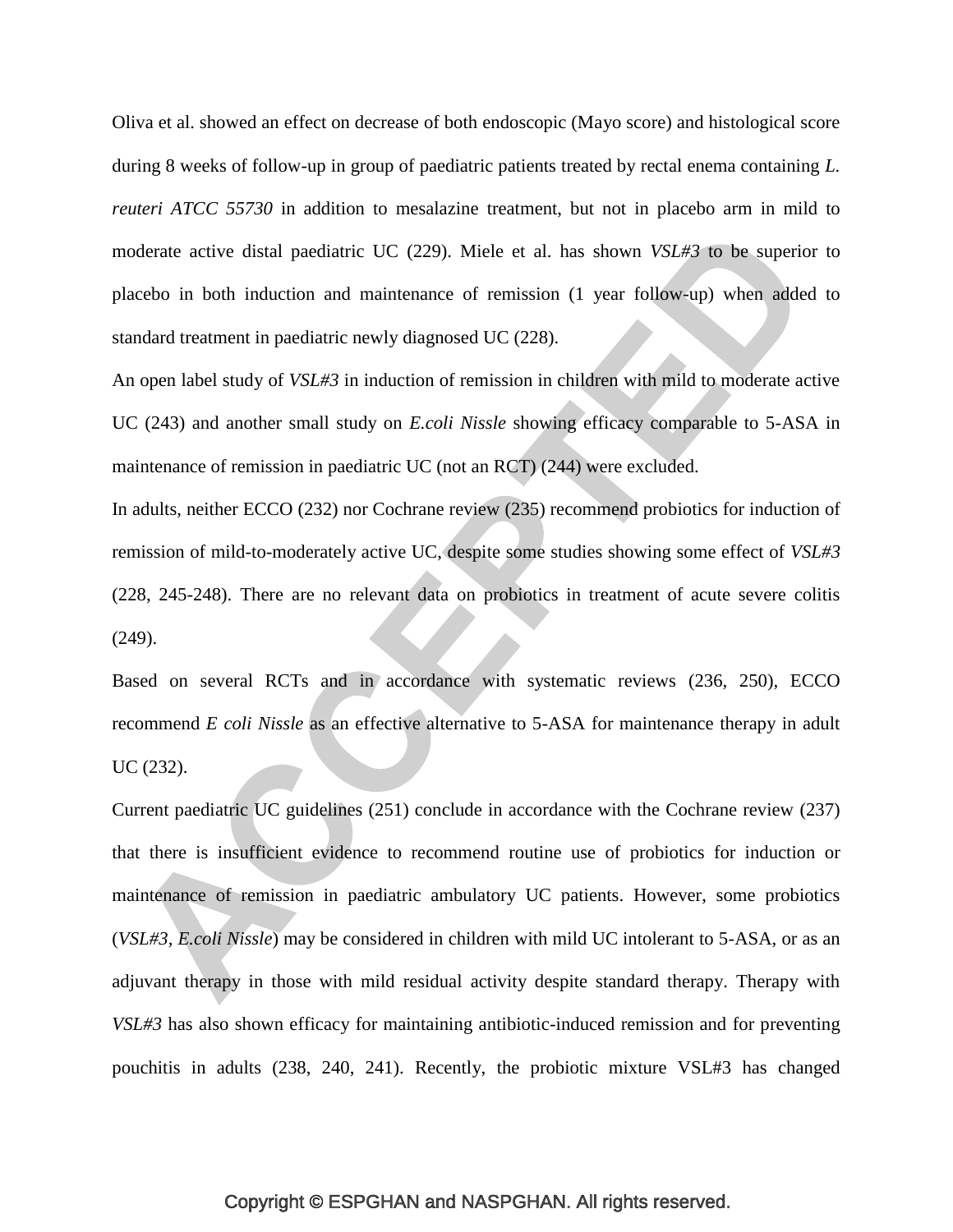Oliva et al. showed an effect on decrease of both endoscopic (Mayo score) and histological score during 8 weeks of follow-up in group of paediatric patients treated by rectal enema containing *L. reuteri ATCC 55730* in addition to mesalazine treatment, but not in placebo arm in mild to moderate active distal paediatric UC [\(229\)](#page-54-7). Miele et al. has shown *VSL#3* to be superior to placebo in both induction and maintenance of remission (1 year follow-up) when added to standard treatment in paediatric newly diagnosed UC [\(228\)](#page-54-6).

An open label study of *VSL#3* in induction of remission in children with mild to moderate active UC [\(243\)](#page-56-0) and another small study on *E.coli Nissle* showing efficacy comparable to 5-ASA in maintenance of remission in paediatric UC (not an RCT) [\(244\)](#page-56-1) were excluded.

In adults, neither ECCO [\(232\)](#page-55-2) nor Cochrane review [\(235\)](#page-55-3) recommend probiotics for induction of remission of mild-to-moderately active UC, despite some studies showing some effect of *VSL#3* [\(228,](#page-54-6) [245-248\)](#page-56-2). There are no relevant data on probiotics in treatment of acute severe colitis [\(249\)](#page-57-0).

Based on several RCTs and in accordance with systematic reviews [\(236,](#page-55-4) [250\)](#page-57-1), ECCO recommend *E coli Nissle* as an effective alternative to 5-ASA for maintenance therapy in adult UC [\(232\)](#page-55-2).

Current paediatric UC guidelines [\(251\)](#page-57-2) conclude in accordance with the Cochrane review [\(237\)](#page-55-5) that there is insufficient evidence to recommend routine use of probiotics for induction or maintenance of remission in paediatric ambulatory UC patients. However, some probiotics (*VSL#3, E.coli Nissle*) may be considered in children with mild UC intolerant to 5-ASA, or as an adjuvant therapy in those with mild residual activity despite standard therapy. Therapy with *VSL#3* has also shown efficacy for maintaining antibiotic-induced remission and for preventing pouchitis in adults [\(238,](#page-55-6) [240,](#page-56-3) [241\)](#page-56-4). Recently, the probiotic mixture VSL#3 has changed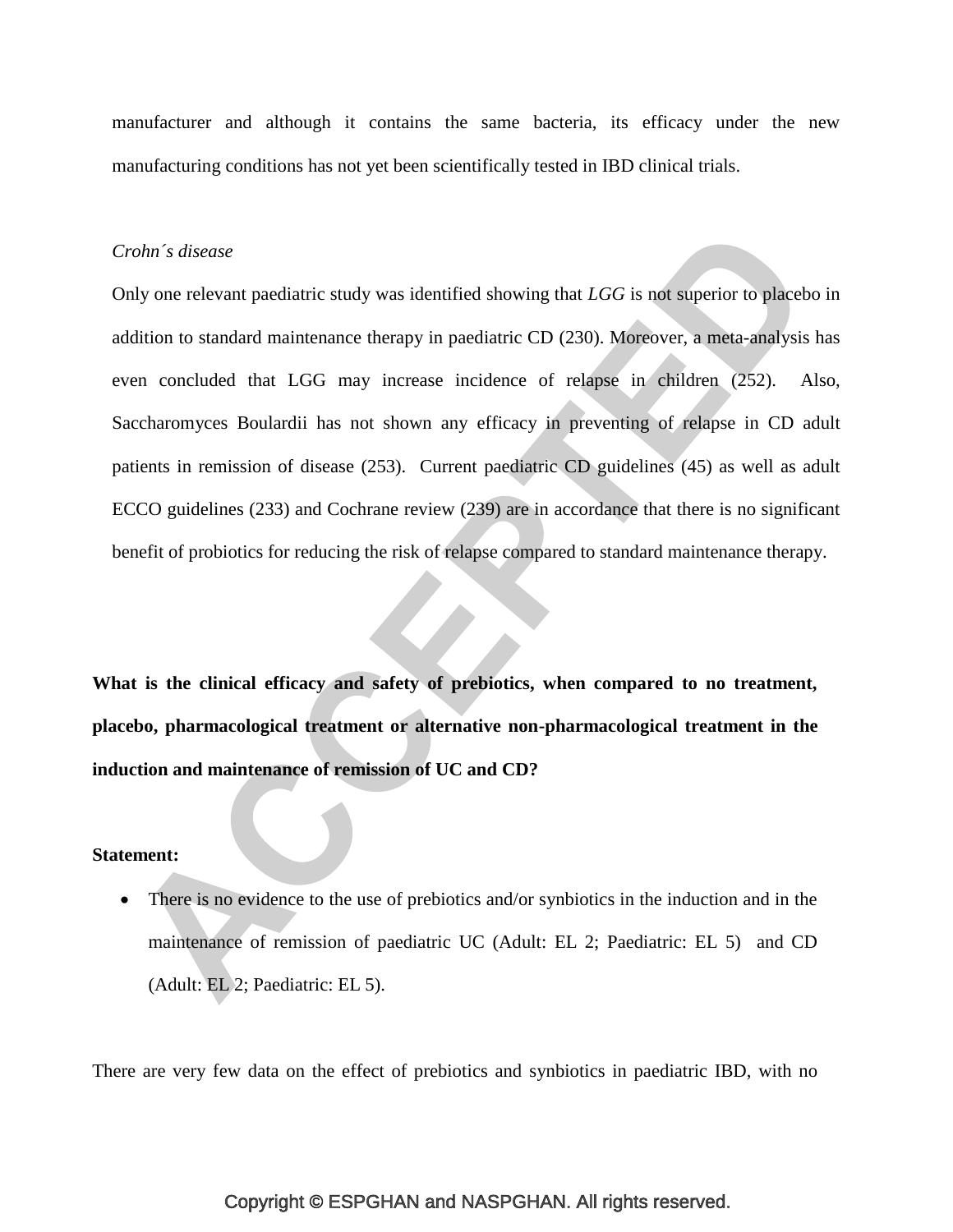manufacturer and although it contains the same bacteria, its efficacy under the new manufacturing conditions has not yet been scientifically tested in IBD clinical trials.

#### *Crohn´s disease*

Only one relevant paediatric study was identified showing that *LGG* is not superior to placebo in addition to standard maintenance therapy in paediatric CD [\(230\)](#page-55-0). Moreover, a meta-analysis has even concluded that LGG may increase incidence of relapse in children [\(252\)](#page-57-3). Also, Saccharomyces Boulardii has not shown any efficacy in preventing of relapse in CD adult patients in remission of disease [\(253\)](#page-57-4). Current paediatric CD guidelines [\(45\)](#page-34-0) as well as adult ECCO guidelines [\(233\)](#page-55-7) and Cochrane review [\(239\)](#page-55-8) are in accordance that there is no significant benefit of probiotics for reducing the risk of relapse compared to standard maintenance therapy.

**What is the clinical efficacy and safety of prebiotics, when compared to no treatment, placebo, pharmacological treatment or alternative non-pharmacological treatment in the induction and maintenance of remission of UC and CD?** 

#### **Statement:**

 There is no evidence to the use of prebiotics and/or synbiotics in the induction and in the maintenance of remission of paediatric UC (Adult: EL 2; Paediatric: EL 5) and CD (Adult: EL 2; Paediatric: EL 5).

There are very few data on the effect of prebiotics and synbiotics in paediatric IBD, with no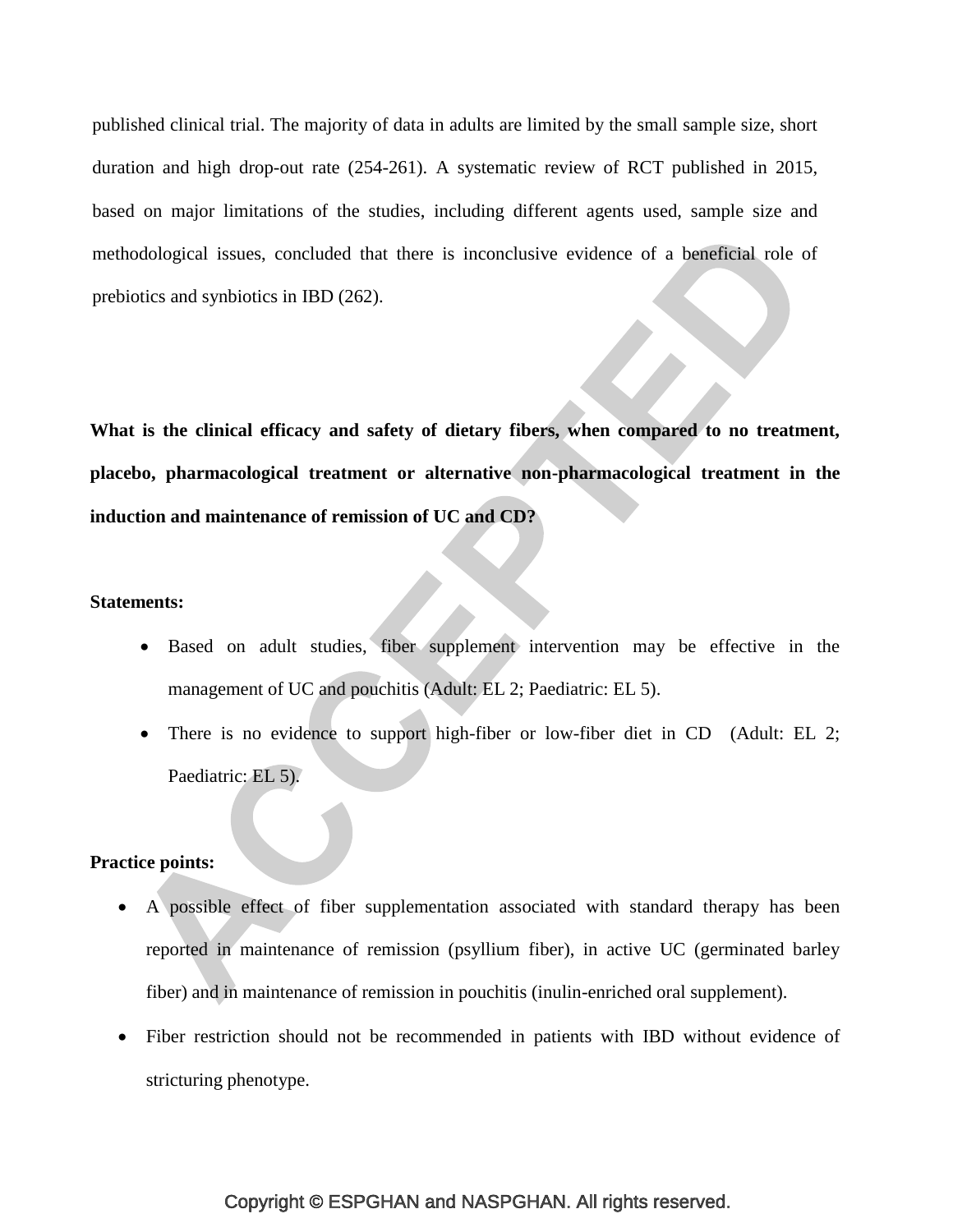published clinical trial. The majority of data in adults are limited by the small sample size, short duration and high drop-out rate [\(254-261\)](#page-57-5). A systematic review of RCT published in 2015, based on major limitations of the studies, including different agents used, sample size and methodological issues, concluded that there is inconclusive evidence of a beneficial role of prebiotics and synbiotics in IBD [\(262\)](#page-58-0).

**What is the clinical efficacy and safety of dietary fibers, when compared to no treatment, placebo, pharmacological treatment or alternative non-pharmacological treatment in the induction and maintenance of remission of UC and CD?**

## **Statements:**

- Based on adult studies, fiber supplement intervention may be effective in the management of UC and pouchitis (Adult: EL 2; Paediatric: EL 5).
- There is no evidence to support high-fiber or low-fiber diet in CD (Adult: EL 2; Paediatric: EL 5).

## **Practice points:**

- A possible effect of fiber supplementation associated with standard therapy has been reported in maintenance of remission (psyllium fiber), in active UC (germinated barley fiber) and in maintenance of remission in pouchitis (inulin-enriched oral supplement).
- Fiber restriction should not be recommended in patients with IBD without evidence of stricturing phenotype.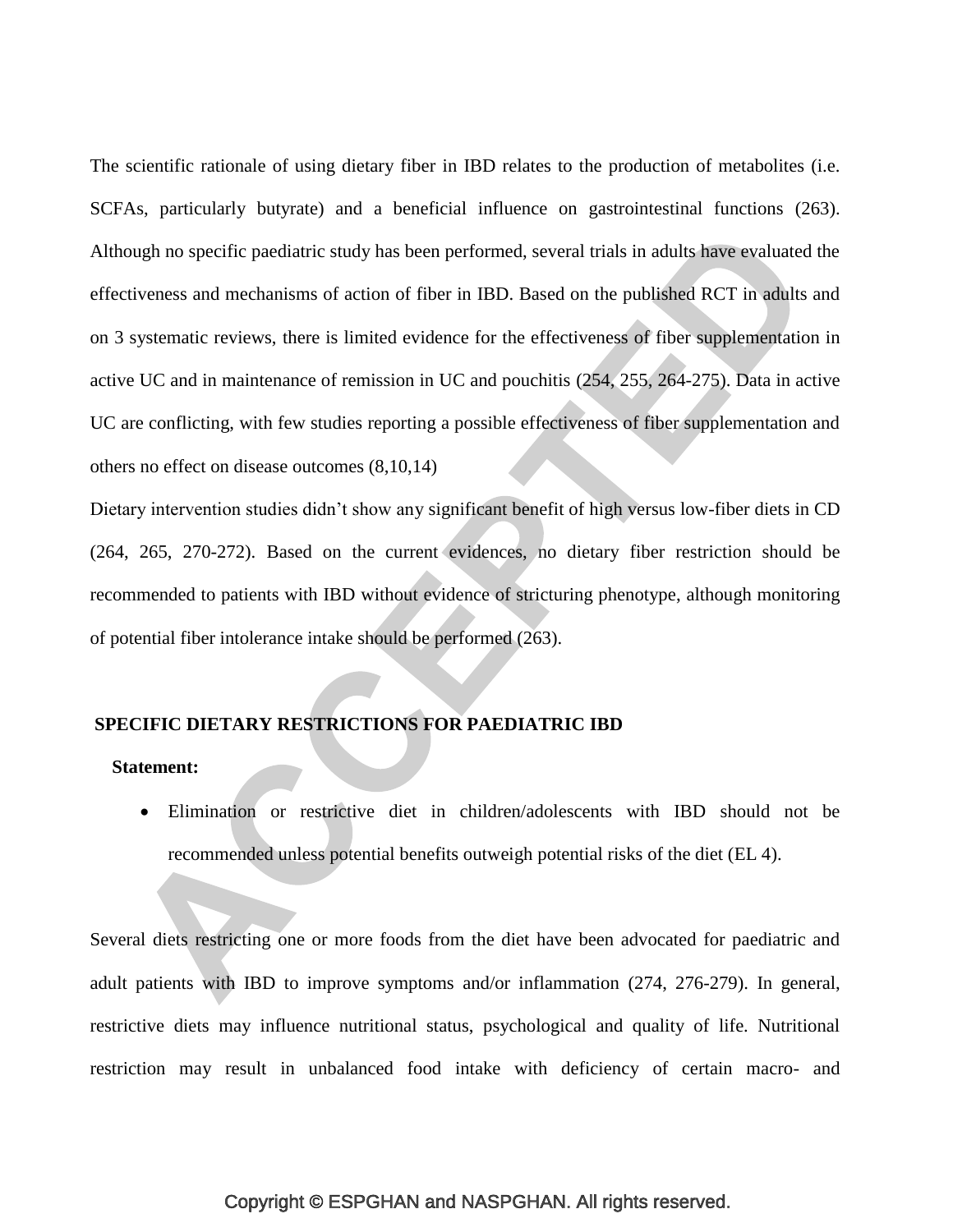The scientific rationale of using dietary fiber in IBD relates to the production of metabolites (i.e. SCFAs, particularly butyrate) and a beneficial influence on gastrointestinal functions [\(263\)](#page-58-1). Although no specific paediatric study has been performed, several trials in adults have evaluated the effectiveness and mechanisms of action of fiber in IBD. Based on the published RCT in adults and on 3 systematic reviews, there is limited evidence for the effectiveness of fiber supplementation in active UC and in maintenance of remission in UC and pouchitis [\(254,](#page-57-5) [255,](#page-57-6) [264-275\)](#page-59-0). Data in active UC are conflicting, with few studies reporting a possible effectiveness of fiber supplementation and others no effect on disease outcomes (8,10,14)

Dietary intervention studies didn't show any significant benefit of high versus low-fiber diets in CD [\(264,](#page-59-0) [265,](#page-59-1) [270-272\)](#page-59-2). Based on the current evidences, no dietary fiber restriction should be recommended to patients with IBD without evidence of stricturing phenotype, although monitoring of potential fiber intolerance intake should be performed [\(263\)](#page-58-1).

# **SPECIFIC DIETARY RESTRICTIONS FOR PAEDIATRIC IBD**

#### **Statement:**

 Elimination or restrictive diet in children/adolescents with IBD should not be recommended unless potential benefits outweigh potential risks of the diet (EL 4).

Several diets restricting one or more foods from the diet have been advocated for paediatric and adult patients with IBD to improve symptoms and/or inflammation [\(274,](#page-60-0) [276-279\)](#page-60-1). In general, restrictive diets may influence nutritional status, psychological and quality of life. Nutritional restriction may result in unbalanced food intake with deficiency of certain macro- and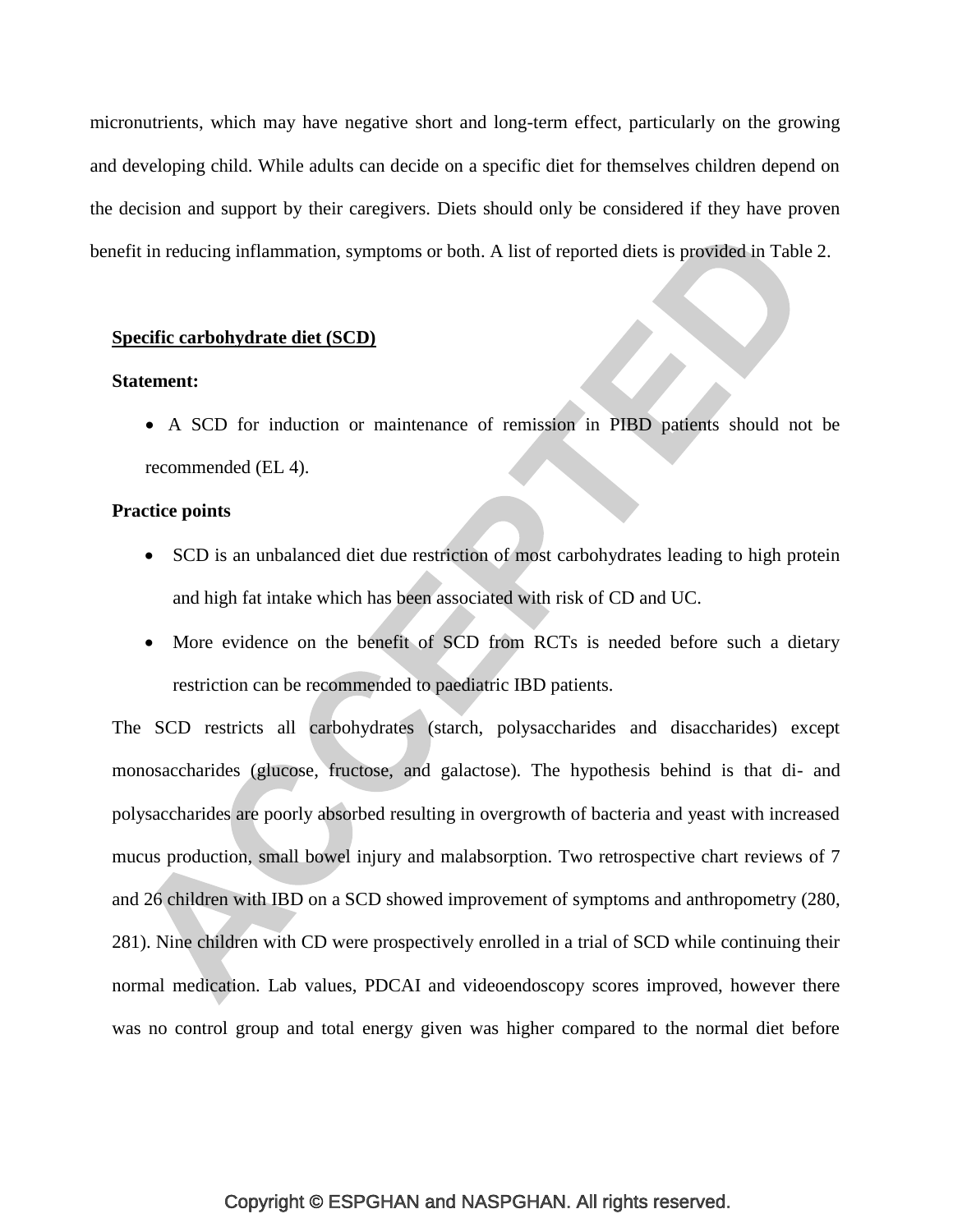micronutrients, which may have negative short and long-term effect, particularly on the growing and developing child. While adults can decide on a specific diet for themselves children depend on the decision and support by their caregivers. Diets should only be considered if they have proven benefit in reducing inflammation, symptoms or both. A list of reported diets is provided in Table 2.

#### **Specific carbohydrate diet (SCD)**

#### **Statement:**

 A SCD for induction or maintenance of remission in PIBD patients should not be recommended (EL 4).

## **Practice points**

- SCD is an unbalanced diet due restriction of most carbohydrates leading to high protein and high fat intake which has been associated with risk of CD and UC.
- More evidence on the benefit of SCD from RCTs is needed before such a dietary restriction can be recommended to paediatric IBD patients.

The SCD restricts all carbohydrates (starch, polysaccharides and disaccharides) except monosaccharides (glucose, fructose, and galactose). The hypothesis behind is that di- and polysaccharides are poorly absorbed resulting in overgrowth of bacteria and yeast with increased mucus production, small bowel injury and malabsorption. Two retrospective chart reviews of 7 and 26 children with IBD on a SCD showed improvement of symptoms and anthropometry [\(280,](#page-60-2) [281\)](#page-60-3). Nine children with CD were prospectively enrolled in a trial of SCD while continuing their normal medication. Lab values, PDCAI and videoendoscopy scores improved, however there was no control group and total energy given was higher compared to the normal diet before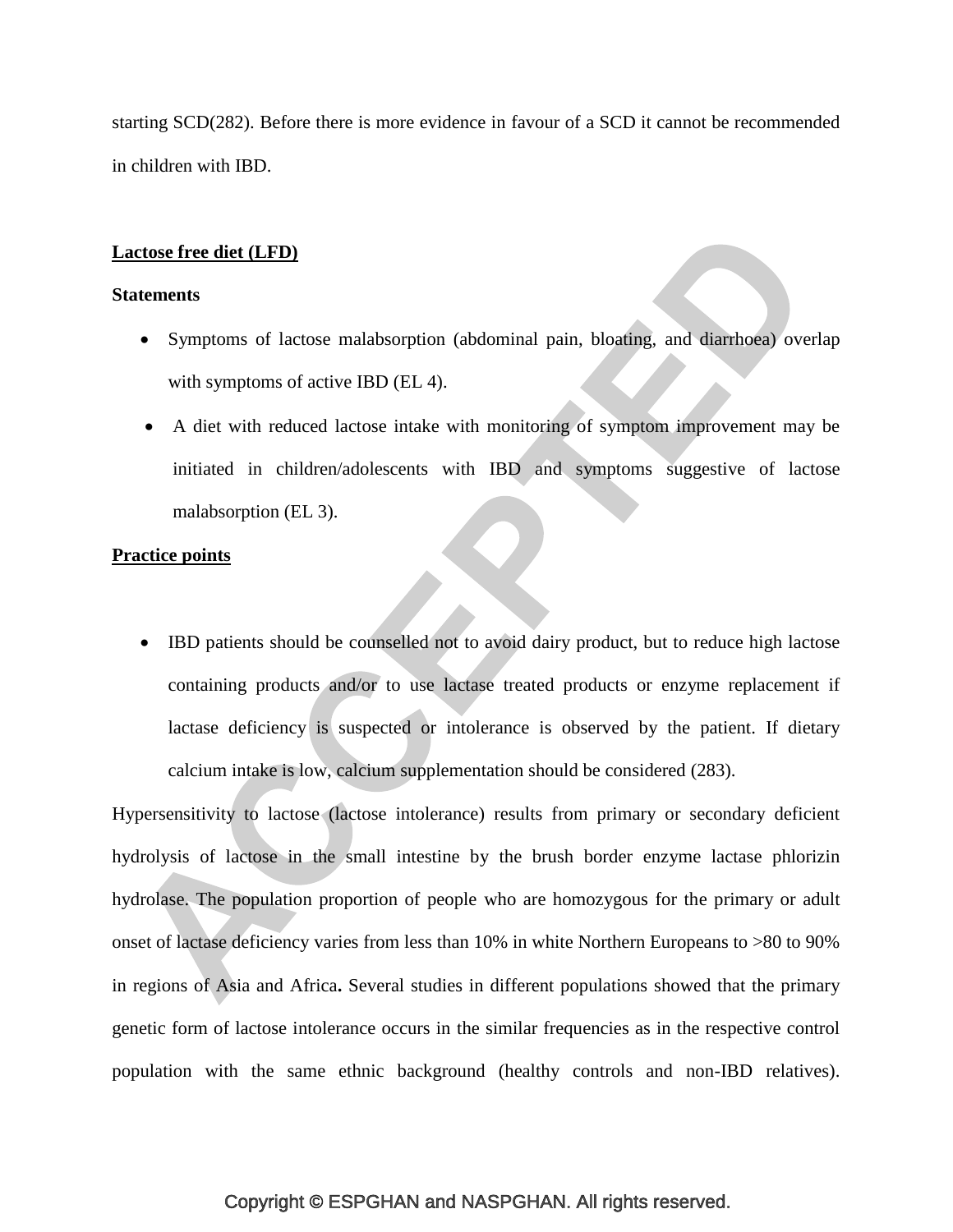starting SCD[\(282\)](#page-60-4). Before there is more evidence in favour of a SCD it cannot be recommended in children with IBD.

# **Lactose free diet (LFD)**

#### **Statements**

- Symptoms of lactose malabsorption (abdominal pain, bloating, and diarrhoea) overlap with symptoms of active IBD (EL 4).
- A diet with reduced lactose intake with monitoring of symptom improvement may be initiated in children/adolescents with IBD and symptoms suggestive of lactose malabsorption (EL 3).

#### **Practice points**

 IBD patients should be counselled not to avoid dairy product, but to reduce high lactose containing products and/or to use lactase treated products or enzyme replacement if lactase deficiency is suspected or intolerance is observed by the patient. If dietary calcium intake is low, calcium supplementation should be considered [\(283\)](#page-61-0).

Hypersensitivity to lactose (lactose intolerance) results from primary or secondary deficient hydrolysis of lactose in the small intestine by the brush border enzyme lactase phlorizin hydrolase. The population proportion of people who are homozygous for the primary or adult onset of lactase deficiency varies from less than 10% in white Northern Europeans to >80 to 90% in regions of Asia and Africa**.** Several studies in different populations showed that the primary genetic form of lactose intolerance occurs in the similar frequencies as in the respective control population with the same ethnic background (healthy controls and non-IBD relatives).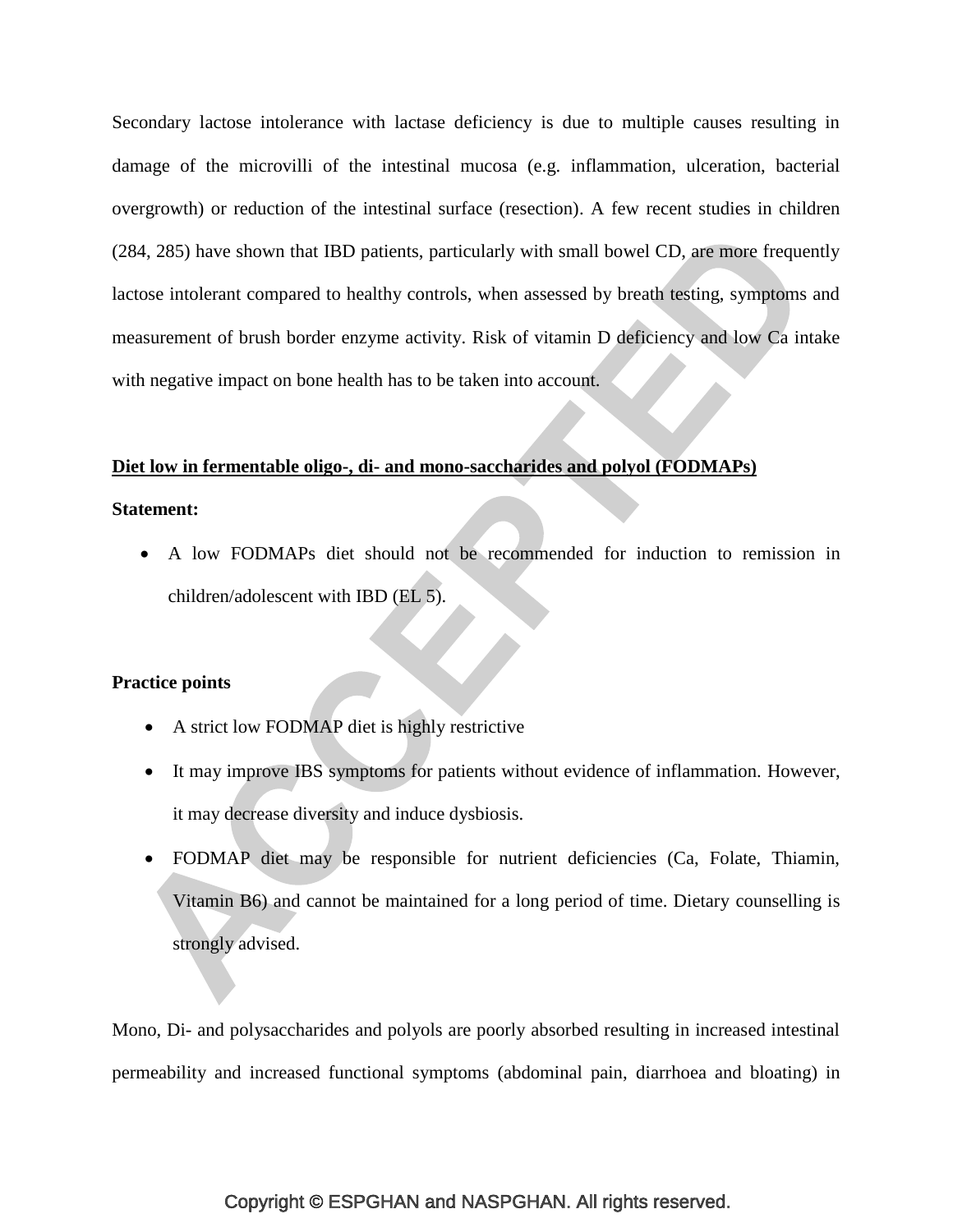Secondary lactose intolerance with lactase deficiency is due to multiple causes resulting in damage of the microvilli of the intestinal mucosa (e.g. inflammation, ulceration, bacterial overgrowth) or reduction of the intestinal surface (resection). A few recent studies in children [\(284,](#page-61-1) [285\)](#page-61-2) have shown that IBD patients, particularly with small bowel CD, are more frequently lactose intolerant compared to healthy controls, when assessed by breath testing, symptoms and measurement of brush border enzyme activity. Risk of vitamin D deficiency and low Ca intake with negative impact on bone health has to be taken into account.

#### **Diet low in fermentable oligo-, di- and mono-saccharides and polyol (FODMAPs)**

#### **Statement:**

 A low FODMAPs diet should not be recommended for induction to remission in children/adolescent with IBD (EL 5).

#### **Practice points**

- A strict low FODMAP diet is highly restrictive
- It may improve IBS symptoms for patients without evidence of inflammation. However, it may decrease diversity and induce dysbiosis.
- FODMAP diet may be responsible for nutrient deficiencies (Ca, Folate, Thiamin, Vitamin B6) and cannot be maintained for a long period of time. Dietary counselling is strongly advised.

Mono, Di- and polysaccharides and polyols are poorly absorbed resulting in increased intestinal permeability and increased functional symptoms (abdominal pain, diarrhoea and bloating) in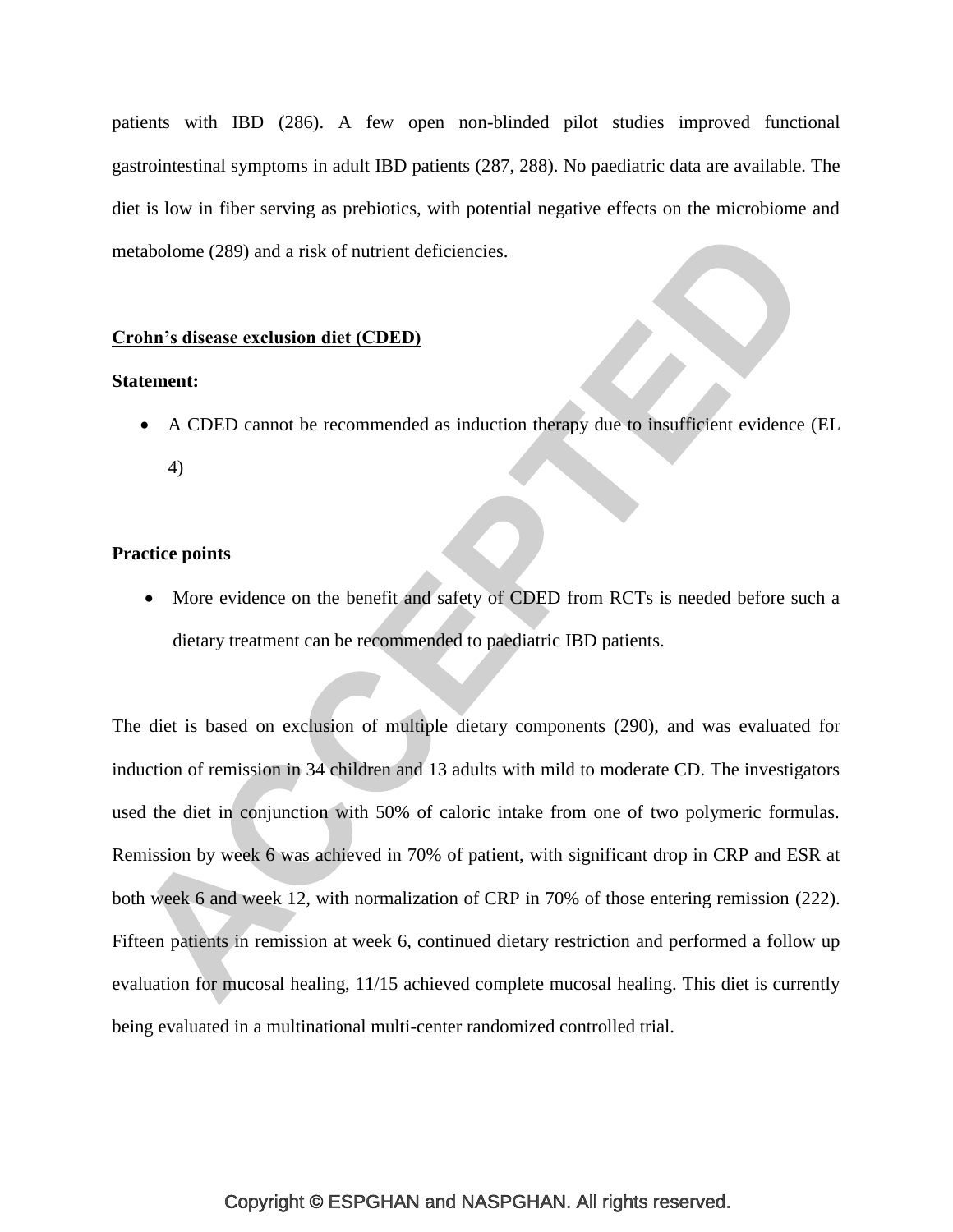patients with IBD [\(286\)](#page-61-3). A few open non-blinded pilot studies improved functional gastrointestinal symptoms in adult IBD patients [\(287,](#page-61-4) [288\)](#page-61-5). No paediatric data are available. The diet is low in fiber serving as prebiotics, with potential negative effects on the microbiome and metabolome [\(289\)](#page-61-6) and a risk of nutrient deficiencies.

#### **Crohn's disease exclusion diet (CDED)**

## **Statement:**

 A CDED cannot be recommended as induction therapy due to insufficient evidence (EL 4)

# **Practice points**

 More evidence on the benefit and safety of CDED from RCTs is needed before such a dietary treatment can be recommended to paediatric IBD patients.

The diet is based on exclusion of multiple dietary components [\(290\)](#page-61-7), and was evaluated for induction of remission in 34 children and 13 adults with mild to moderate CD. The investigators used the diet in conjunction with 50% of caloric intake from one of two polymeric formulas. Remission by week 6 was achieved in 70% of patient, with significant drop in CRP and ESR at both week 6 and week 12, with normalization of CRP in 70% of those entering remission [\(222\)](#page-54-0). Fifteen patients in remission at week 6, continued dietary restriction and performed a follow up evaluation for mucosal healing, 11/15 achieved complete mucosal healing. This diet is currently being evaluated in a multinational multi-center randomized controlled trial.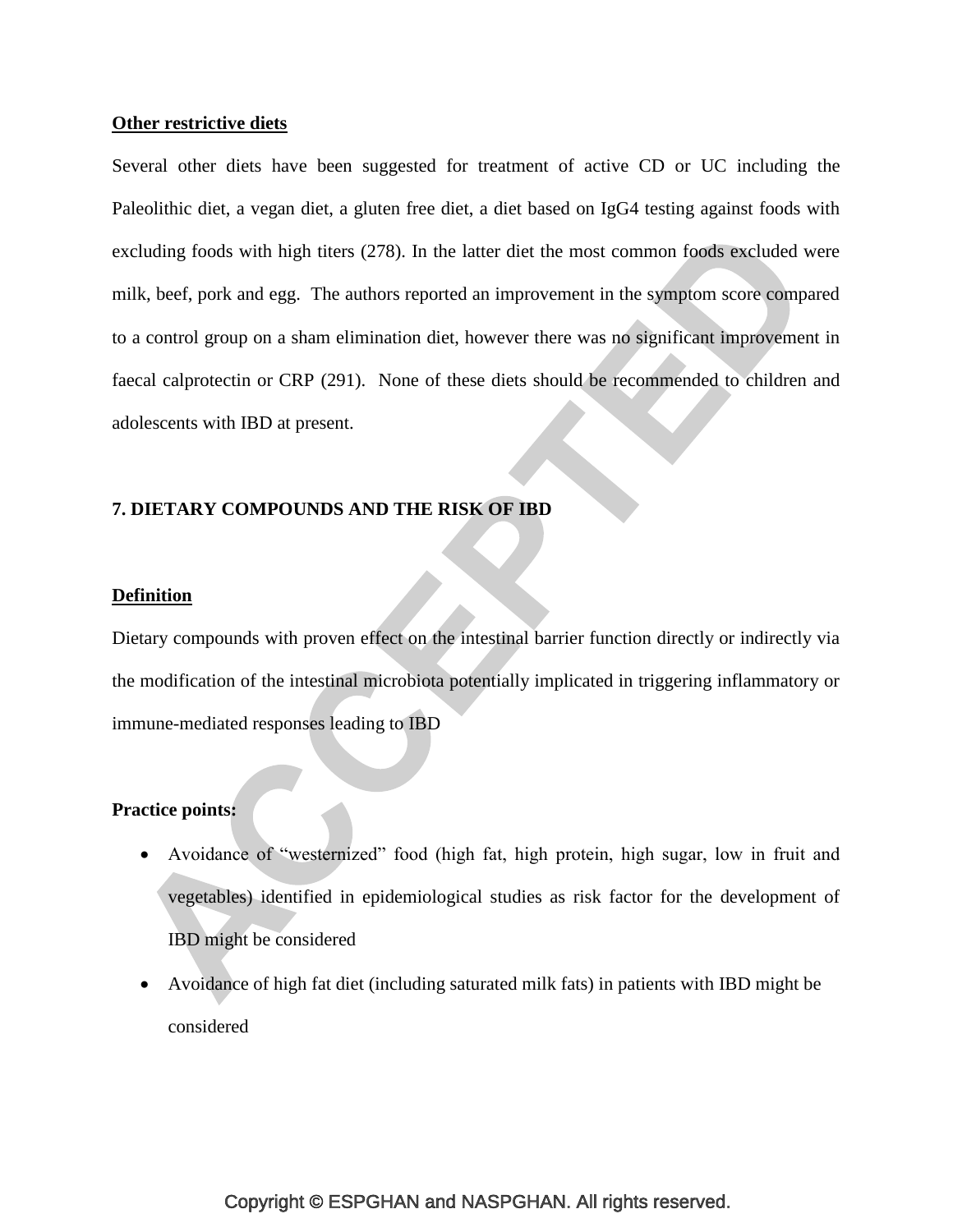#### **Other restrictive diets**

Several other diets have been suggested for treatment of active CD or UC including the Paleolithic diet, a vegan diet, a gluten free diet, a diet based on IgG4 testing against foods with excluding foods with high titers [\(278\)](#page-60-5). In the latter diet the most common foods excluded were milk, beef, pork and egg. The authors reported an improvement in the symptom score compared to a control group on a sham elimination diet, however there was no significant improvement in faecal calprotectin or CRP [\(291\)](#page-61-8). None of these diets should be recommended to children and adolescents with IBD at present.

# **7. DIETARY COMPOUNDS AND THE RISK OF IBD**

#### **Definition**

Dietary compounds with proven effect on the intestinal barrier function directly or indirectly via the modification of the intestinal microbiota potentially implicated in triggering inflammatory or immune-mediated responses leading to IBD

# **Practice points:**

- Avoidance of "westernized" food (high fat, high protein, high sugar, low in fruit and vegetables) identified in epidemiological studies as risk factor for the development of IBD might be considered
- Avoidance of high fat diet (including saturated milk fats) in patients with IBD might be considered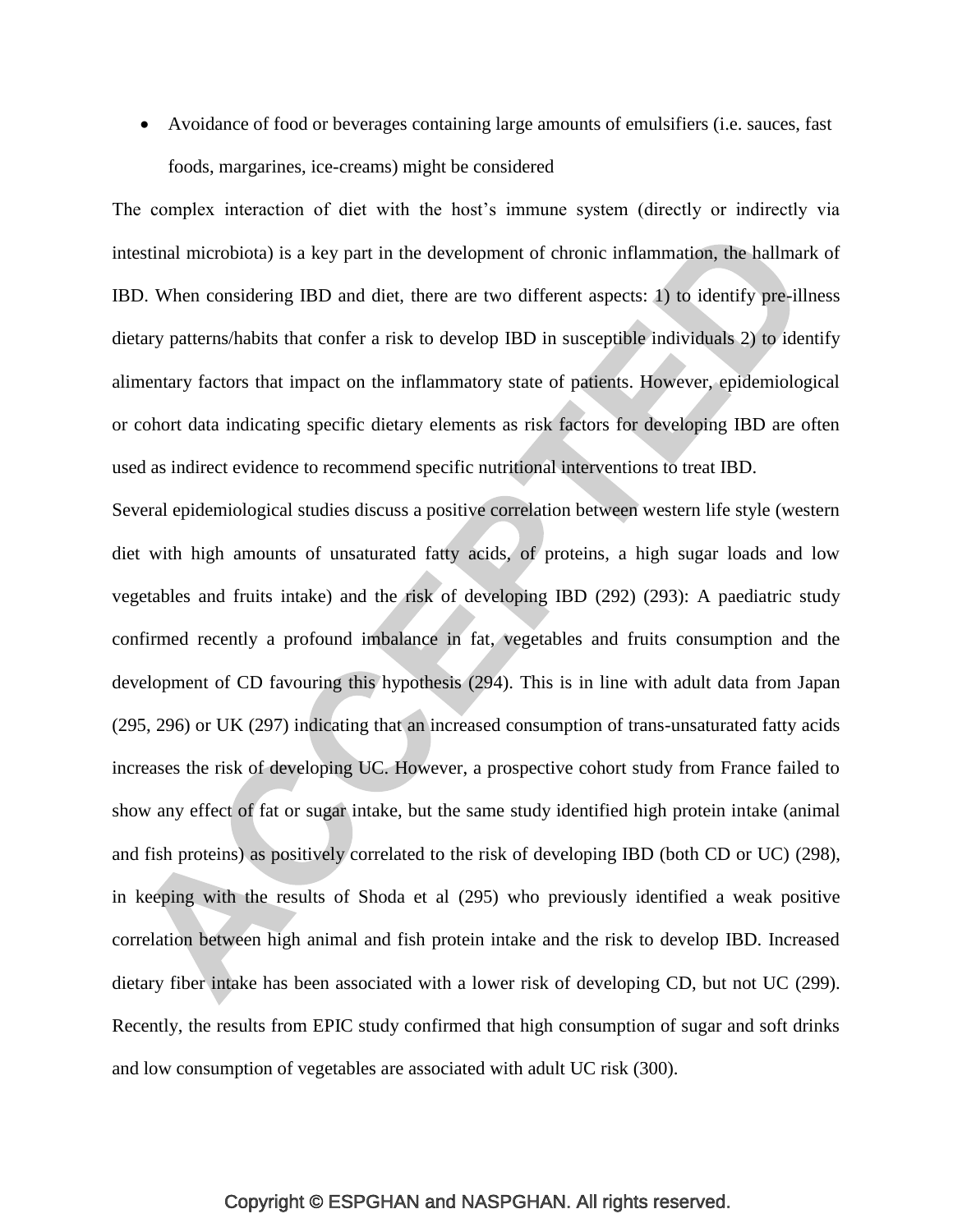Avoidance of food or beverages containing large amounts of emulsifiers (i.e. sauces, fast foods, margarines, ice-creams) might be considered

The complex interaction of diet with the host's immune system (directly or indirectly via intestinal microbiota) is a key part in the development of chronic inflammation, the hallmark of IBD. When considering IBD and diet, there are two different aspects: 1) to identify pre-illness dietary patterns/habits that confer a risk to develop IBD in susceptible individuals 2) to identify alimentary factors that impact on the inflammatory state of patients. However, epidemiological or cohort data indicating specific dietary elements as risk factors for developing IBD are often used as indirect evidence to recommend specific nutritional interventions to treat IBD.

Several epidemiological studies discuss a positive correlation between western life style (western diet with high amounts of unsaturated fatty acids, of proteins, a high sugar loads and low vegetables and fruits intake) and the risk of developing IBD [\(292\)](#page-62-0) [\(293\)](#page-62-1): A paediatric study confirmed recently a profound imbalance in fat, vegetables and fruits consumption and the development of CD favouring this hypothesis [\(294\)](#page-62-2). This is in line with adult data from Japan [\(295,](#page-62-3) [296\)](#page-62-4) or UK [\(297\)](#page-62-5) indicating that an increased consumption of trans-unsaturated fatty acids increases the risk of developing UC. However, a prospective cohort study from France failed to show any effect of fat or sugar intake, but the same study identified high protein intake (animal and fish proteins) as positively correlated to the risk of developing IBD (both CD or UC) [\(298\)](#page-62-6), in keeping with the results of Shoda et al [\(295\)](#page-62-3) who previously identified a weak positive correlation between high animal and fish protein intake and the risk to develop IBD. Increased dietary fiber intake has been associated with a lower risk of developing CD, but not UC [\(299\)](#page-62-7). Recently, the results from EPIC study confirmed that high consumption of sugar and soft drinks and low consumption of vegetables are associated with adult UC risk [\(300\)](#page-62-8).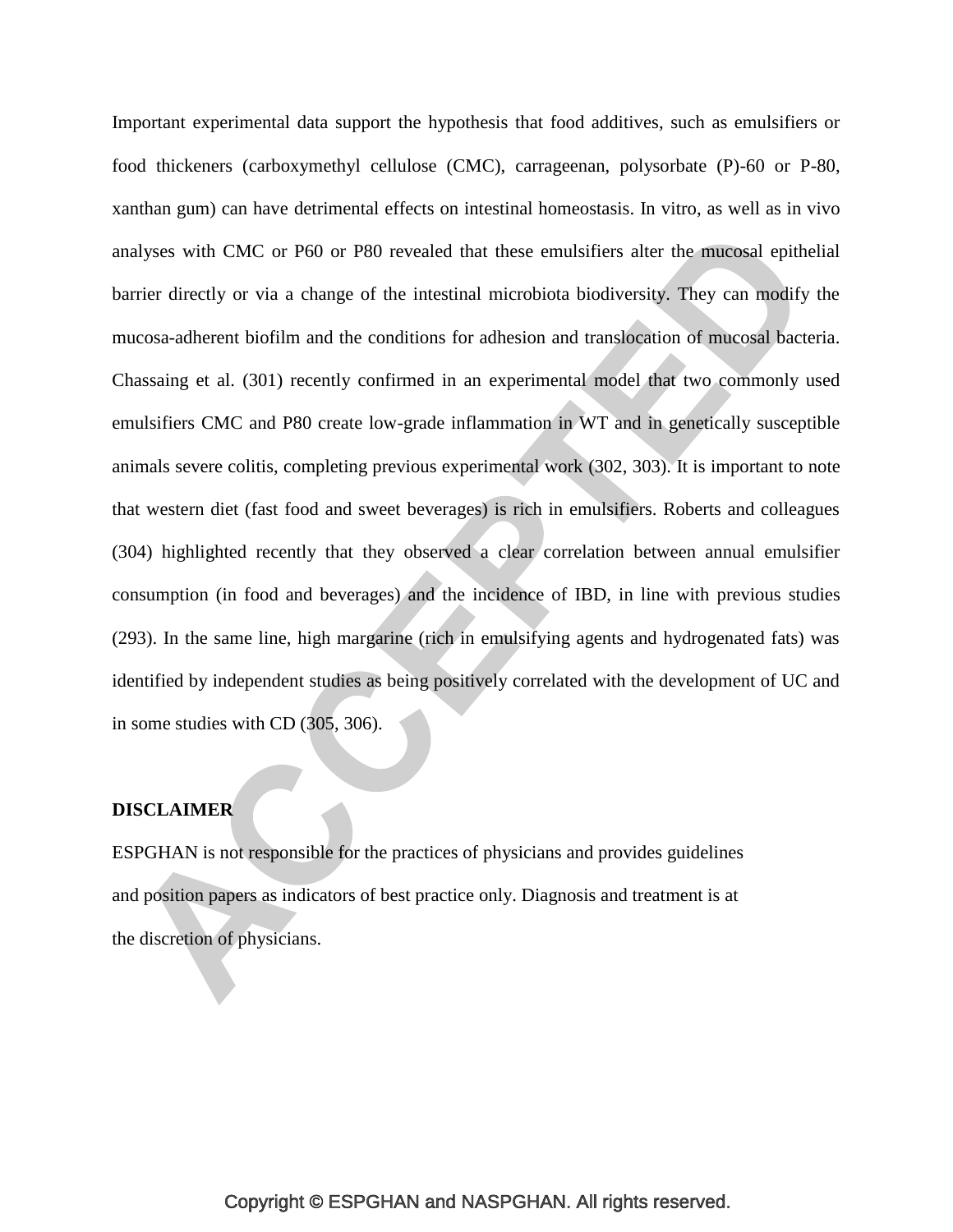Important experimental data support the hypothesis that food additives, such as emulsifiers or food thickeners (carboxymethyl cellulose (CMC), carrageenan, polysorbate (P)-60 or P-80, xanthan gum) can have detrimental effects on intestinal homeostasis. In vitro, as well as in vivo analyses with CMC or P60 or P80 revealed that these emulsifiers alter the mucosal epithelial barrier directly or via a change of the intestinal microbiota biodiversity. They can modify the mucosa-adherent biofilm and the conditions for adhesion and translocation of mucosal bacteria. Chassaing et al. [\(301\)](#page-63-0) recently confirmed in an experimental model that two commonly used emulsifiers CMC and P80 create low-grade inflammation in WT and in genetically susceptible animals severe colitis, completing previous experimental work [\(302,](#page-63-1) [303\)](#page-63-2). It is important to note that western diet (fast food and sweet beverages) is rich in emulsifiers. Roberts and colleagues [\(304\)](#page-63-3) highlighted recently that they observed a clear correlation between annual emulsifier consumption (in food and beverages) and the incidence of IBD, in line with previous studies [\(293\)](#page-62-1). In the same line, high margarine (rich in emulsifying agents and hydrogenated fats) was identified by independent studies as being positively correlated with the development of UC and in some studies with CD [\(305,](#page-63-4) [306\)](#page-63-5).

# **DISCLAIMER**

ESPGHAN is not responsible for the practices of physicians and provides guidelines and position papers as indicators of best practice only. Diagnosis and treatment is at the discretion of physicians.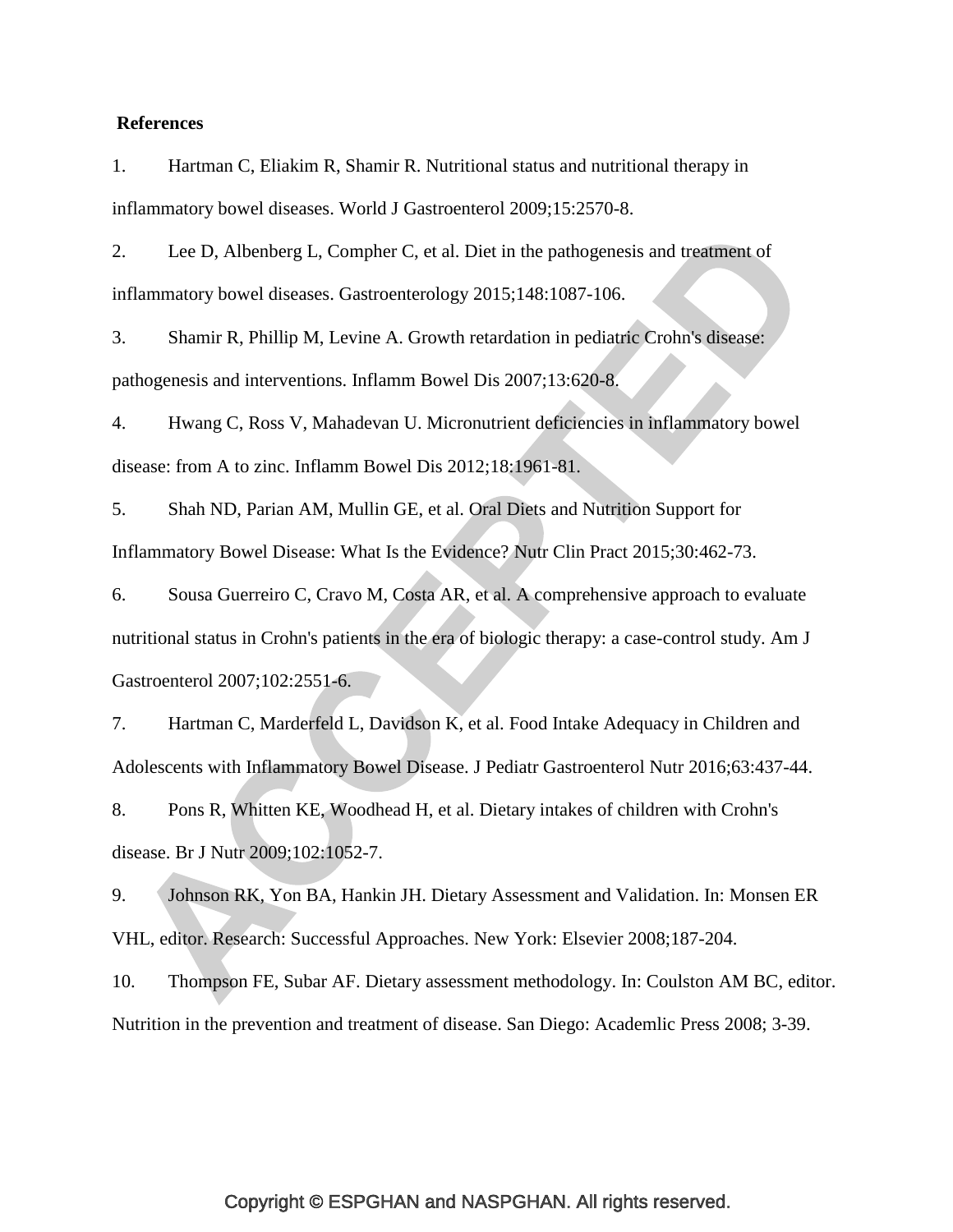#### **References**

1. Hartman C, Eliakim R, Shamir R. Nutritional status and nutritional therapy in inflammatory bowel diseases. World J Gastroenterol 2009;15:2570-8.

2. Lee D, Albenberg L, Compher C, et al. Diet in the pathogenesis and treatment of inflammatory bowel diseases. Gastroenterology 2015;148:1087-106.

3. Shamir R, Phillip M, Levine A. Growth retardation in pediatric Crohn's disease: pathogenesis and interventions. Inflamm Bowel Dis 2007;13:620-8.

4. Hwang C, Ross V, Mahadevan U. Micronutrient deficiencies in inflammatory bowel disease: from A to zinc. Inflamm Bowel Dis 2012;18:1961-81.

5. Shah ND, Parian AM, Mullin GE, et al. Oral Diets and Nutrition Support for Inflammatory Bowel Disease: What Is the Evidence? Nutr Clin Pract 2015;30:462-73.

6. Sousa Guerreiro C, Cravo M, Costa AR, et al. A comprehensive approach to evaluate nutritional status in Crohn's patients in the era of biologic therapy: a case-control study. Am J Gastroenterol 2007;102:2551-6.

7. Hartman C, Marderfeld L, Davidson K, et al. Food Intake Adequacy in Children and Adolescents with Inflammatory Bowel Disease. J Pediatr Gastroenterol Nutr 2016;63:437-44.

8. Pons R, Whitten KE, Woodhead H, et al. Dietary intakes of children with Crohn's disease. Br J Nutr 2009;102:1052-7.

9. Johnson RK, Yon BA, Hankin JH. Dietary Assessment and Validation. In: Monsen ER VHL, editor. Research: Successful Approaches. New York: Elsevier 2008;187-204.

10. Thompson FE, Subar AF. Dietary assessment methodology. In: Coulston AM BC, editor. Nutrition in the prevention and treatment of disease. San Diego: Academlic Press 2008; 3-39.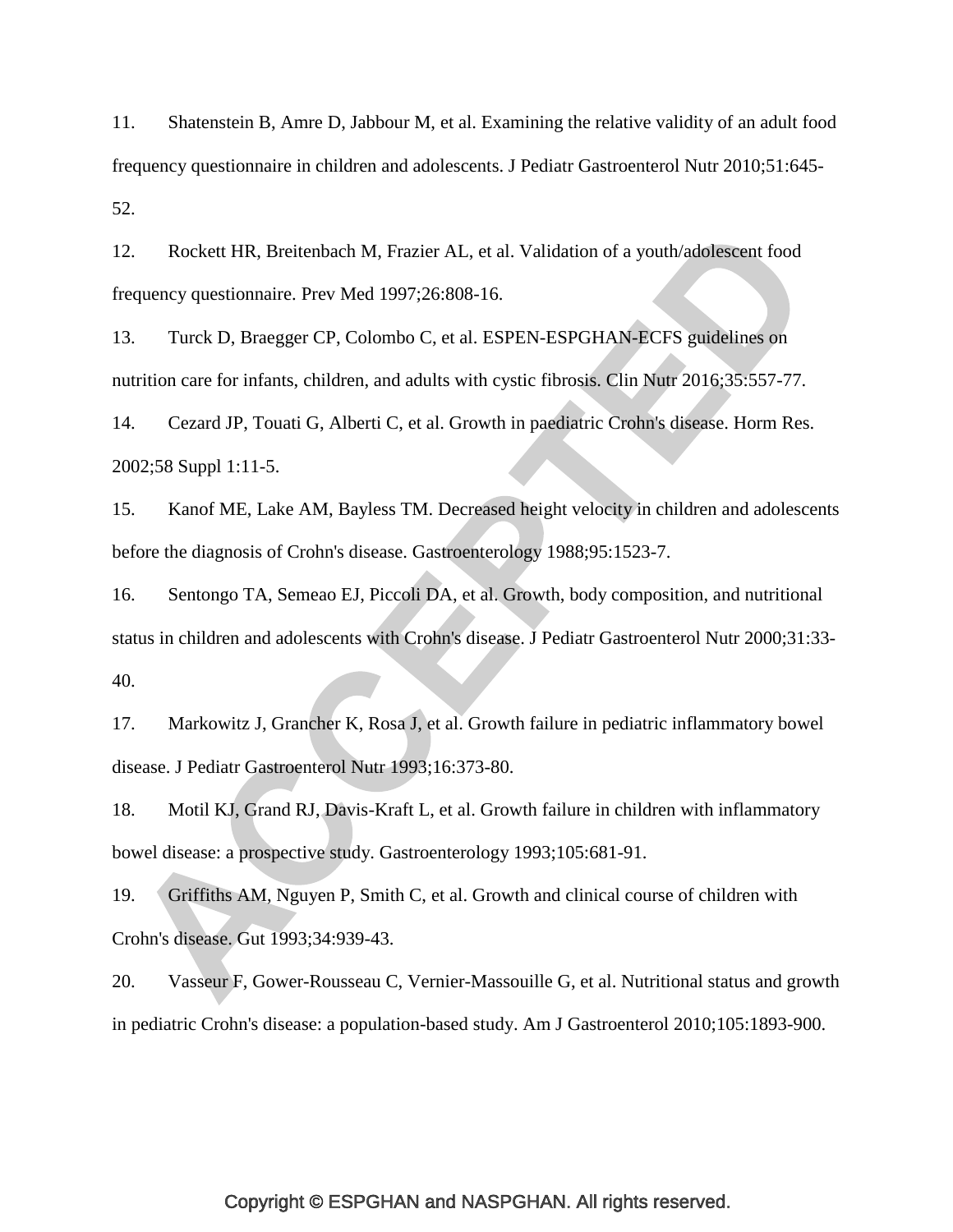11. Shatenstein B, Amre D, Jabbour M, et al. Examining the relative validity of an adult food frequency questionnaire in children and adolescents. J Pediatr Gastroenterol Nutr 2010;51:645- 52.

12. Rockett HR, Breitenbach M, Frazier AL, et al. Validation of a youth/adolescent food frequency questionnaire. Prev Med 1997;26:808-16.

13. Turck D, Braegger CP, Colombo C, et al. ESPEN-ESPGHAN-ECFS guidelines on nutrition care for infants, children, and adults with cystic fibrosis. Clin Nutr 2016;35:557-77.

14. Cezard JP, Touati G, Alberti C, et al. Growth in paediatric Crohn's disease. Horm Res. 2002;58 Suppl 1:11-5.

15. Kanof ME, Lake AM, Bayless TM. Decreased height velocity in children and adolescents before the diagnosis of Crohn's disease. Gastroenterology 1988;95:1523-7.

16. Sentongo TA, Semeao EJ, Piccoli DA, et al. Growth, body composition, and nutritional status in children and adolescents with Crohn's disease. J Pediatr Gastroenterol Nutr 2000;31:33- 40.

17. Markowitz J, Grancher K, Rosa J, et al. Growth failure in pediatric inflammatory bowel disease. J Pediatr Gastroenterol Nutr 1993;16:373-80.

18. Motil KJ, Grand RJ, Davis-Kraft L, et al. Growth failure in children with inflammatory bowel disease: a prospective study. Gastroenterology 1993;105:681-91.

19. Griffiths AM, Nguyen P, Smith C, et al. Growth and clinical course of children with Crohn's disease. Gut 1993;34:939-43.

20. Vasseur F, Gower-Rousseau C, Vernier-Massouille G, et al. Nutritional status and growth in pediatric Crohn's disease: a population-based study. Am J Gastroenterol 2010;105:1893-900.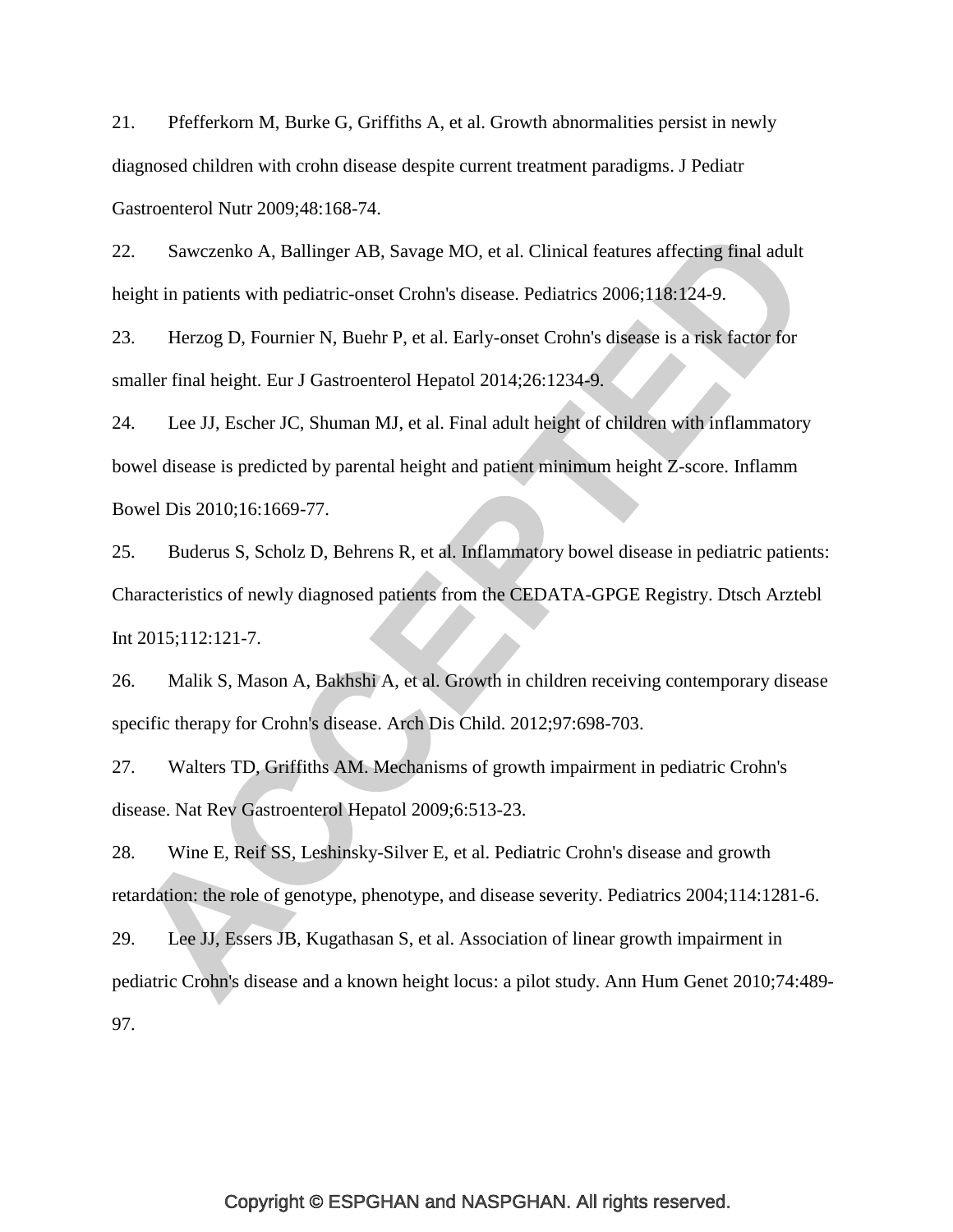21. Pfefferkorn M, Burke G, Griffiths A, et al. Growth abnormalities persist in newly diagnosed children with crohn disease despite current treatment paradigms. J Pediatr Gastroenterol Nutr 2009;48:168-74.

22. Sawczenko A, Ballinger AB, Savage MO, et al. Clinical features affecting final adult height in patients with pediatric-onset Crohn's disease. Pediatrics 2006;118:124-9.

23. Herzog D, Fournier N, Buehr P, et al. Early-onset Crohn's disease is a risk factor for smaller final height. Eur J Gastroenterol Hepatol 2014;26:1234-9.

24. Lee JJ, Escher JC, Shuman MJ, et al. Final adult height of children with inflammatory bowel disease is predicted by parental height and patient minimum height Z-score. Inflamm Bowel Dis 2010;16:1669-77.

25. Buderus S, Scholz D, Behrens R, et al. Inflammatory bowel disease in pediatric patients: Characteristics of newly diagnosed patients from the CEDATA-GPGE Registry. Dtsch Arztebl Int 2015;112:121-7.

26. Malik S, Mason A, Bakhshi A, et al. Growth in children receiving contemporary disease specific therapy for Crohn's disease. Arch Dis Child. 2012;97:698-703.

27. Walters TD, Griffiths AM. Mechanisms of growth impairment in pediatric Crohn's disease. Nat Rev Gastroenterol Hepatol 2009;6:513-23.

28. Wine E, Reif SS, Leshinsky-Silver E, et al. Pediatric Crohn's disease and growth retardation: the role of genotype, phenotype, and disease severity. Pediatrics 2004;114:1281-6.

29. Lee JJ, Essers JB, Kugathasan S, et al. Association of linear growth impairment in pediatric Crohn's disease and a known height locus: a pilot study. Ann Hum Genet 2010;74:489- 97.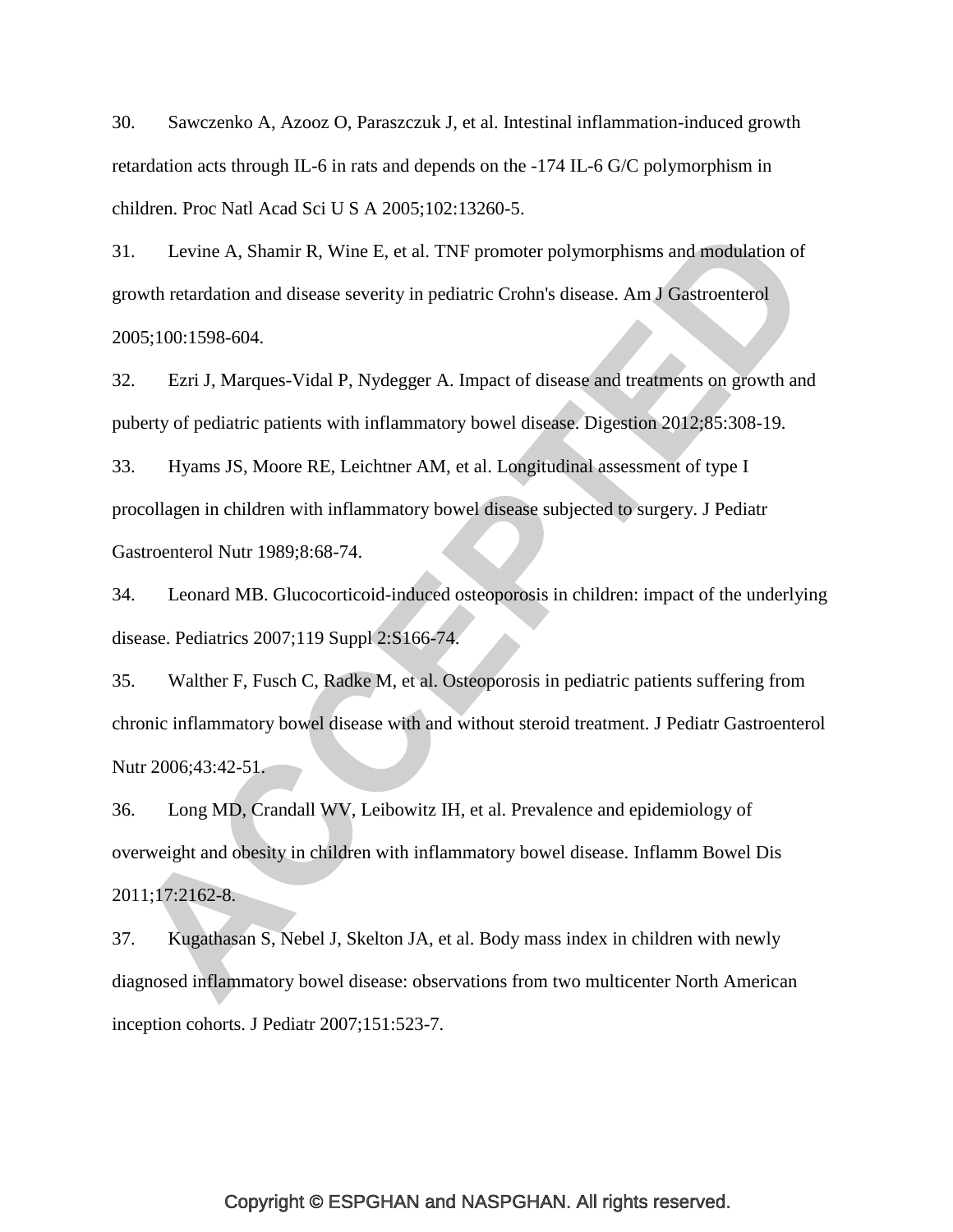30. Sawczenko A, Azooz O, Paraszczuk J, et al. Intestinal inflammation-induced growth retardation acts through IL-6 in rats and depends on the -174 IL-6 G/C polymorphism in children. Proc Natl Acad Sci U S A 2005;102:13260-5.

31. Levine A, Shamir R, Wine E, et al. TNF promoter polymorphisms and modulation of growth retardation and disease severity in pediatric Crohn's disease. Am J Gastroenterol 2005;100:1598-604.

32. Ezri J, Marques-Vidal P, Nydegger A. Impact of disease and treatments on growth and puberty of pediatric patients with inflammatory bowel disease. Digestion 2012;85:308-19.

33. Hyams JS, Moore RE, Leichtner AM, et al. Longitudinal assessment of type I procollagen in children with inflammatory bowel disease subjected to surgery. J Pediatr Gastroenterol Nutr 1989;8:68-74.

34. Leonard MB. Glucocorticoid-induced osteoporosis in children: impact of the underlying disease. Pediatrics 2007;119 Suppl 2:S166-74.

35. Walther F, Fusch C, Radke M, et al. Osteoporosis in pediatric patients suffering from chronic inflammatory bowel disease with and without steroid treatment. J Pediatr Gastroenterol Nutr 2006;43:42-51.

36. Long MD, Crandall WV, Leibowitz IH, et al. Prevalence and epidemiology of overweight and obesity in children with inflammatory bowel disease. Inflamm Bowel Dis 2011;17:2162-8.

37. Kugathasan S, Nebel J, Skelton JA, et al. Body mass index in children with newly diagnosed inflammatory bowel disease: observations from two multicenter North American inception cohorts. J Pediatr 2007;151:523-7.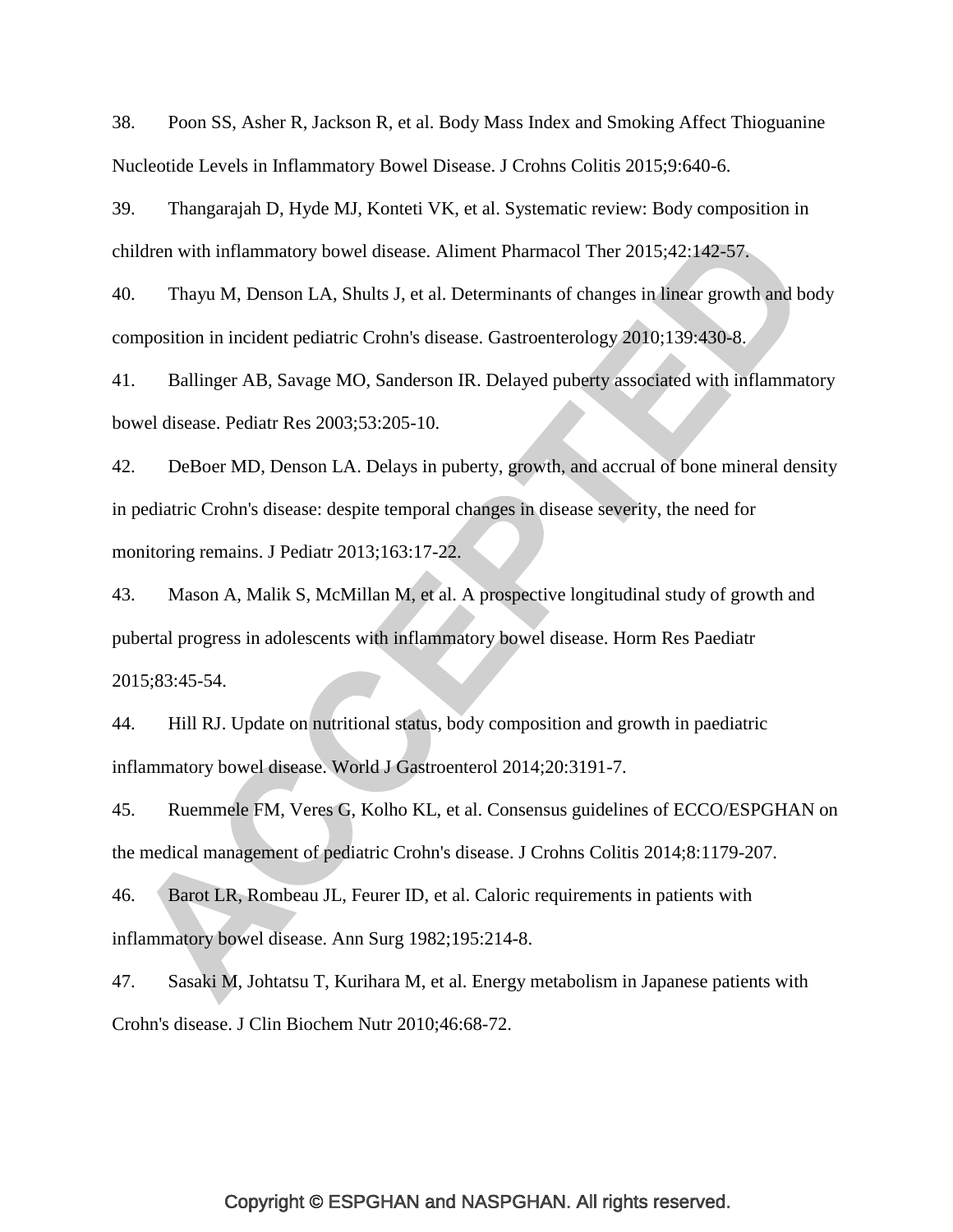38. Poon SS, Asher R, Jackson R, et al. Body Mass Index and Smoking Affect Thioguanine Nucleotide Levels in Inflammatory Bowel Disease. J Crohns Colitis 2015;9:640-6.

39. Thangarajah D, Hyde MJ, Konteti VK, et al. Systematic review: Body composition in children with inflammatory bowel disease. Aliment Pharmacol Ther 2015;42:142-57.

40. Thayu M, Denson LA, Shults J, et al. Determinants of changes in linear growth and body composition in incident pediatric Crohn's disease. Gastroenterology 2010;139:430-8.

41. Ballinger AB, Savage MO, Sanderson IR. Delayed puberty associated with inflammatory bowel disease. Pediatr Res 2003;53:205-10.

42. DeBoer MD, Denson LA. Delays in puberty, growth, and accrual of bone mineral density in pediatric Crohn's disease: despite temporal changes in disease severity, the need for monitoring remains. J Pediatr 2013;163:17-22.

43. Mason A, Malik S, McMillan M, et al. A prospective longitudinal study of growth and pubertal progress in adolescents with inflammatory bowel disease. Horm Res Paediatr 2015;83:45-54.

44. Hill RJ. Update on nutritional status, body composition and growth in paediatric inflammatory bowel disease. World J Gastroenterol 2014;20:3191-7.

<span id="page-34-0"></span>45. Ruemmele FM, Veres G, Kolho KL, et al. Consensus guidelines of ECCO/ESPGHAN on the medical management of pediatric Crohn's disease. J Crohns Colitis 2014;8:1179-207.

46. Barot LR, Rombeau JL, Feurer ID, et al. Caloric requirements in patients with inflammatory bowel disease. Ann Surg 1982;195:214-8.

47. Sasaki M, Johtatsu T, Kurihara M, et al. Energy metabolism in Japanese patients with Crohn's disease. J Clin Biochem Nutr 2010;46:68-72.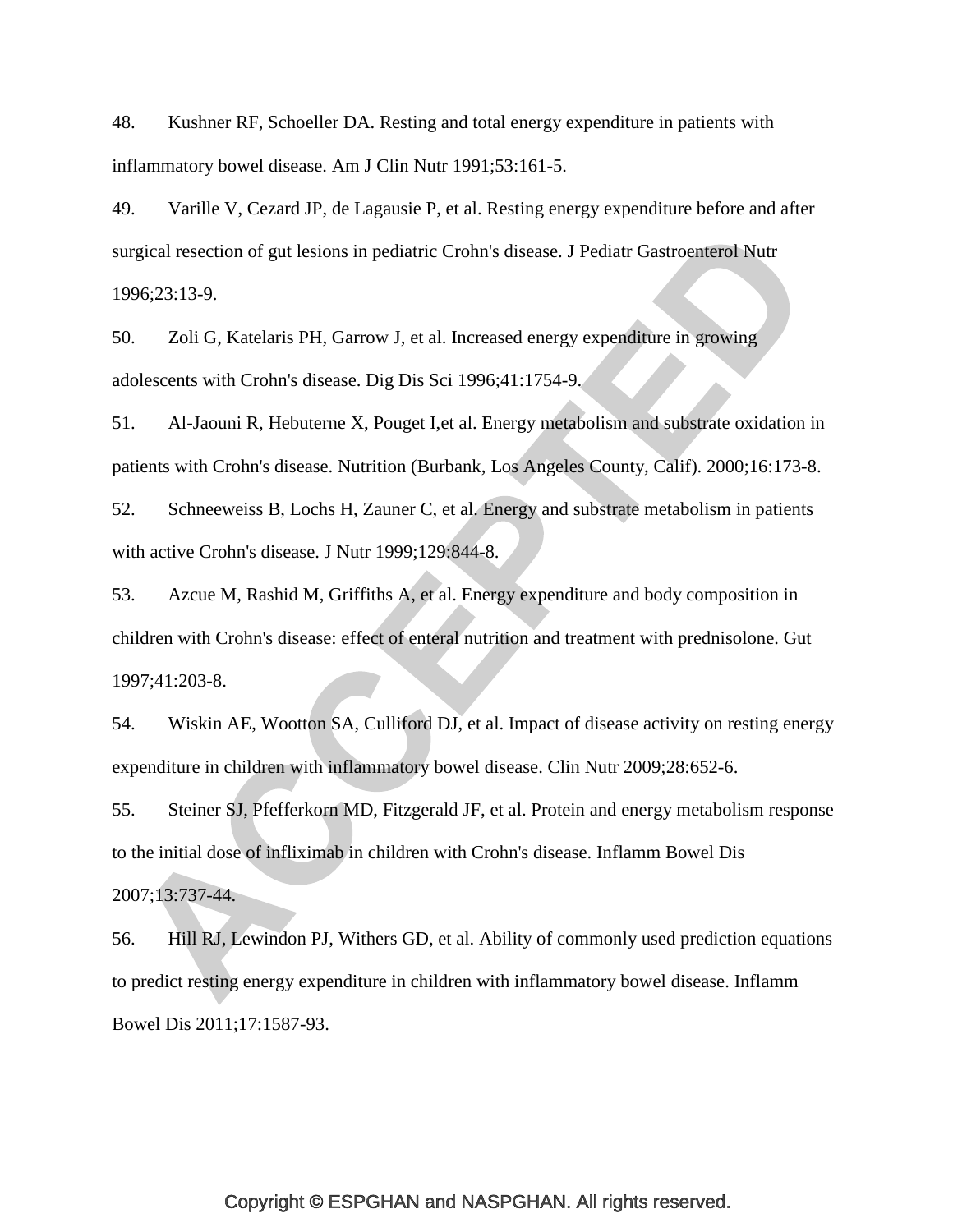48. Kushner RF, Schoeller DA. Resting and total energy expenditure in patients with inflammatory bowel disease. Am J Clin Nutr 1991;53:161-5.

49. Varille V, Cezard JP, de Lagausie P, et al. Resting energy expenditure before and after surgical resection of gut lesions in pediatric Crohn's disease. J Pediatr Gastroenterol Nutr 1996;23:13-9.

50. Zoli G, Katelaris PH, Garrow J, et al. Increased energy expenditure in growing adolescents with Crohn's disease. Dig Dis Sci 1996;41:1754-9.

51. Al-Jaouni R, Hebuterne X, Pouget I,et al. Energy metabolism and substrate oxidation in patients with Crohn's disease. Nutrition (Burbank, Los Angeles County, Calif). 2000;16:173-8.

52. Schneeweiss B, Lochs H, Zauner C, et al. Energy and substrate metabolism in patients with active Crohn's disease. J Nutr 1999;129:844-8.

<span id="page-35-0"></span>53. Azcue M, Rashid M, Griffiths A, et al. Energy expenditure and body composition in children with Crohn's disease: effect of enteral nutrition and treatment with prednisolone. Gut 1997;41:203-8.

54. Wiskin AE, Wootton SA, Culliford DJ, et al. Impact of disease activity on resting energy expenditure in children with inflammatory bowel disease. Clin Nutr 2009;28:652-6.

55. Steiner SJ, Pfefferkorn MD, Fitzgerald JF, et al. Protein and energy metabolism response to the initial dose of infliximab in children with Crohn's disease. Inflamm Bowel Dis 2007;13:737-44.

56. Hill RJ, Lewindon PJ, Withers GD, et al. Ability of commonly used prediction equations to predict resting energy expenditure in children with inflammatory bowel disease. Inflamm Bowel Dis 2011;17:1587-93.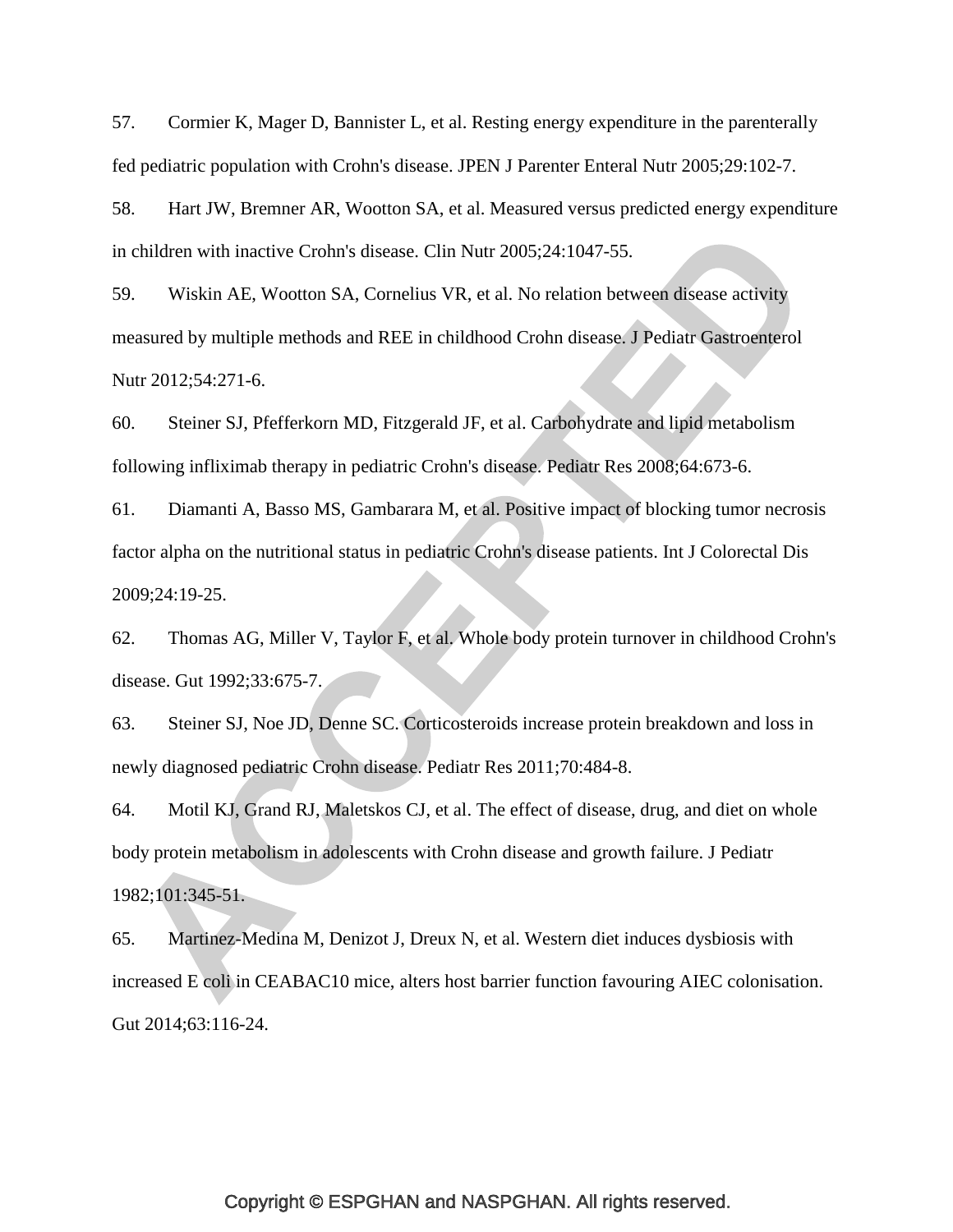57. Cormier K, Mager D, Bannister L, et al. Resting energy expenditure in the parenterally fed pediatric population with Crohn's disease. JPEN J Parenter Enteral Nutr 2005;29:102-7.

58. Hart JW, Bremner AR, Wootton SA, et al. Measured versus predicted energy expenditure in children with inactive Crohn's disease. Clin Nutr 2005;24:1047-55.

59. Wiskin AE, Wootton SA, Cornelius VR, et al. No relation between disease activity measured by multiple methods and REE in childhood Crohn disease. J Pediatr Gastroenterol Nutr 2012;54:271-6.

60. Steiner SJ, Pfefferkorn MD, Fitzgerald JF, et al. Carbohydrate and lipid metabolism following infliximab therapy in pediatric Crohn's disease. Pediatr Res 2008;64:673-6.

61. Diamanti A, Basso MS, Gambarara M, et al. Positive impact of blocking tumor necrosis factor alpha on the nutritional status in pediatric Crohn's disease patients. Int J Colorectal Dis 2009;24:19-25.

62. Thomas AG, Miller V, Taylor F, et al. Whole body protein turnover in childhood Crohn's disease. Gut 1992;33:675-7.

63. Steiner SJ, Noe JD, Denne SC. Corticosteroids increase protein breakdown and loss in newly diagnosed pediatric Crohn disease. Pediatr Res 2011;70:484-8.

64. Motil KJ, Grand RJ, Maletskos CJ, et al. The effect of disease, drug, and diet on whole body protein metabolism in adolescents with Crohn disease and growth failure. J Pediatr 1982;101:345-51.

65. Martinez-Medina M, Denizot J, Dreux N, et al. Western diet induces dysbiosis with increased E coli in CEABAC10 mice, alters host barrier function favouring AIEC colonisation. Gut 2014;63:116-24.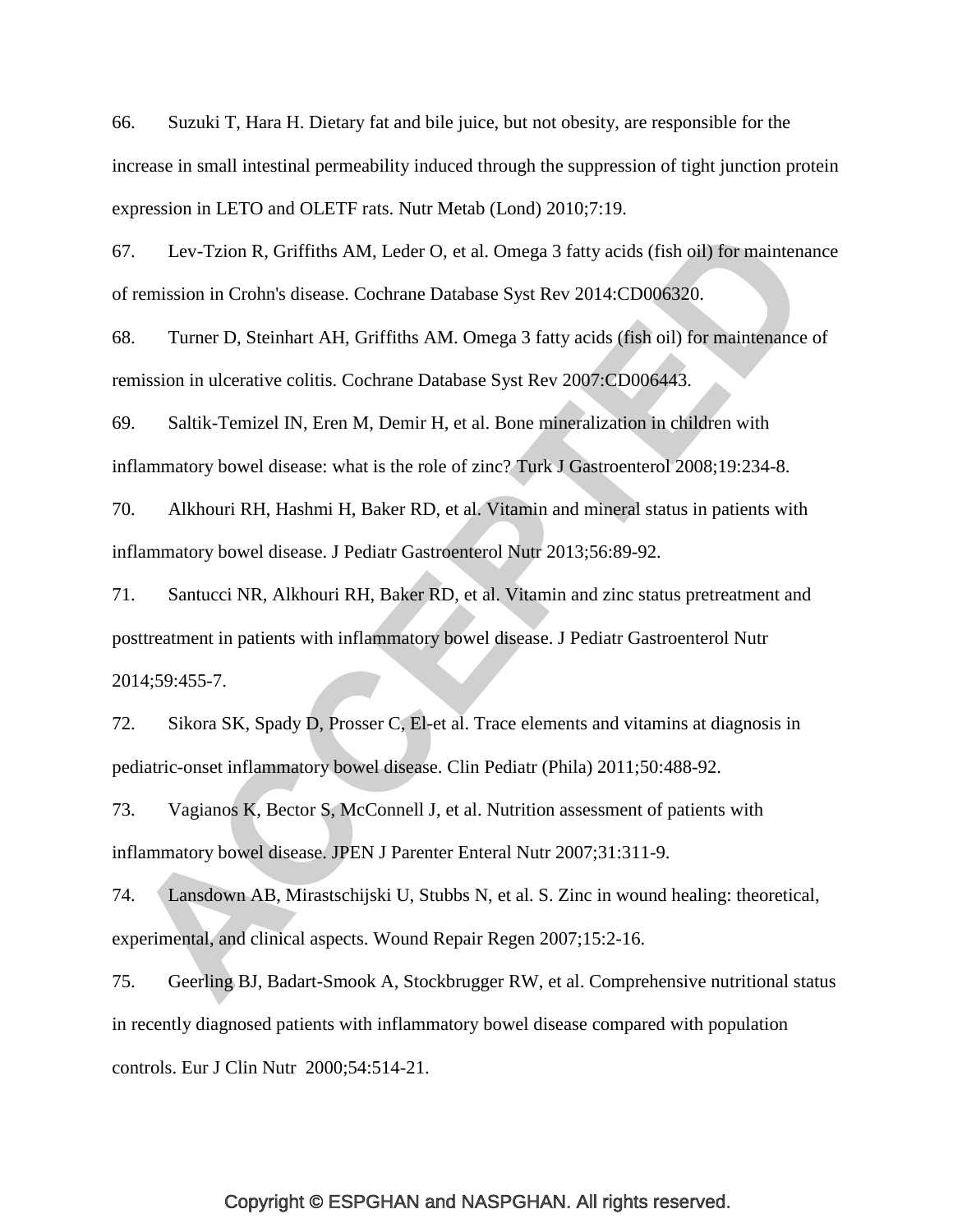66. Suzuki T, Hara H. Dietary fat and bile juice, but not obesity, are responsible for the increase in small intestinal permeability induced through the suppression of tight junction protein expression in LETO and OLETF rats. Nutr Metab (Lond) 2010;7:19.

67. Lev-Tzion R, Griffiths AM, Leder O, et al. Omega 3 fatty acids (fish oil) for maintenance of remission in Crohn's disease. Cochrane Database Syst Rev 2014:CD006320.

68. Turner D, Steinhart AH, Griffiths AM. Omega 3 fatty acids (fish oil) for maintenance of remission in ulcerative colitis. Cochrane Database Syst Rev 2007:CD006443.

69. Saltik-Temizel IN, Eren M, Demir H, et al. Bone mineralization in children with inflammatory bowel disease: what is the role of zinc? Turk J Gastroenterol 2008;19:234-8.

70. Alkhouri RH, Hashmi H, Baker RD, et al. Vitamin and mineral status in patients with inflammatory bowel disease. J Pediatr Gastroenterol Nutr 2013;56:89-92.

71. Santucci NR, Alkhouri RH, Baker RD, et al. Vitamin and zinc status pretreatment and posttreatment in patients with inflammatory bowel disease. J Pediatr Gastroenterol Nutr 2014;59:455-7.

72. Sikora SK, Spady D, Prosser C, El-et al. Trace elements and vitamins at diagnosis in pediatric-onset inflammatory bowel disease. Clin Pediatr (Phila) 2011;50:488-92.

73. Vagianos K, Bector S, McConnell J, et al. Nutrition assessment of patients with inflammatory bowel disease. JPEN J Parenter Enteral Nutr 2007;31:311-9.

74. Lansdown AB, Mirastschijski U, Stubbs N, et al. S. Zinc in wound healing: theoretical, experimental, and clinical aspects. Wound Repair Regen 2007;15:2-16.

75. Geerling BJ, Badart-Smook A, Stockbrugger RW, et al. Comprehensive nutritional status in recently diagnosed patients with inflammatory bowel disease compared with population controls. Eur J Clin Nutr 2000;54:514-21.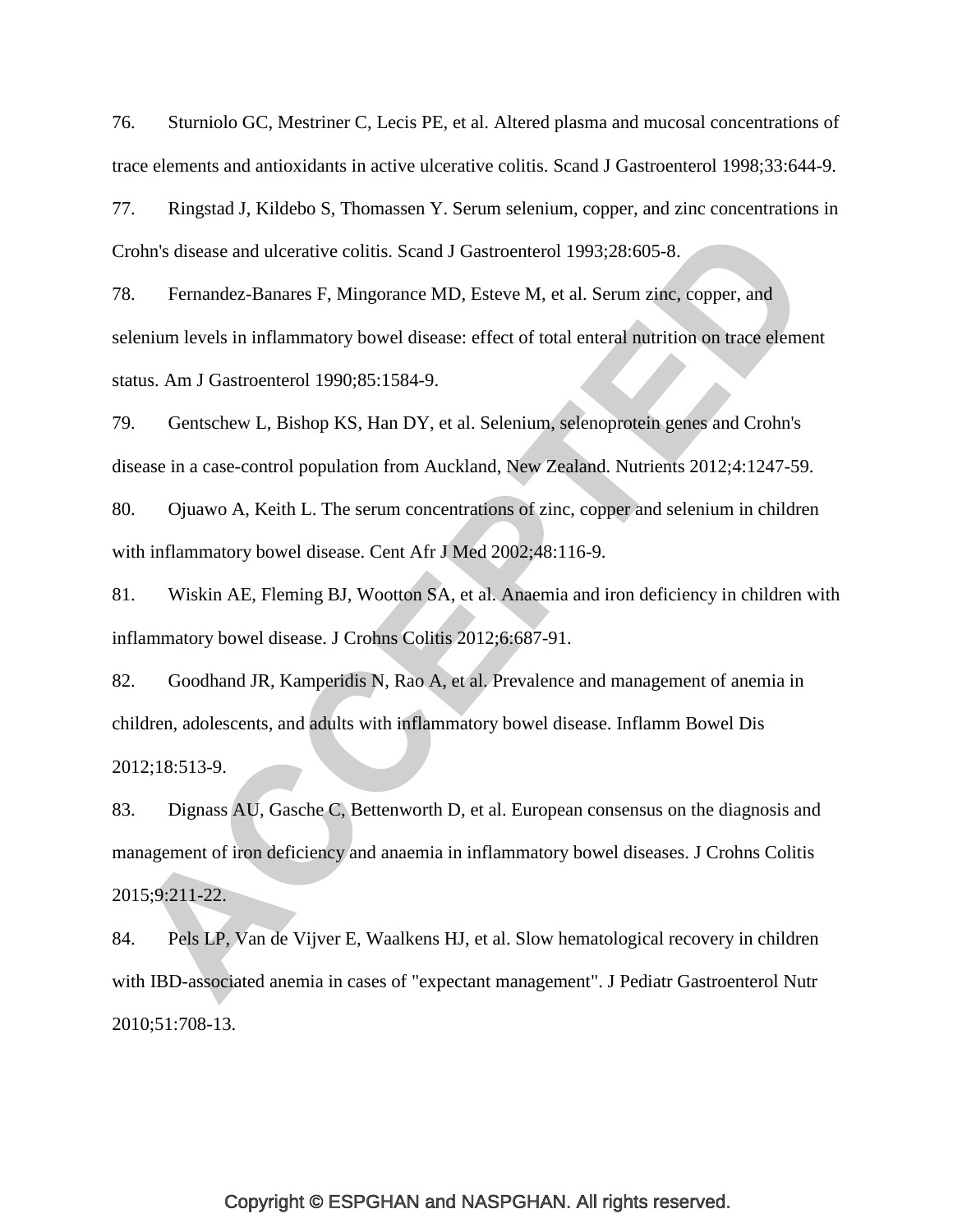76. Sturniolo GC, Mestriner C, Lecis PE, et al. Altered plasma and mucosal concentrations of trace elements and antioxidants in active ulcerative colitis. Scand J Gastroenterol 1998;33:644-9.

77. Ringstad J, Kildebo S, Thomassen Y. Serum selenium, copper, and zinc concentrations in Crohn's disease and ulcerative colitis. Scand J Gastroenterol 1993;28:605-8.

78. Fernandez-Banares F, Mingorance MD, Esteve M, et al. Serum zinc, copper, and selenium levels in inflammatory bowel disease: effect of total enteral nutrition on trace element status. Am J Gastroenterol 1990;85:1584-9.

79. Gentschew L, Bishop KS, Han DY, et al. Selenium, selenoprotein genes and Crohn's disease in a case-control population from Auckland, New Zealand. Nutrients 2012;4:1247-59.

80. Ojuawo A, Keith L. The serum concentrations of zinc, copper and selenium in children with inflammatory bowel disease. Cent Afr J Med 2002;48:116-9.

81. Wiskin AE, Fleming BJ, Wootton SA, et al. Anaemia and iron deficiency in children with inflammatory bowel disease. J Crohns Colitis 2012;6:687-91.

82. Goodhand JR, Kamperidis N, Rao A, et al. Prevalence and management of anemia in children, adolescents, and adults with inflammatory bowel disease. Inflamm Bowel Dis 2012;18:513-9.

83. Dignass AU, Gasche C, Bettenworth D, et al. European consensus on the diagnosis and management of iron deficiency and anaemia in inflammatory bowel diseases. J Crohns Colitis 2015;9:211-22.

84. Pels LP, Van de Vijver E, Waalkens HJ, et al. Slow hematological recovery in children with IBD-associated anemia in cases of "expectant management". J Pediatr Gastroenterol Nutr 2010;51:708-13.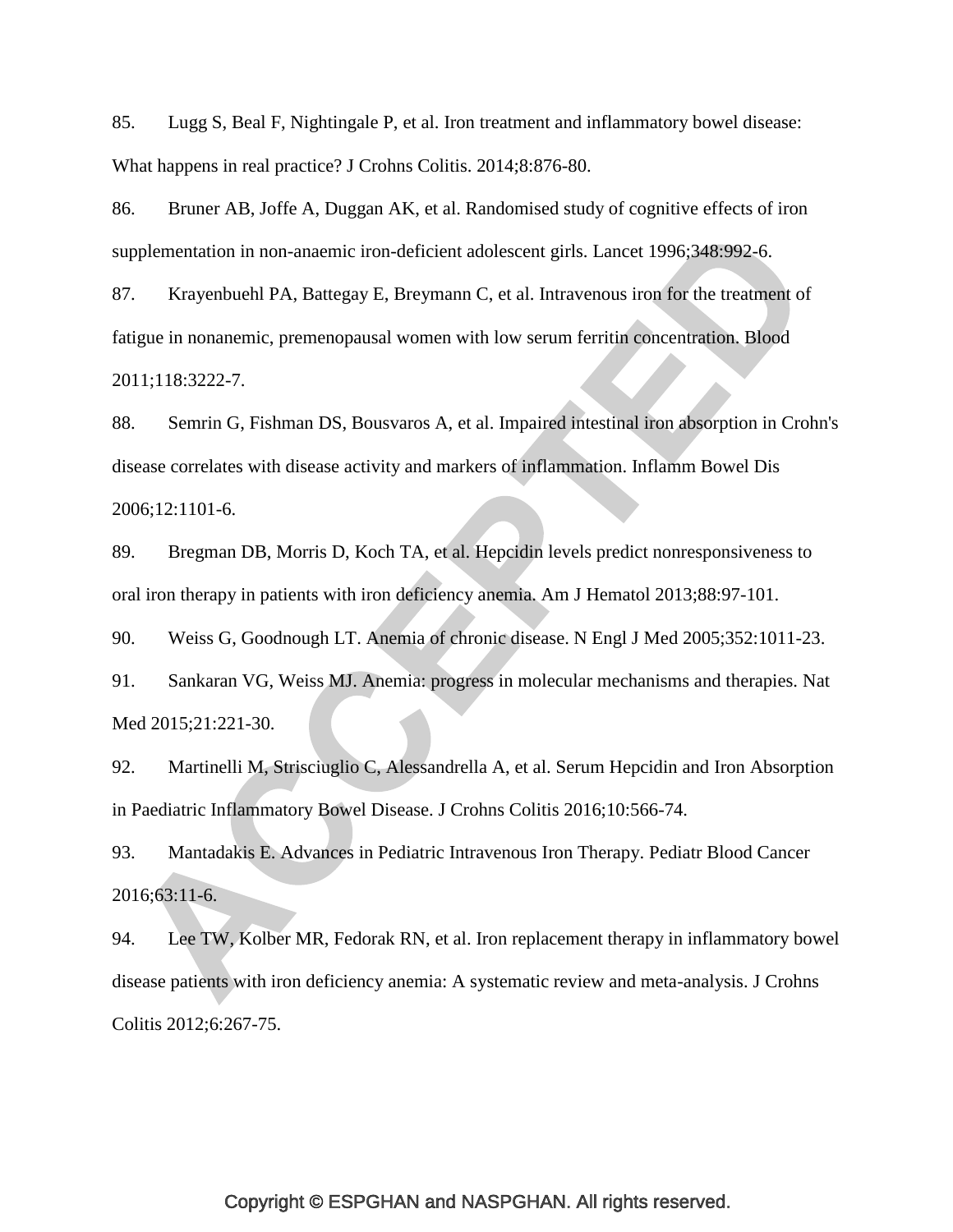85. Lugg S, Beal F, Nightingale P, et al. Iron treatment and inflammatory bowel disease: What happens in real practice? J Crohns Colitis. 2014;8:876-80.

86. Bruner AB, Joffe A, Duggan AK, et al. Randomised study of cognitive effects of iron supplementation in non-anaemic iron-deficient adolescent girls. Lancet 1996;348:992-6.

87. Krayenbuehl PA, Battegay E, Breymann C, et al. Intravenous iron for the treatment of fatigue in nonanemic, premenopausal women with low serum ferritin concentration. Blood 2011;118:3222-7.

88. Semrin G, Fishman DS, Bousvaros A, et al. Impaired intestinal iron absorption in Crohn's disease correlates with disease activity and markers of inflammation. Inflamm Bowel Dis 2006;12:1101-6.

89. Bregman DB, Morris D, Koch TA, et al. Hepcidin levels predict nonresponsiveness to oral iron therapy in patients with iron deficiency anemia. Am J Hematol 2013;88:97-101.

90. Weiss G, Goodnough LT. Anemia of chronic disease. N Engl J Med 2005;352:1011-23.

91. Sankaran VG, Weiss MJ. Anemia: progress in molecular mechanisms and therapies. Nat Med 2015;21:221-30.

92. Martinelli M, Strisciuglio C, Alessandrella A, et al. Serum Hepcidin and Iron Absorption in Paediatric Inflammatory Bowel Disease. J Crohns Colitis 2016;10:566-74.

93. Mantadakis E. Advances in Pediatric Intravenous Iron Therapy. Pediatr Blood Cancer 2016;63:11-6.

94. Lee TW, Kolber MR, Fedorak RN, et al. Iron replacement therapy in inflammatory bowel disease patients with iron deficiency anemia: A systematic review and meta-analysis. J Crohns Colitis 2012;6:267-75.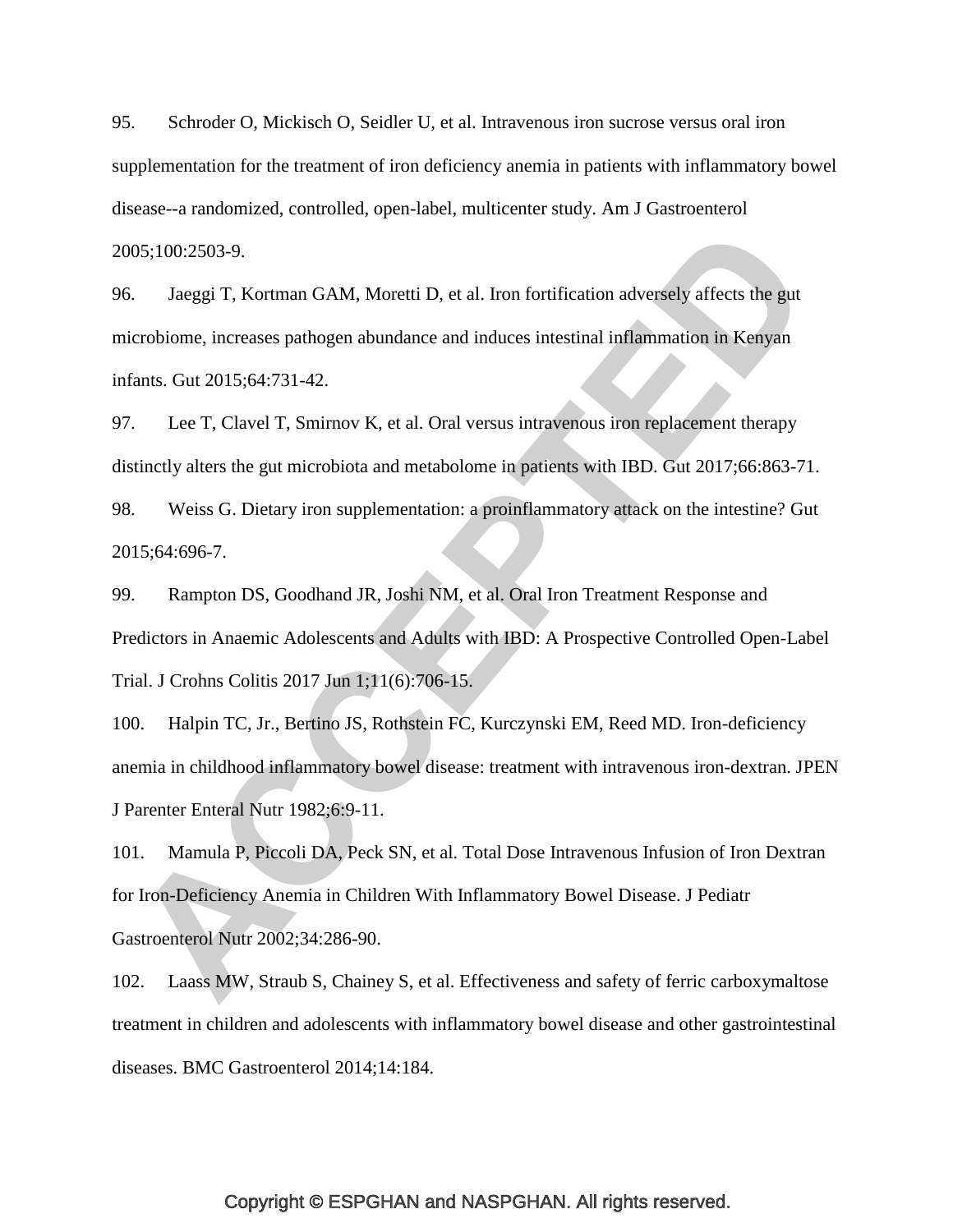95. Schroder O, Mickisch O, Seidler U, et al. Intravenous iron sucrose versus oral iron supplementation for the treatment of iron deficiency anemia in patients with inflammatory bowel disease--a randomized, controlled, open-label, multicenter study. Am J Gastroenterol 2005;100:2503-9.

96. Jaeggi T, Kortman GAM, Moretti D, et al. Iron fortification adversely affects the gut microbiome, increases pathogen abundance and induces intestinal inflammation in Kenyan infants. Gut 2015;64:731-42.

97. Lee T, Clavel T, Smirnov K, et al. Oral versus intravenous iron replacement therapy distinctly alters the gut microbiota and metabolome in patients with IBD. Gut 2017;66:863-71.

98. Weiss G. Dietary iron supplementation: a proinflammatory attack on the intestine? Gut 2015;64:696-7.

99. Rampton DS, Goodhand JR, Joshi NM, et al. Oral Iron Treatment Response and Predictors in Anaemic Adolescents and Adults with IBD: A Prospective Controlled Open-Label Trial. J Crohns Colitis 2017 Jun 1;11(6):706-15.

100. Halpin TC, Jr., Bertino JS, Rothstein FC, Kurczynski EM, Reed MD. Iron-deficiency anemia in childhood inflammatory bowel disease: treatment with intravenous iron-dextran. JPEN J Parenter Enteral Nutr 1982;6:9-11.

101. Mamula P, Piccoli DA, Peck SN, et al. Total Dose Intravenous Infusion of Iron Dextran for Iron-Deficiency Anemia in Children With Inflammatory Bowel Disease. J Pediatr Gastroenterol Nutr 2002;34:286-90.

102. Laass MW, Straub S, Chainey S, et al. Effectiveness and safety of ferric carboxymaltose treatment in children and adolescents with inflammatory bowel disease and other gastrointestinal diseases. BMC Gastroenterol 2014;14:184.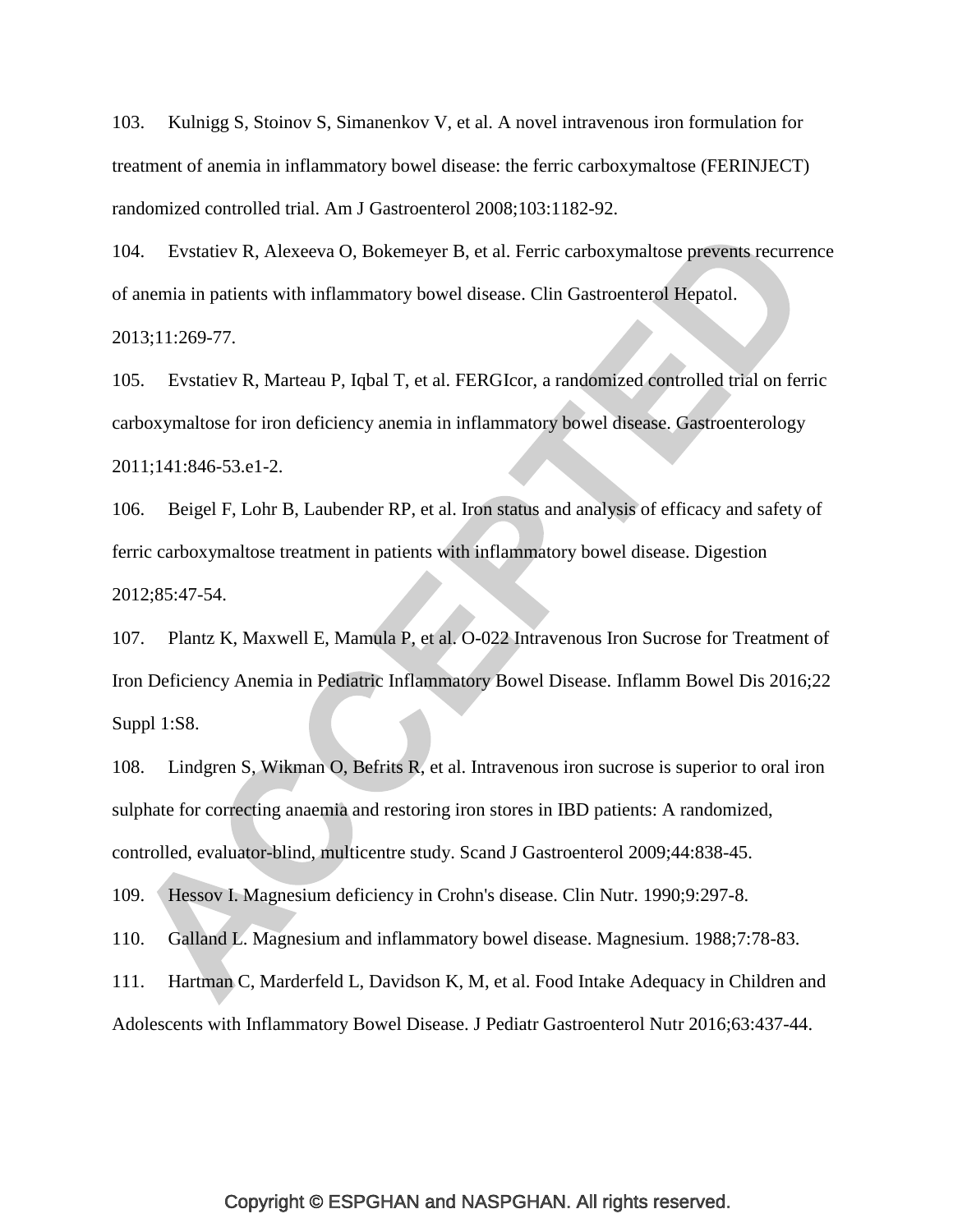103. Kulnigg S, Stoinov S, Simanenkov V, et al. A novel intravenous iron formulation for treatment of anemia in inflammatory bowel disease: the ferric carboxymaltose (FERINJECT) randomized controlled trial. Am J Gastroenterol 2008;103:1182-92.

104. Evstatiev R, Alexeeva O, Bokemeyer B, et al. Ferric carboxymaltose prevents recurrence of anemia in patients with inflammatory bowel disease. Clin Gastroenterol Hepatol. 2013;11:269-77.

105. Evstatiev R, Marteau P, Iqbal T, et al. FERGIcor, a randomized controlled trial on ferric carboxymaltose for iron deficiency anemia in inflammatory bowel disease. Gastroenterology 2011;141:846-53.e1-2.

106. Beigel F, Lohr B, Laubender RP, et al. Iron status and analysis of efficacy and safety of ferric carboxymaltose treatment in patients with inflammatory bowel disease. Digestion 2012;85:47-54.

107. Plantz K, Maxwell E, Mamula P, et al. O-022 Intravenous Iron Sucrose for Treatment of Iron Deficiency Anemia in Pediatric Inflammatory Bowel Disease. Inflamm Bowel Dis 2016;22 Suppl 1:S8.

108. Lindgren S, Wikman O, Befrits R, et al. Intravenous iron sucrose is superior to oral iron sulphate for correcting anaemia and restoring iron stores in IBD patients: A randomized, controlled, evaluator-blind, multicentre study. Scand J Gastroenterol 2009;44:838-45.

109. Hessov I. Magnesium deficiency in Crohn's disease. Clin Nutr. 1990;9:297-8.

110. Galland L. Magnesium and inflammatory bowel disease. Magnesium. 1988;7:78-83.

111. Hartman C, Marderfeld L, Davidson K, M, et al. Food Intake Adequacy in Children and Adolescents with Inflammatory Bowel Disease. J Pediatr Gastroenterol Nutr 2016;63:437-44.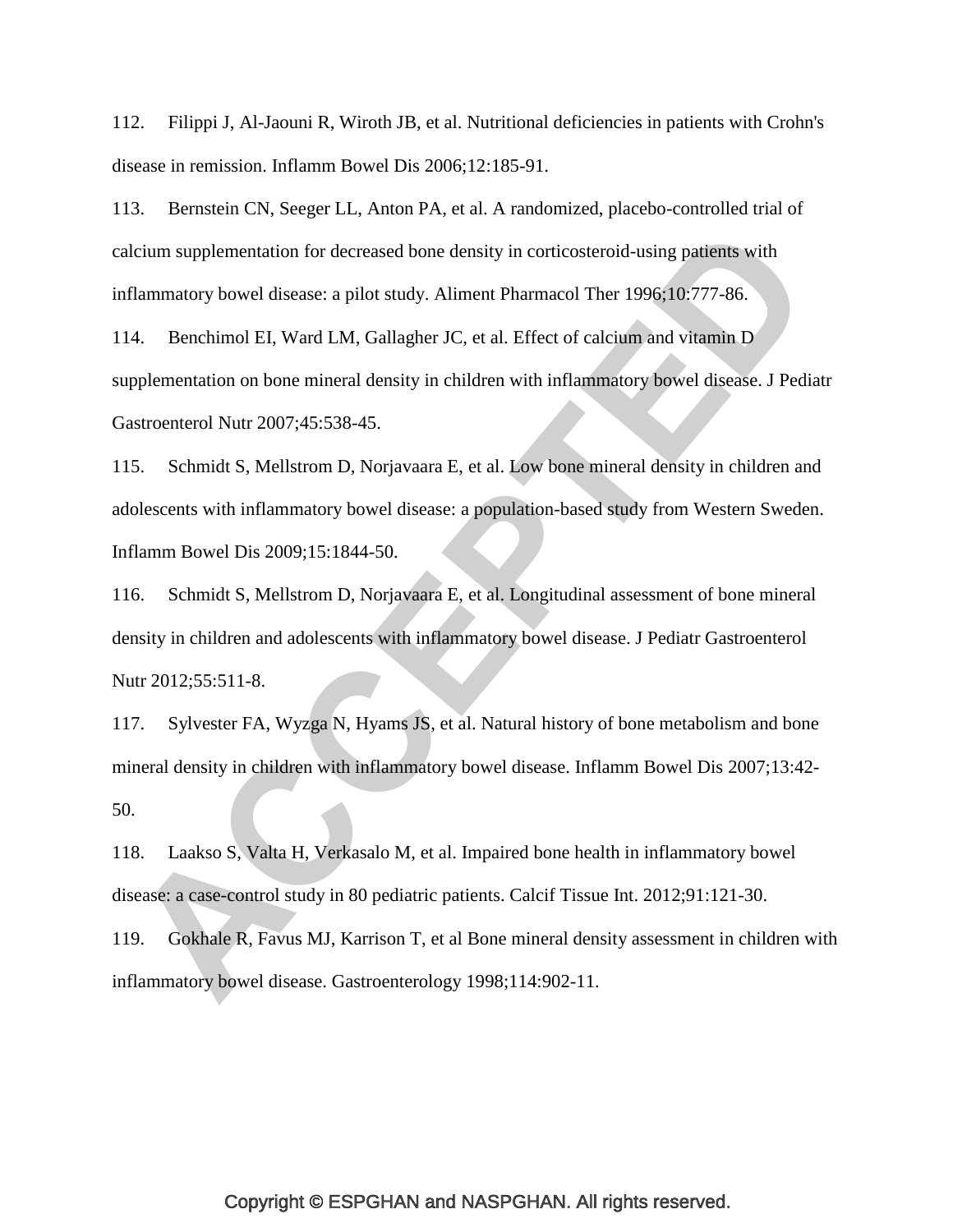112. Filippi J, Al-Jaouni R, Wiroth JB, et al. Nutritional deficiencies in patients with Crohn's disease in remission. Inflamm Bowel Dis 2006;12:185-91.

113. Bernstein CN, Seeger LL, Anton PA, et al. A randomized, placebo-controlled trial of calcium supplementation for decreased bone density in corticosteroid-using patients with inflammatory bowel disease: a pilot study. Aliment Pharmacol Ther 1996;10:777-86.

114. Benchimol EI, Ward LM, Gallagher JC, et al. Effect of calcium and vitamin D supplementation on bone mineral density in children with inflammatory bowel disease. J Pediatr Gastroenterol Nutr 2007;45:538-45.

115. Schmidt S, Mellstrom D, Norjavaara E, et al. Low bone mineral density in children and adolescents with inflammatory bowel disease: a population-based study from Western Sweden. Inflamm Bowel Dis 2009;15:1844-50.

116. Schmidt S, Mellstrom D, Norjavaara E, et al. Longitudinal assessment of bone mineral density in children and adolescents with inflammatory bowel disease. J Pediatr Gastroenterol Nutr 2012;55:511-8.

117. Sylvester FA, Wyzga N, Hyams JS, et al. Natural history of bone metabolism and bone mineral density in children with inflammatory bowel disease. Inflamm Bowel Dis 2007;13:42- 50.

118. Laakso S, Valta H, Verkasalo M, et al. Impaired bone health in inflammatory bowel disease: a case-control study in 80 pediatric patients. Calcif Tissue Int. 2012;91:121-30.

119. Gokhale R, Favus MJ, Karrison T, et al Bone mineral density assessment in children with inflammatory bowel disease. Gastroenterology 1998;114:902-11.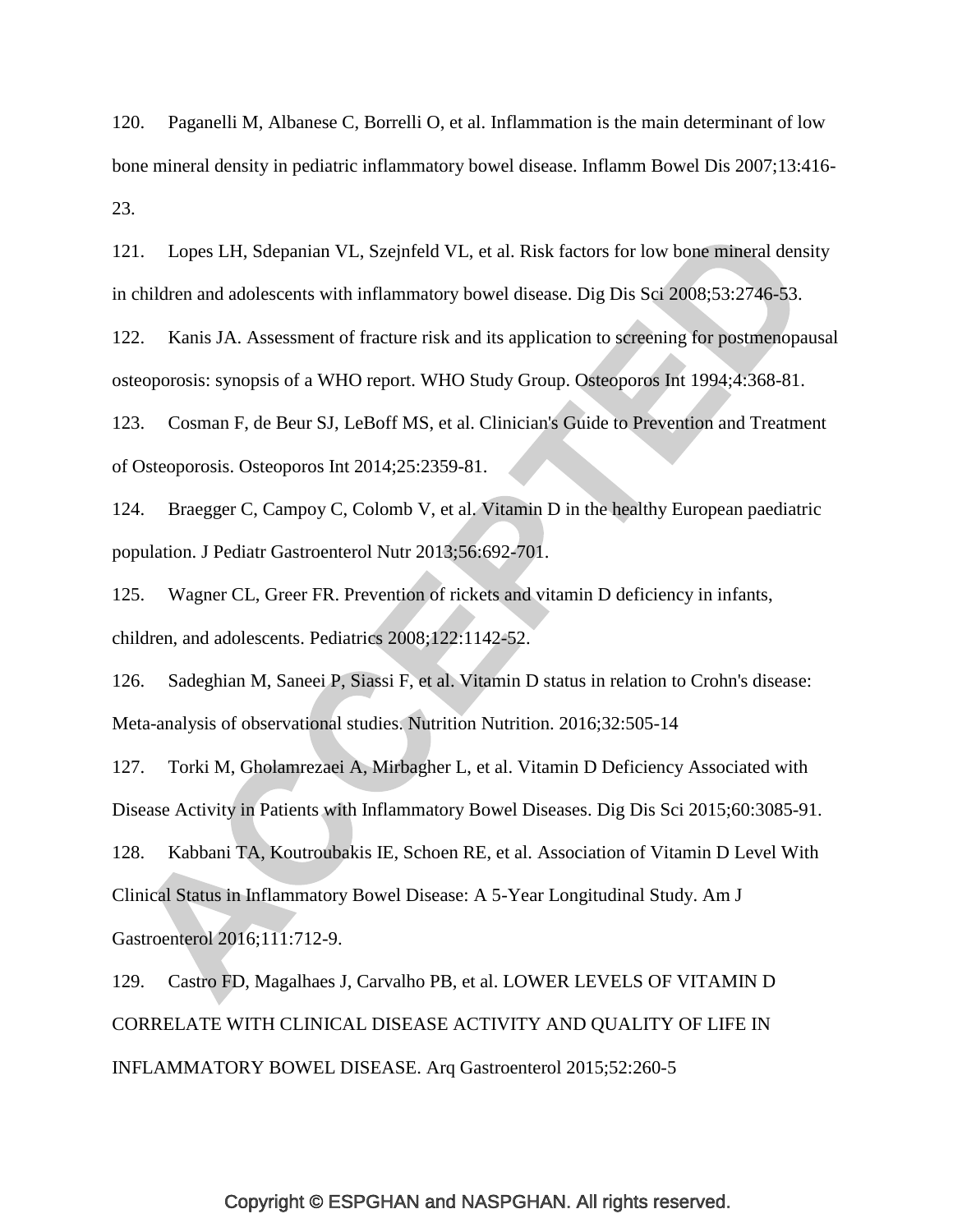120. Paganelli M, Albanese C, Borrelli O, et al. Inflammation is the main determinant of low bone mineral density in pediatric inflammatory bowel disease. Inflamm Bowel Dis 2007;13:416- 23.

121. Lopes LH, Sdepanian VL, Szejnfeld VL, et al. Risk factors for low bone mineral density in children and adolescents with inflammatory bowel disease. Dig Dis Sci 2008;53:2746-53.

122. Kanis JA. Assessment of fracture risk and its application to screening for postmenopausal osteoporosis: synopsis of a WHO report. WHO Study Group. Osteoporos Int 1994;4:368-81.

123. Cosman F, de Beur SJ, LeBoff MS, et al. Clinician's Guide to Prevention and Treatment of Osteoporosis. Osteoporos Int 2014;25:2359-81.

124. Braegger C, Campoy C, Colomb V, et al. Vitamin D in the healthy European paediatric population. J Pediatr Gastroenterol Nutr 2013;56:692-701.

125. Wagner CL, Greer FR. Prevention of rickets and vitamin D deficiency in infants, children, and adolescents. Pediatrics 2008;122:1142-52.

126. Sadeghian M, Saneei P, Siassi F, et al. Vitamin D status in relation to Crohn's disease: Meta-analysis of observational studies. Nutrition Nutrition. 2016;32:505-14

127. Torki M, Gholamrezaei A, Mirbagher L, et al. Vitamin D Deficiency Associated with Disease Activity in Patients with Inflammatory Bowel Diseases. Dig Dis Sci 2015;60:3085-91.

128. Kabbani TA, Koutroubakis IE, Schoen RE, et al. Association of Vitamin D Level With Clinical Status in Inflammatory Bowel Disease: A 5-Year Longitudinal Study. Am J Gastroenterol 2016;111:712-9.

129. Castro FD, Magalhaes J, Carvalho PB, et al. LOWER LEVELS OF VITAMIN D CORRELATE WITH CLINICAL DISEASE ACTIVITY AND QUALITY OF LIFE IN INFLAMMATORY BOWEL DISEASE. Arq Gastroenterol 2015;52:260-5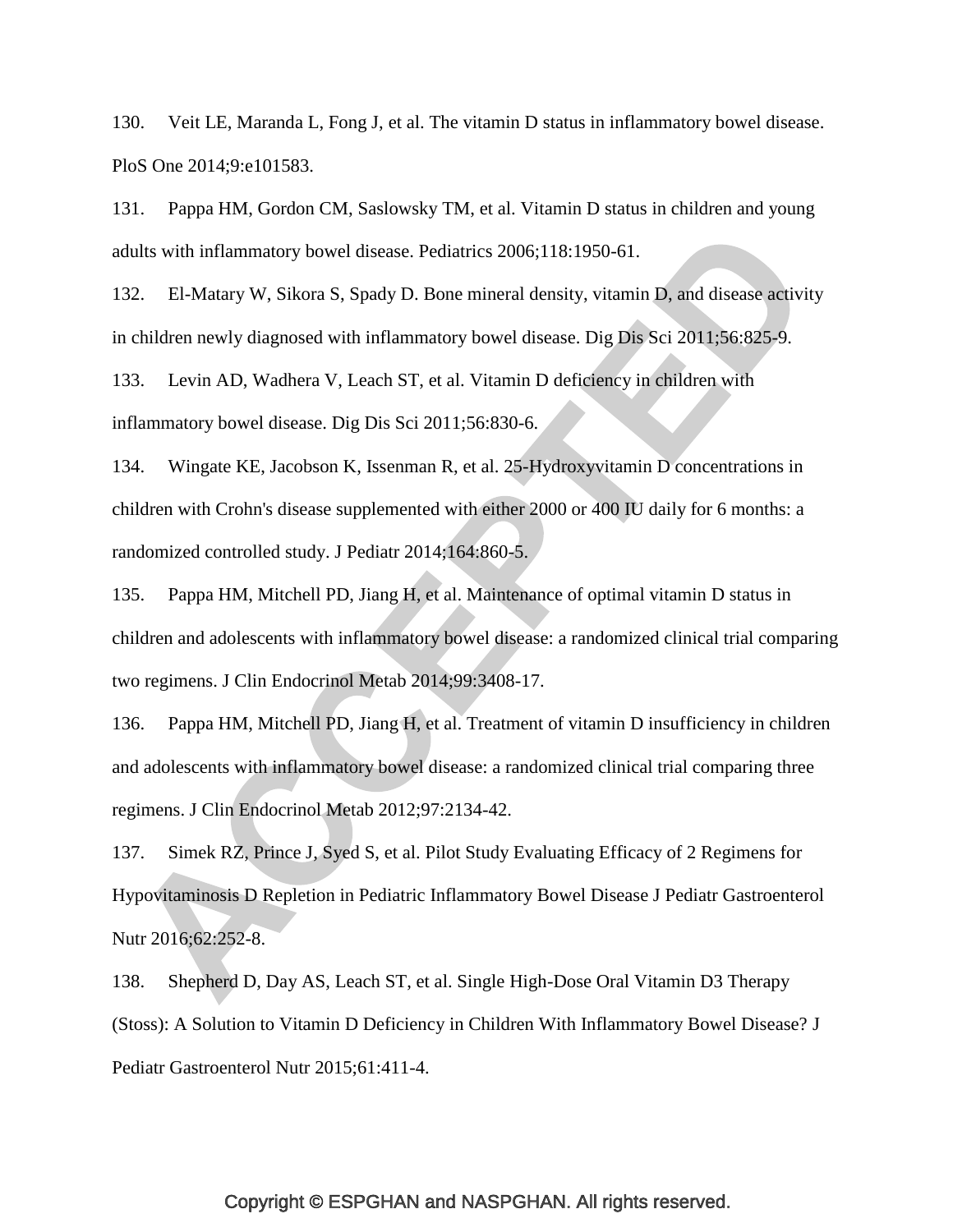130. Veit LE, Maranda L, Fong J, et al. The vitamin D status in inflammatory bowel disease. PloS One 2014;9:e101583.

131. Pappa HM, Gordon CM, Saslowsky TM, et al. Vitamin D status in children and young adults with inflammatory bowel disease. Pediatrics 2006;118:1950-61.

132. El-Matary W, Sikora S, Spady D. Bone mineral density, vitamin D, and disease activity in children newly diagnosed with inflammatory bowel disease. Dig Dis Sci 2011;56:825-9.

133. Levin AD, Wadhera V, Leach ST, et al. Vitamin D deficiency in children with inflammatory bowel disease. Dig Dis Sci 2011;56:830-6.

134. Wingate KE, Jacobson K, Issenman R, et al. 25-Hydroxyvitamin D concentrations in children with Crohn's disease supplemented with either 2000 or 400 IU daily for 6 months: a randomized controlled study. J Pediatr 2014;164:860-5.

135. Pappa HM, Mitchell PD, Jiang H, et al. Maintenance of optimal vitamin D status in children and adolescents with inflammatory bowel disease: a randomized clinical trial comparing two regimens. J Clin Endocrinol Metab 2014;99:3408-17.

136. Pappa HM, Mitchell PD, Jiang H, et al. Treatment of vitamin D insufficiency in children and adolescents with inflammatory bowel disease: a randomized clinical trial comparing three regimens. J Clin Endocrinol Metab 2012;97:2134-42.

137. Simek RZ, Prince J, Syed S, et al. Pilot Study Evaluating Efficacy of 2 Regimens for Hypovitaminosis D Repletion in Pediatric Inflammatory Bowel Disease J Pediatr Gastroenterol Nutr 2016;62:252-8.

138. Shepherd D, Day AS, Leach ST, et al. Single High-Dose Oral Vitamin D3 Therapy (Stoss): A Solution to Vitamin D Deficiency in Children With Inflammatory Bowel Disease? J Pediatr Gastroenterol Nutr 2015;61:411-4.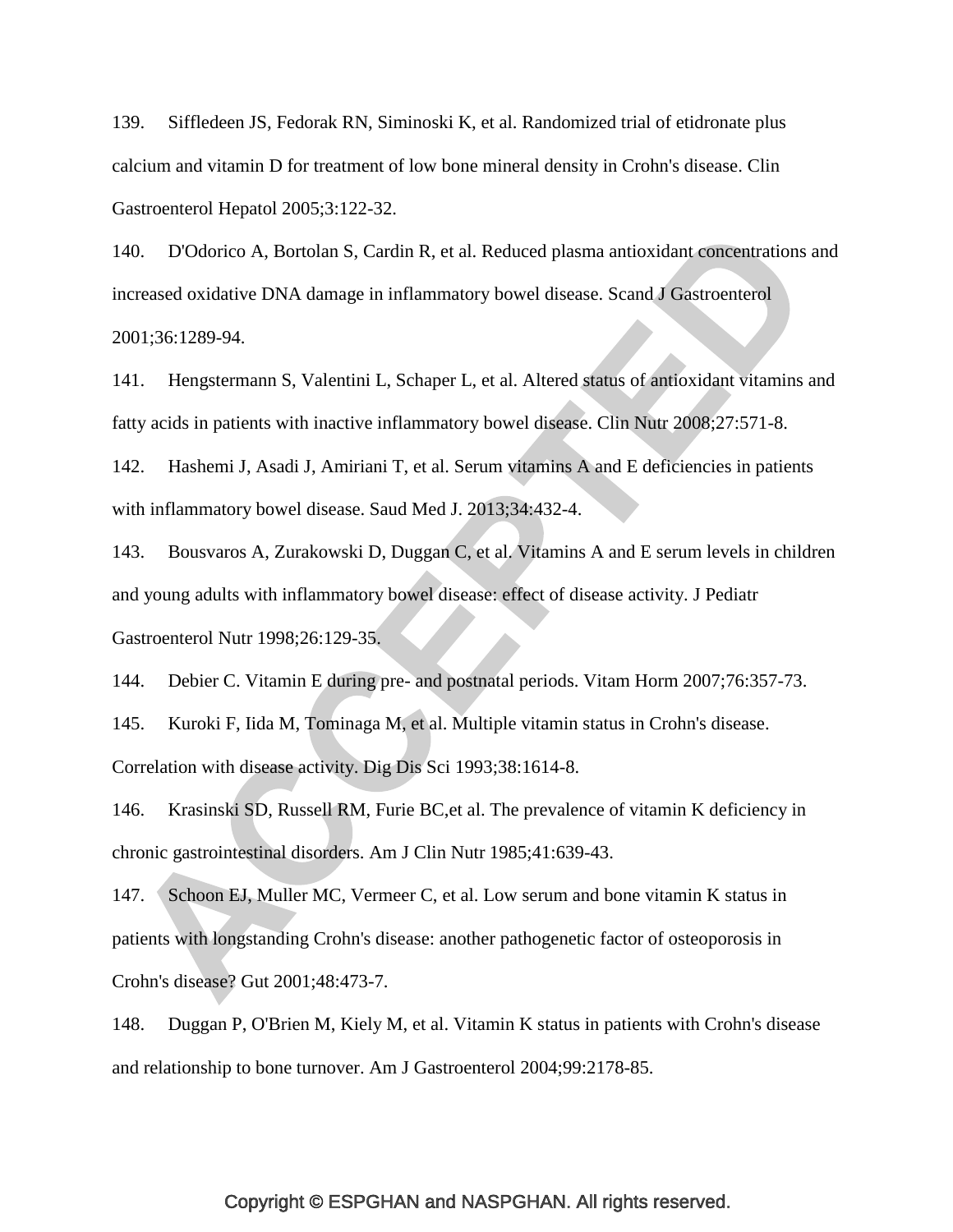139. Siffledeen JS, Fedorak RN, Siminoski K, et al. Randomized trial of etidronate plus calcium and vitamin D for treatment of low bone mineral density in Crohn's disease. Clin Gastroenterol Hepatol 2005;3:122-32.

140. D'Odorico A, Bortolan S, Cardin R, et al. Reduced plasma antioxidant concentrations and increased oxidative DNA damage in inflammatory bowel disease. Scand J Gastroenterol 2001;36:1289-94.

141. Hengstermann S, Valentini L, Schaper L, et al. Altered status of antioxidant vitamins and fatty acids in patients with inactive inflammatory bowel disease. Clin Nutr 2008;27:571-8.

142. Hashemi J, Asadi J, Amiriani T, et al. Serum vitamins A and E deficiencies in patients with inflammatory bowel disease. Saud Med J. 2013;34:432-4.

143. Bousvaros A, Zurakowski D, Duggan C, et al. Vitamins A and E serum levels in children and young adults with inflammatory bowel disease: effect of disease activity. J Pediatr Gastroenterol Nutr 1998;26:129-35.

144. Debier C. Vitamin E during pre- and postnatal periods. Vitam Horm 2007;76:357-73.

145. Kuroki F, Iida M, Tominaga M, et al. Multiple vitamin status in Crohn's disease. Correlation with disease activity. Dig Dis Sci 1993;38:1614-8.

146. Krasinski SD, Russell RM, Furie BC,et al. The prevalence of vitamin K deficiency in chronic gastrointestinal disorders. Am J Clin Nutr 1985;41:639-43.

147. Schoon EJ, Muller MC, Vermeer C, et al. Low serum and bone vitamin K status in patients with longstanding Crohn's disease: another pathogenetic factor of osteoporosis in Crohn's disease? Gut 2001;48:473-7.

148. Duggan P, O'Brien M, Kiely M, et al. Vitamin K status in patients with Crohn's disease and relationship to bone turnover. Am J Gastroenterol 2004;99:2178-85.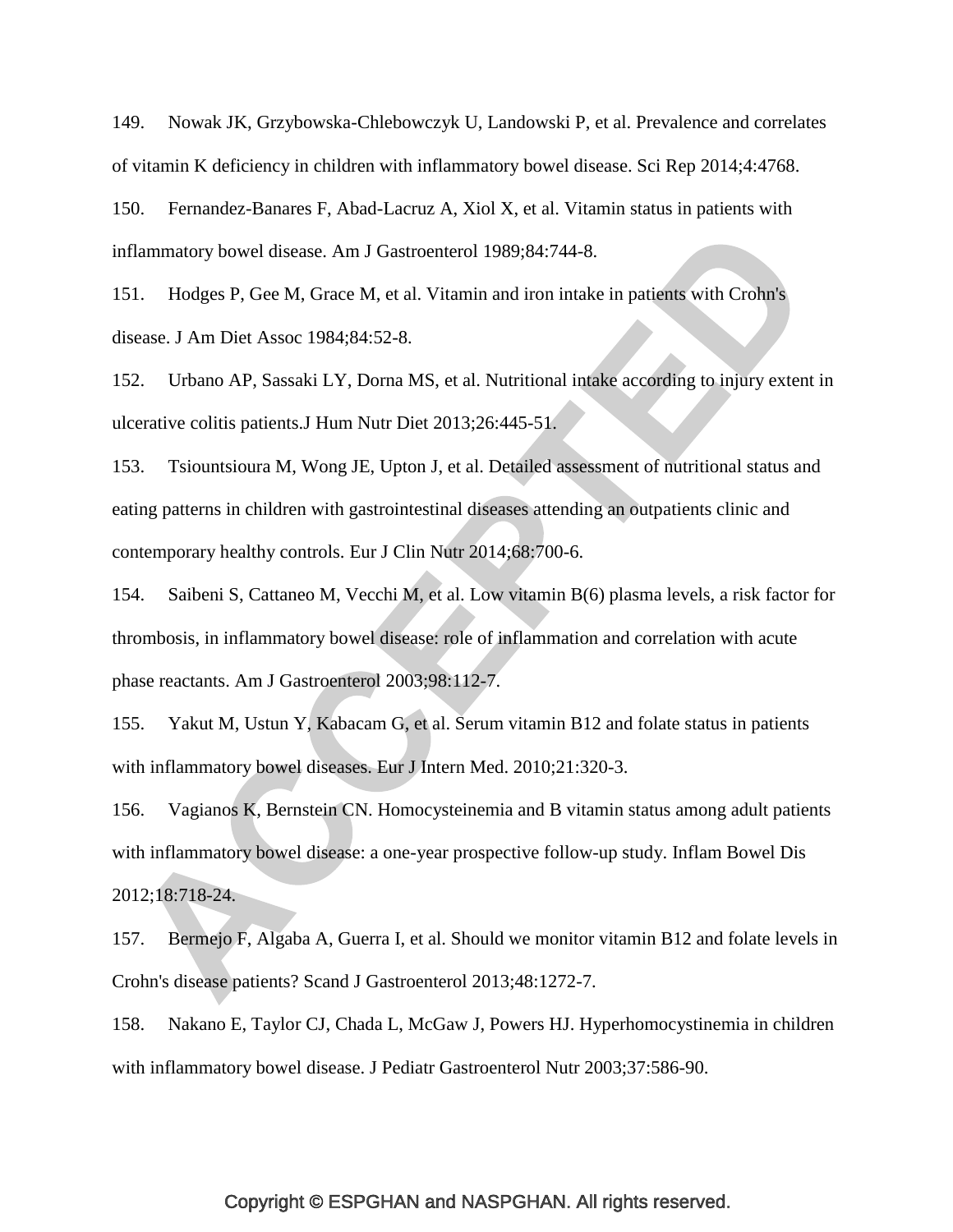149. Nowak JK, Grzybowska-Chlebowczyk U, Landowski P, et al. Prevalence and correlates of vitamin K deficiency in children with inflammatory bowel disease. Sci Rep 2014;4:4768.

150. Fernandez-Banares F, Abad-Lacruz A, Xiol X, et al. Vitamin status in patients with inflammatory bowel disease. Am J Gastroenterol 1989;84:744-8.

151. Hodges P, Gee M, Grace M, et al. Vitamin and iron intake in patients with Crohn's disease. J Am Diet Assoc 1984;84:52-8.

152. Urbano AP, Sassaki LY, Dorna MS, et al. Nutritional intake according to injury extent in ulcerative colitis patients.J Hum Nutr Diet 2013;26:445-51.

153. Tsiountsioura M, Wong JE, Upton J, et al. Detailed assessment of nutritional status and eating patterns in children with gastrointestinal diseases attending an outpatients clinic and contemporary healthy controls. Eur J Clin Nutr 2014;68:700-6.

154. Saibeni S, Cattaneo M, Vecchi M, et al. Low vitamin B(6) plasma levels, a risk factor for thrombosis, in inflammatory bowel disease: role of inflammation and correlation with acute phase reactants. Am J Gastroenterol 2003;98:112-7.

155. Yakut M, Ustun Y, Kabacam G, et al. Serum vitamin B12 and folate status in patients with inflammatory bowel diseases. Eur J Intern Med. 2010;21:320-3.

156. Vagianos K, Bernstein CN. Homocysteinemia and B vitamin status among adult patients with inflammatory bowel disease: a one-year prospective follow-up study. Inflam Bowel Dis 2012;18:718-24.

157. Bermejo F, Algaba A, Guerra I, et al. Should we monitor vitamin B12 and folate levels in Crohn's disease patients? Scand J Gastroenterol 2013;48:1272-7.

158. Nakano E, Taylor CJ, Chada L, McGaw J, Powers HJ. Hyperhomocystinemia in children with inflammatory bowel disease. J Pediatr Gastroenterol Nutr 2003;37:586-90.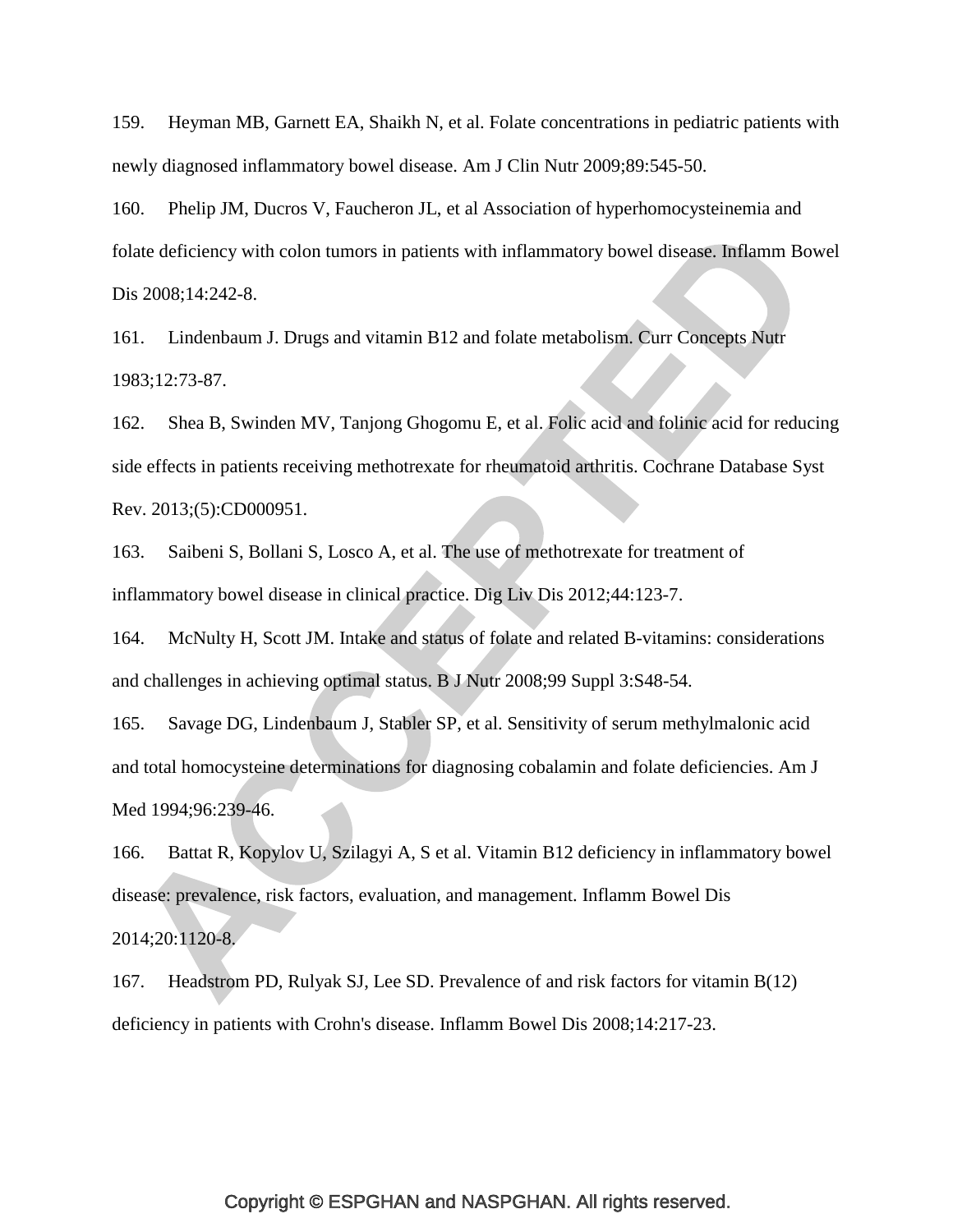159. Heyman MB, Garnett EA, Shaikh N, et al. Folate concentrations in pediatric patients with newly diagnosed inflammatory bowel disease. Am J Clin Nutr 2009;89:545-50.

160. Phelip JM, Ducros V, Faucheron JL, et al Association of hyperhomocysteinemia and folate deficiency with colon tumors in patients with inflammatory bowel disease. Inflamm Bowel Dis 2008;14:242-8.

161. Lindenbaum J. Drugs and vitamin B12 and folate metabolism. Curr Concepts Nutr 1983;12:73-87.

162. Shea B, Swinden MV, Tanjong Ghogomu E, et al. Folic acid and folinic acid for reducing side effects in patients receiving methotrexate for rheumatoid arthritis. Cochrane Database Syst Rev. 2013;(5):CD000951.

163. Saibeni S, Bollani S, Losco A, et al. The use of methotrexate for treatment of inflammatory bowel disease in clinical practice. Dig Liv Dis 2012;44:123-7.

164. McNulty H, Scott JM. Intake and status of folate and related B-vitamins: considerations and challenges in achieving optimal status. B J Nutr 2008;99 Suppl 3:S48-54.

165. Savage DG, Lindenbaum J, Stabler SP, et al. Sensitivity of serum methylmalonic acid and total homocysteine determinations for diagnosing cobalamin and folate deficiencies. Am J Med 1994;96:239-46.

166. Battat R, Kopylov U, Szilagyi A, S et al. Vitamin B12 deficiency in inflammatory bowel disease: prevalence, risk factors, evaluation, and management. Inflamm Bowel Dis 2014;20:1120-8.

167. Headstrom PD, Rulyak SJ, Lee SD. Prevalence of and risk factors for vitamin B(12) deficiency in patients with Crohn's disease. Inflamm Bowel Dis 2008;14:217-23.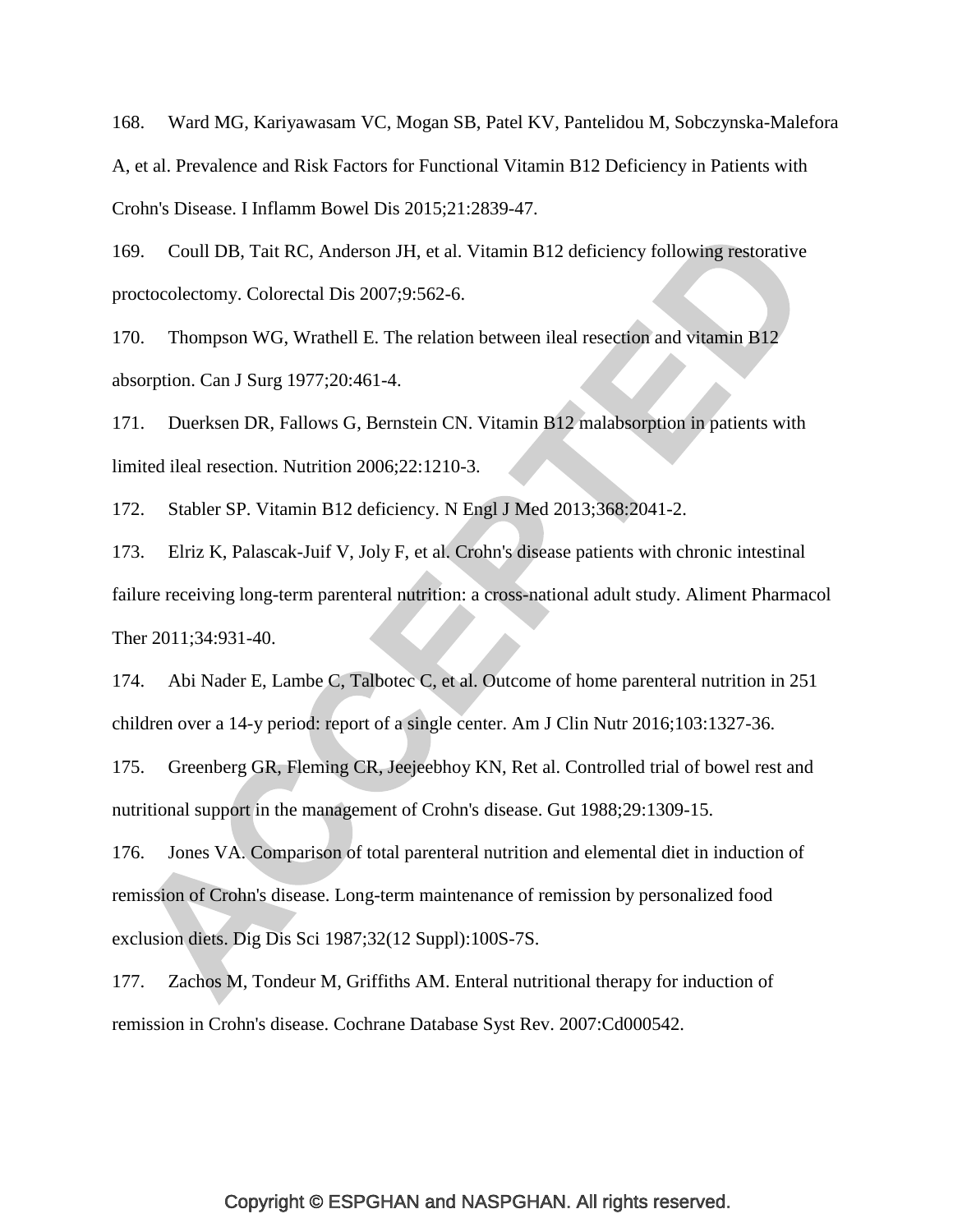168. Ward MG, Kariyawasam VC, Mogan SB, Patel KV, Pantelidou M, Sobczynska-Malefora A, et al. Prevalence and Risk Factors for Functional Vitamin B12 Deficiency in Patients with Crohn's Disease. I Inflamm Bowel Dis 2015;21:2839-47.

169. Coull DB, Tait RC, Anderson JH, et al. Vitamin B12 deficiency following restorative proctocolectomy. Colorectal Dis 2007;9:562-6.

170. Thompson WG, Wrathell E. The relation between ileal resection and vitamin B12 absorption. Can J Surg 1977;20:461-4.

171. Duerksen DR, Fallows G, Bernstein CN. Vitamin B12 malabsorption in patients with limited ileal resection. Nutrition 2006;22:1210-3.

172. Stabler SP. Vitamin B12 deficiency. N Engl J Med 2013;368:2041-2.

173. Elriz K, Palascak-Juif V, Joly F, et al. Crohn's disease patients with chronic intestinal failure receiving long-term parenteral nutrition: a cross-national adult study. Aliment Pharmacol Ther 2011;34:931-40.

174. Abi Nader E, Lambe C, Talbotec C, et al. Outcome of home parenteral nutrition in 251 children over a 14-y period: report of a single center. Am J Clin Nutr 2016;103:1327-36.

175. Greenberg GR, Fleming CR, Jeejeebhoy KN, Ret al. Controlled trial of bowel rest and nutritional support in the management of Crohn's disease. Gut 1988;29:1309-15.

176. Jones VA. Comparison of total parenteral nutrition and elemental diet in induction of remission of Crohn's disease. Long-term maintenance of remission by personalized food exclusion diets. Dig Dis Sci 1987;32(12 Suppl):100S-7S.

<span id="page-48-0"></span>177. Zachos M, Tondeur M, Griffiths AM. Enteral nutritional therapy for induction of remission in Crohn's disease. Cochrane Database Syst Rev. 2007:Cd000542.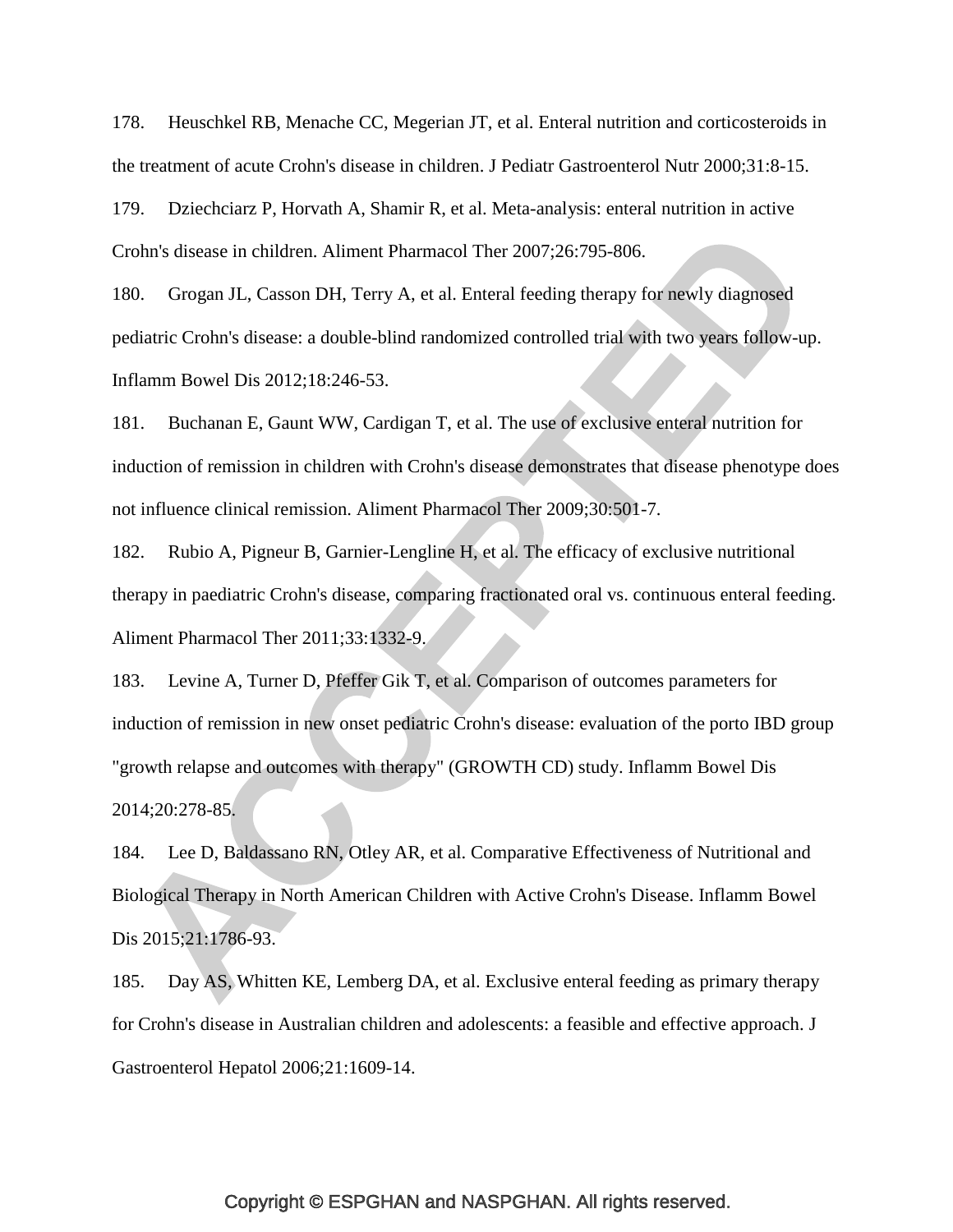<span id="page-49-0"></span>178. Heuschkel RB, Menache CC, Megerian JT, et al. Enteral nutrition and corticosteroids in the treatment of acute Crohn's disease in children. J Pediatr Gastroenterol Nutr 2000;31:8-15.

<span id="page-49-1"></span>179. Dziechciarz P, Horvath A, Shamir R, et al. Meta-analysis: enteral nutrition in active Crohn's disease in children. Aliment Pharmacol Ther 2007;26:795-806.

<span id="page-49-2"></span>180. Grogan JL, Casson DH, Terry A, et al. Enteral feeding therapy for newly diagnosed pediatric Crohn's disease: a double-blind randomized controlled trial with two years follow-up. Inflamm Bowel Dis 2012;18:246-53.

<span id="page-49-6"></span>181. Buchanan E, Gaunt WW, Cardigan T, et al. The use of exclusive enteral nutrition for induction of remission in children with Crohn's disease demonstrates that disease phenotype does not influence clinical remission. Aliment Pharmacol Ther 2009;30:501-7.

<span id="page-49-5"></span>182. Rubio A, Pigneur B, Garnier-Lengline H, et al. The efficacy of exclusive nutritional therapy in paediatric Crohn's disease, comparing fractionated oral vs. continuous enteral feeding. Aliment Pharmacol Ther 2011;33:1332-9.

183. Levine A, Turner D, Pfeffer Gik T, et al. Comparison of outcomes parameters for induction of remission in new onset pediatric Crohn's disease: evaluation of the porto IBD group "growth relapse and outcomes with therapy" (GROWTH CD) study. Inflamm Bowel Dis 2014;20:278-85.

<span id="page-49-3"></span>184. Lee D, Baldassano RN, Otley AR, et al. Comparative Effectiveness of Nutritional and Biological Therapy in North American Children with Active Crohn's Disease. Inflamm Bowel Dis 2015;21:1786-93.

<span id="page-49-4"></span>185. Day AS, Whitten KE, Lemberg DA, et al. Exclusive enteral feeding as primary therapy for Crohn's disease in Australian children and adolescents: a feasible and effective approach. J Gastroenterol Hepatol 2006;21:1609-14.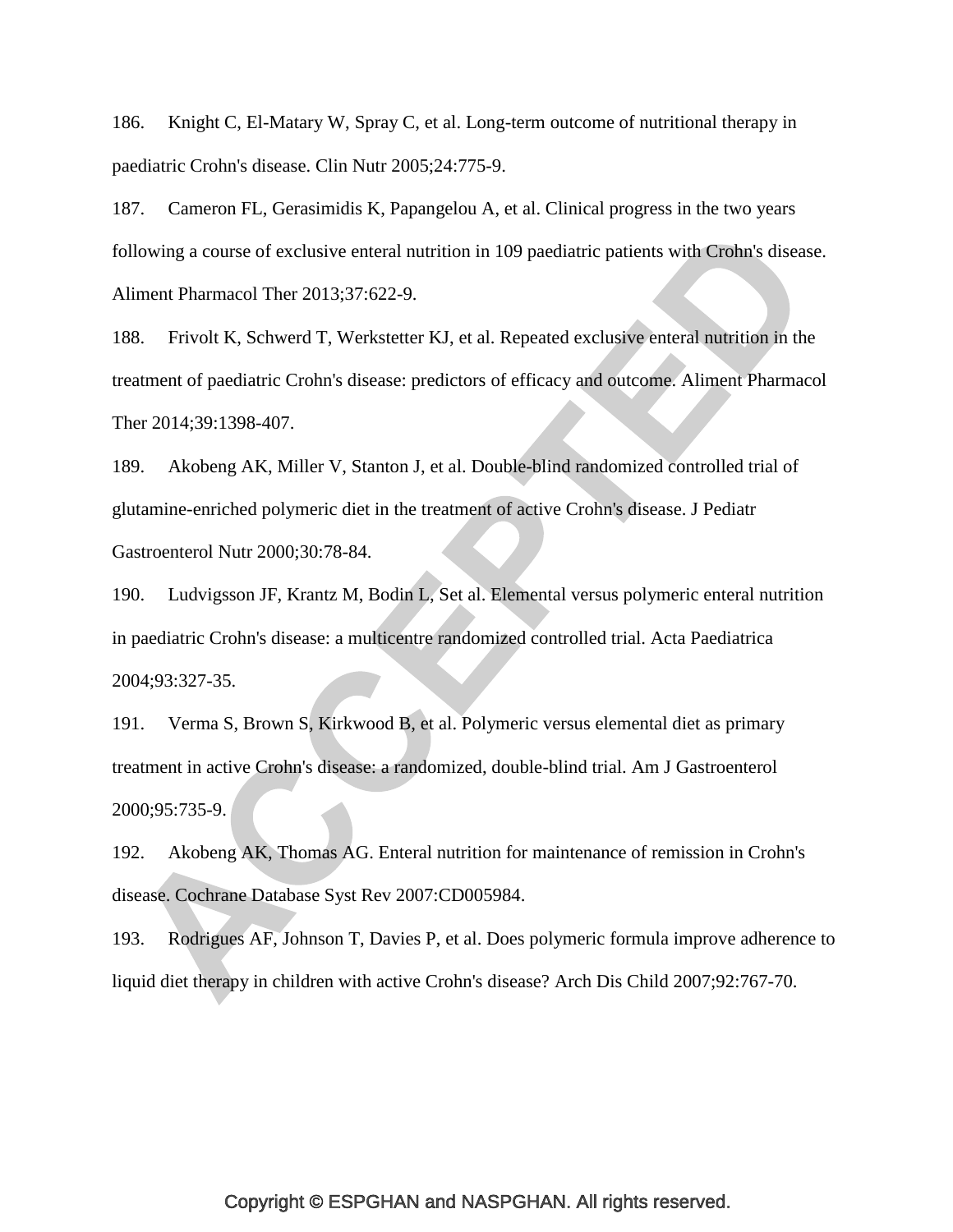<span id="page-50-4"></span>186. Knight C, El-Matary W, Spray C, et al. Long-term outcome of nutritional therapy in paediatric Crohn's disease. Clin Nutr 2005;24:775-9.

<span id="page-50-5"></span>187. Cameron FL, Gerasimidis K, Papangelou A, et al. Clinical progress in the two years following a course of exclusive enteral nutrition in 109 paediatric patients with Crohn's disease. Aliment Pharmacol Ther 2013;37:622-9.

<span id="page-50-0"></span>188. Frivolt K, Schwerd T, Werkstetter KJ, et al. Repeated exclusive enteral nutrition in the treatment of paediatric Crohn's disease: predictors of efficacy and outcome. Aliment Pharmacol Ther 2014;39:1398-407.

<span id="page-50-1"></span>189. Akobeng AK, Miller V, Stanton J, et al. Double-blind randomized controlled trial of glutamine-enriched polymeric diet in the treatment of active Crohn's disease. J Pediatr Gastroenterol Nutr 2000;30:78-84.

190. Ludvigsson JF, Krantz M, Bodin L, Set al. Elemental versus polymeric enteral nutrition in paediatric Crohn's disease: a multicentre randomized controlled trial. Acta Paediatrica 2004;93:327-35.

191. Verma S, Brown S, Kirkwood B, et al. Polymeric versus elemental diet as primary treatment in active Crohn's disease: a randomized, double-blind trial. Am J Gastroenterol 2000;95:735-9.

<span id="page-50-2"></span>192. Akobeng AK, Thomas AG. Enteral nutrition for maintenance of remission in Crohn's disease. Cochrane Database Syst Rev 2007:CD005984.

<span id="page-50-3"></span>193. Rodrigues AF, Johnson T, Davies P, et al. Does polymeric formula improve adherence to liquid diet therapy in children with active Crohn's disease? Arch Dis Child 2007;92:767-70.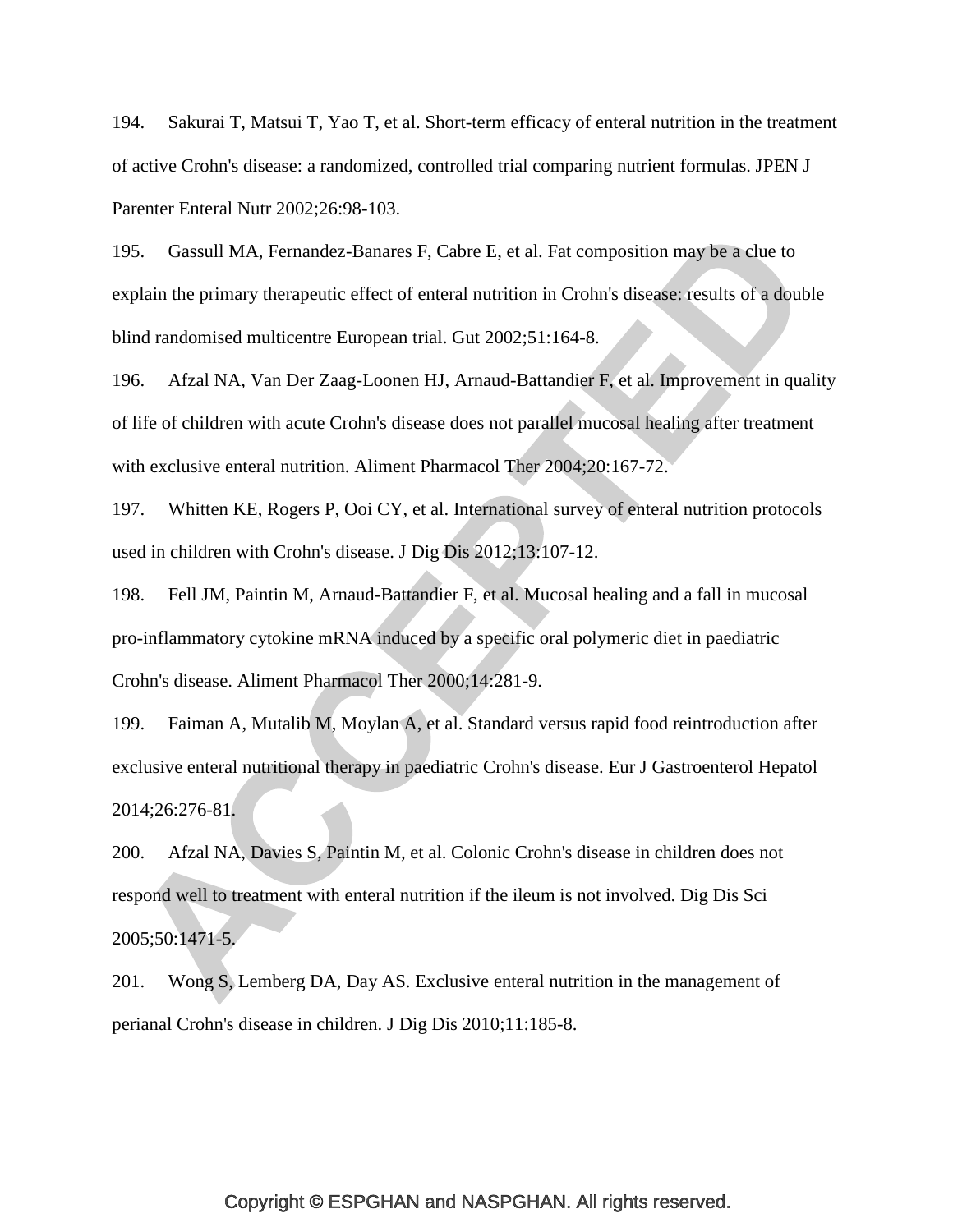<span id="page-51-0"></span>194. Sakurai T, Matsui T, Yao T, et al. Short-term efficacy of enteral nutrition in the treatment of active Crohn's disease: a randomized, controlled trial comparing nutrient formulas. JPEN J Parenter Enteral Nutr 2002;26:98-103.

<span id="page-51-1"></span>195. Gassull MA, Fernandez-Banares F, Cabre E, et al. Fat composition may be a clue to explain the primary therapeutic effect of enteral nutrition in Crohn's disease: results of a double blind randomised multicentre European trial. Gut 2002;51:164-8.

<span id="page-51-2"></span>196. Afzal NA, Van Der Zaag-Loonen HJ, Arnaud-Battandier F, et al. Improvement in quality of life of children with acute Crohn's disease does not parallel mucosal healing after treatment with exclusive enteral nutrition. Aliment Pharmacol Ther 2004;20:167-72.

<span id="page-51-3"></span>197. Whitten KE, Rogers P, Ooi CY, et al. International survey of enteral nutrition protocols used in children with Crohn's disease. J Dig Dis 2012;13:107-12.

<span id="page-51-4"></span>198. Fell JM, Paintin M, Arnaud-Battandier F, et al. Mucosal healing and a fall in mucosal pro-inflammatory cytokine mRNA induced by a specific oral polymeric diet in paediatric Crohn's disease. Aliment Pharmacol Ther 2000;14:281-9.

<span id="page-51-5"></span>199. Faiman A, Mutalib M, Moylan A, et al. Standard versus rapid food reintroduction after exclusive enteral nutritional therapy in paediatric Crohn's disease. Eur J Gastroenterol Hepatol 2014;26:276-81.

<span id="page-51-6"></span>200. Afzal NA, Davies S, Paintin M, et al. Colonic Crohn's disease in children does not respond well to treatment with enteral nutrition if the ileum is not involved. Dig Dis Sci 2005;50:1471-5.

<span id="page-51-7"></span>201. Wong S, Lemberg DA, Day AS. Exclusive enteral nutrition in the management of perianal Crohn's disease in children. J Dig Dis 2010;11:185-8.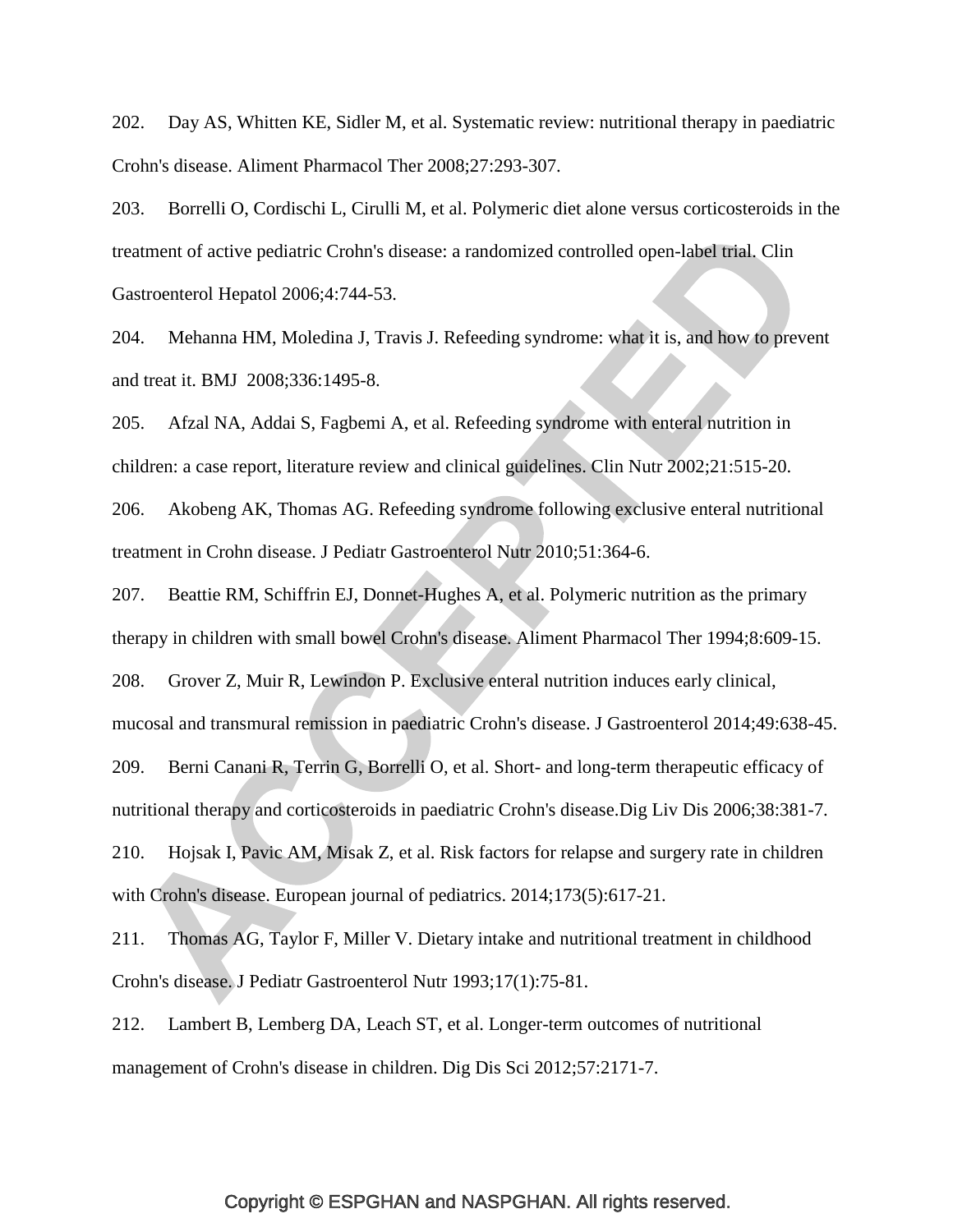<span id="page-52-0"></span>202. Day AS, Whitten KE, Sidler M, et al. Systematic review: nutritional therapy in paediatric Crohn's disease. Aliment Pharmacol Ther 2008;27:293-307.

<span id="page-52-1"></span>203. Borrelli O, Cordischi L, Cirulli M, et al. Polymeric diet alone versus corticosteroids in the treatment of active pediatric Crohn's disease: a randomized controlled open-label trial. Clin Gastroenterol Hepatol 2006;4:744-53.

<span id="page-52-2"></span>204. Mehanna HM, Moledina J, Travis J. Refeeding syndrome: what it is, and how to prevent and treat it. BMJ 2008;336:1495-8.

<span id="page-52-3"></span>205. Afzal NA, Addai S, Fagbemi A, et al. Refeeding syndrome with enteral nutrition in children: a case report, literature review and clinical guidelines. Clin Nutr 2002;21:515-20.

<span id="page-52-4"></span>206. Akobeng AK, Thomas AG. Refeeding syndrome following exclusive enteral nutritional treatment in Crohn disease. J Pediatr Gastroenterol Nutr 2010;51:364-6.

<span id="page-52-5"></span>207. Beattie RM, Schiffrin EJ, Donnet-Hughes A, et al. Polymeric nutrition as the primary therapy in children with small bowel Crohn's disease. Aliment Pharmacol Ther 1994;8:609-15.

<span id="page-52-7"></span>208. Grover Z, Muir R, Lewindon P. Exclusive enteral nutrition induces early clinical,

mucosal and transmural remission in paediatric Crohn's disease. J Gastroenterol 2014;49:638-45.

<span id="page-52-6"></span>209. Berni Canani R, Terrin G, Borrelli O, et al. Short- and long-term therapeutic efficacy of

nutritional therapy and corticosteroids in paediatric Crohn's disease.Dig Liv Dis 2006;38:381-7.

<span id="page-52-8"></span>210. Hojsak I, Pavic AM, Misak Z, et al. Risk factors for relapse and surgery rate in children with Crohn's disease. European journal of pediatrics. 2014;173(5):617-21.

<span id="page-52-10"></span>211. Thomas AG, Taylor F, Miller V. Dietary intake and nutritional treatment in childhood Crohn's disease. J Pediatr Gastroenterol Nutr 1993;17(1):75-81.

<span id="page-52-9"></span>212. Lambert B, Lemberg DA, Leach ST, et al. Longer-term outcomes of nutritional management of Crohn's disease in children. Dig Dis Sci 2012;57:2171-7.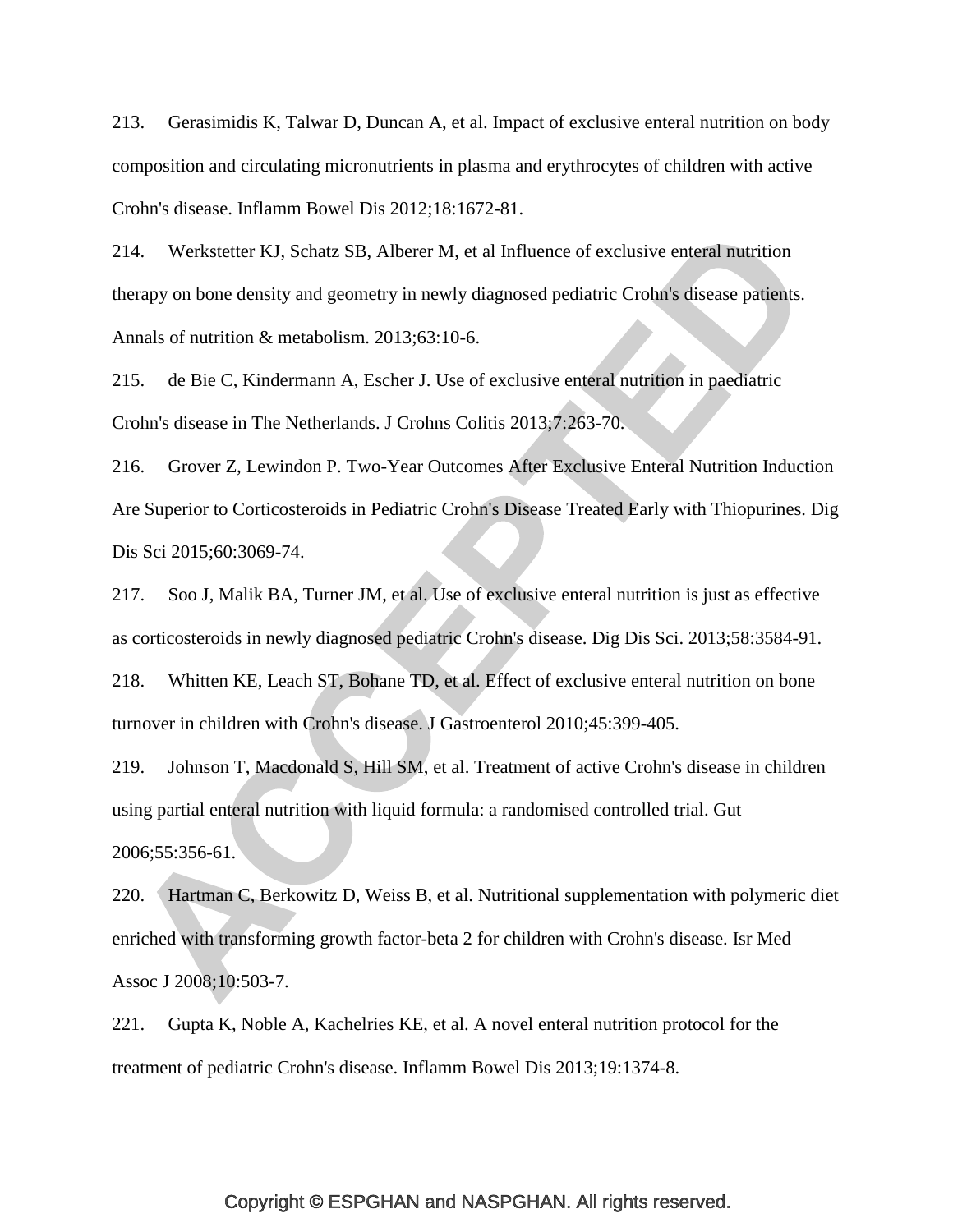<span id="page-53-0"></span>213. Gerasimidis K, Talwar D, Duncan A, et al. Impact of exclusive enteral nutrition on body composition and circulating micronutrients in plasma and erythrocytes of children with active Crohn's disease. Inflamm Bowel Dis 2012;18:1672-81.

<span id="page-53-1"></span>214. Werkstetter KJ, Schatz SB, Alberer M, et al Influence of exclusive enteral nutrition therapy on bone density and geometry in newly diagnosed pediatric Crohn's disease patients. Annals of nutrition & metabolism. 2013;63:10-6.

<span id="page-53-2"></span>215. de Bie C, Kindermann A, Escher J. Use of exclusive enteral nutrition in paediatric Crohn's disease in The Netherlands. J Crohns Colitis 2013;7:263-70.

<span id="page-53-3"></span>216. Grover Z, Lewindon P. Two-Year Outcomes After Exclusive Enteral Nutrition Induction Are Superior to Corticosteroids in Pediatric Crohn's Disease Treated Early with Thiopurines. Dig Dis Sci 2015;60:3069-74.

<span id="page-53-4"></span>217. Soo J, Malik BA, Turner JM, et al. Use of exclusive enteral nutrition is just as effective as corticosteroids in newly diagnosed pediatric Crohn's disease. Dig Dis Sci. 2013;58:3584-91.

<span id="page-53-5"></span>218. Whitten KE, Leach ST, Bohane TD, et al. Effect of exclusive enteral nutrition on bone turnover in children with Crohn's disease. J Gastroenterol 2010;45:399-405.

<span id="page-53-6"></span>219. Johnson T, Macdonald S, Hill SM, et al. Treatment of active Crohn's disease in children using partial enteral nutrition with liquid formula: a randomised controlled trial. Gut 2006;55:356-61.

<span id="page-53-7"></span>220. Hartman C, Berkowitz D, Weiss B, et al. Nutritional supplementation with polymeric diet enriched with transforming growth factor-beta 2 for children with Crohn's disease. Isr Med Assoc J 2008;10:503-7.

<span id="page-53-8"></span>221. Gupta K, Noble A, Kachelries KE, et al. A novel enteral nutrition protocol for the treatment of pediatric Crohn's disease. Inflamm Bowel Dis 2013;19:1374-8.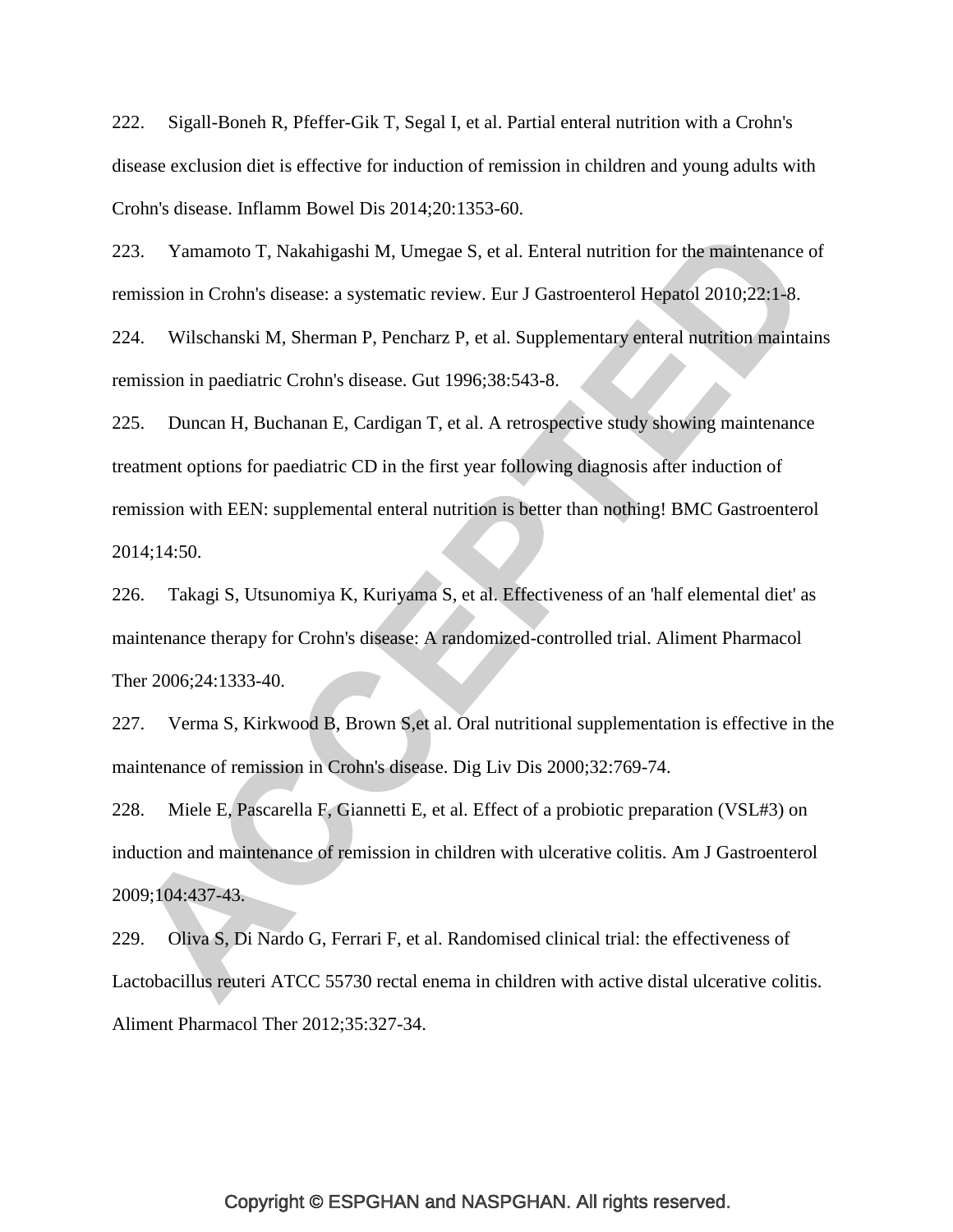<span id="page-54-0"></span>222. Sigall-Boneh R, Pfeffer-Gik T, Segal I, et al. Partial enteral nutrition with a Crohn's disease exclusion diet is effective for induction of remission in children and young adults with Crohn's disease. Inflamm Bowel Dis 2014;20:1353-60.

<span id="page-54-1"></span>223. Yamamoto T, Nakahigashi M, Umegae S, et al. Enteral nutrition for the maintenance of remission in Crohn's disease: a systematic review. Eur J Gastroenterol Hepatol 2010;22:1-8.

<span id="page-54-2"></span>224. Wilschanski M, Sherman P, Pencharz P, et al. Supplementary enteral nutrition maintains remission in paediatric Crohn's disease. Gut 1996;38:543-8.

<span id="page-54-3"></span>225. Duncan H, Buchanan E, Cardigan T, et al. A retrospective study showing maintenance treatment options for paediatric CD in the first year following diagnosis after induction of remission with EEN: supplemental enteral nutrition is better than nothing! BMC Gastroenterol 2014;14:50.

<span id="page-54-4"></span>226. Takagi S, Utsunomiya K, Kuriyama S, et al. Effectiveness of an 'half elemental diet' as maintenance therapy for Crohn's disease: A randomized-controlled trial. Aliment Pharmacol Ther 2006;24:1333-40.

<span id="page-54-5"></span>227. Verma S, Kirkwood B, Brown S,et al. Oral nutritional supplementation is effective in the maintenance of remission in Crohn's disease. Dig Liv Dis 2000;32:769-74.

<span id="page-54-6"></span>228. Miele E, Pascarella F, Giannetti E, et al. Effect of a probiotic preparation (VSL#3) on induction and maintenance of remission in children with ulcerative colitis. Am J Gastroenterol 2009;104:437-43.

<span id="page-54-7"></span>229. Oliva S, Di Nardo G, Ferrari F, et al. Randomised clinical trial: the effectiveness of Lactobacillus reuteri ATCC 55730 rectal enema in children with active distal ulcerative colitis. Aliment Pharmacol Ther 2012;35:327-34.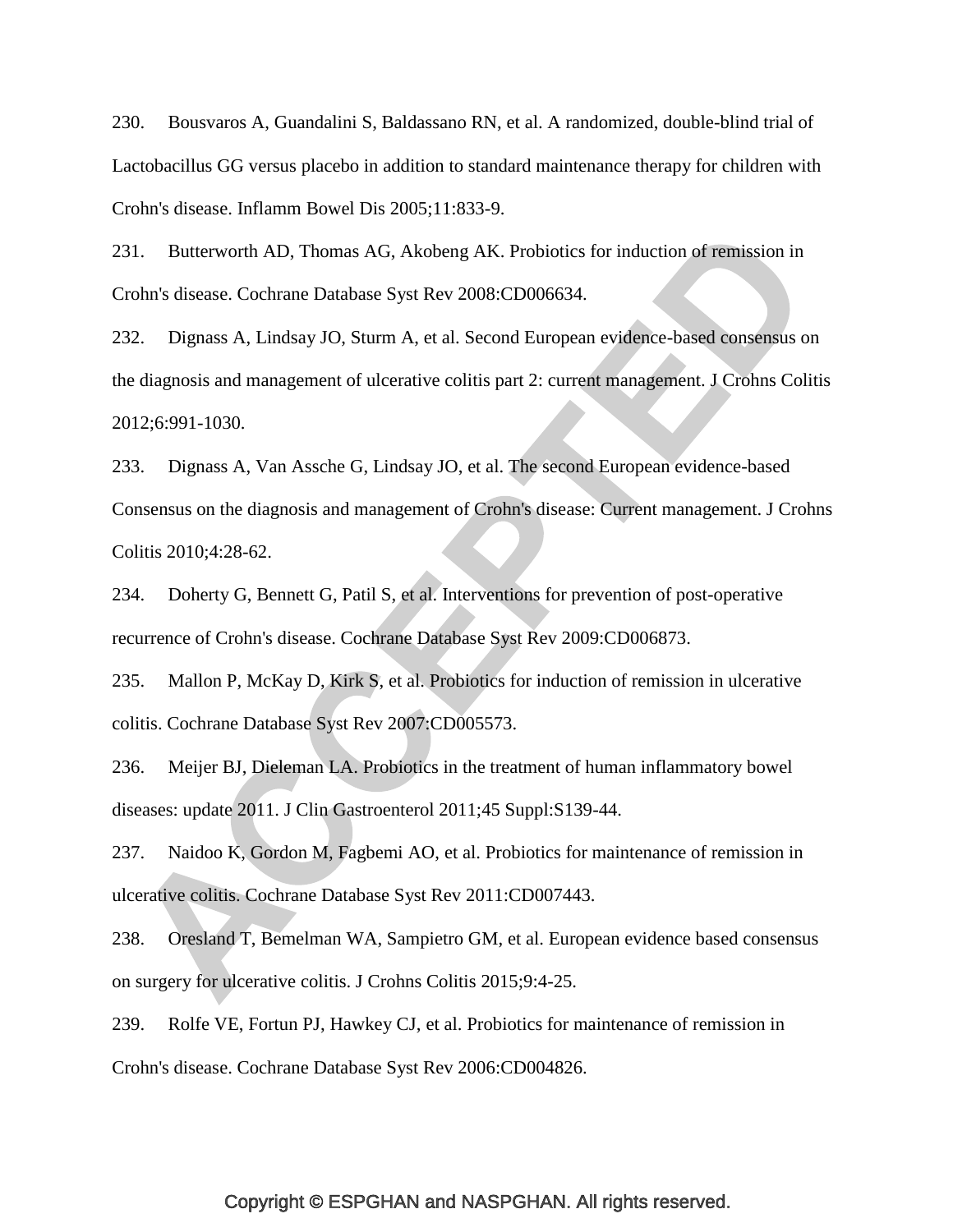<span id="page-55-0"></span>230. Bousvaros A, Guandalini S, Baldassano RN, et al. A randomized, double-blind trial of Lactobacillus GG versus placebo in addition to standard maintenance therapy for children with Crohn's disease. Inflamm Bowel Dis 2005;11:833-9.

<span id="page-55-1"></span>231. Butterworth AD, Thomas AG, Akobeng AK. Probiotics for induction of remission in Crohn's disease. Cochrane Database Syst Rev 2008:CD006634.

<span id="page-55-2"></span>232. Dignass A, Lindsay JO, Sturm A, et al. Second European evidence-based consensus on the diagnosis and management of ulcerative colitis part 2: current management. J Crohns Colitis 2012;6:991-1030.

<span id="page-55-7"></span>233. Dignass A, Van Assche G, Lindsay JO, et al. The second European evidence-based Consensus on the diagnosis and management of Crohn's disease: Current management. J Crohns Colitis 2010;4:28-62.

234. Doherty G, Bennett G, Patil S, et al. Interventions for prevention of post-operative recurrence of Crohn's disease. Cochrane Database Syst Rev 2009:CD006873.

<span id="page-55-3"></span>235. Mallon P, McKay D, Kirk S, et al. Probiotics for induction of remission in ulcerative colitis. Cochrane Database Syst Rev 2007:CD005573.

<span id="page-55-4"></span>236. Meijer BJ, Dieleman LA. Probiotics in the treatment of human inflammatory bowel diseases: update 2011. J Clin Gastroenterol 2011;45 Suppl:S139-44.

<span id="page-55-5"></span>237. Naidoo K, Gordon M, Fagbemi AO, et al. Probiotics for maintenance of remission in ulcerative colitis. Cochrane Database Syst Rev 2011:CD007443.

<span id="page-55-6"></span>238. Oresland T, Bemelman WA, Sampietro GM, et al. European evidence based consensus on surgery for ulcerative colitis. J Crohns Colitis 2015;9:4-25.

<span id="page-55-8"></span>239. Rolfe VE, Fortun PJ, Hawkey CJ, et al. Probiotics for maintenance of remission in Crohn's disease. Cochrane Database Syst Rev 2006:CD004826.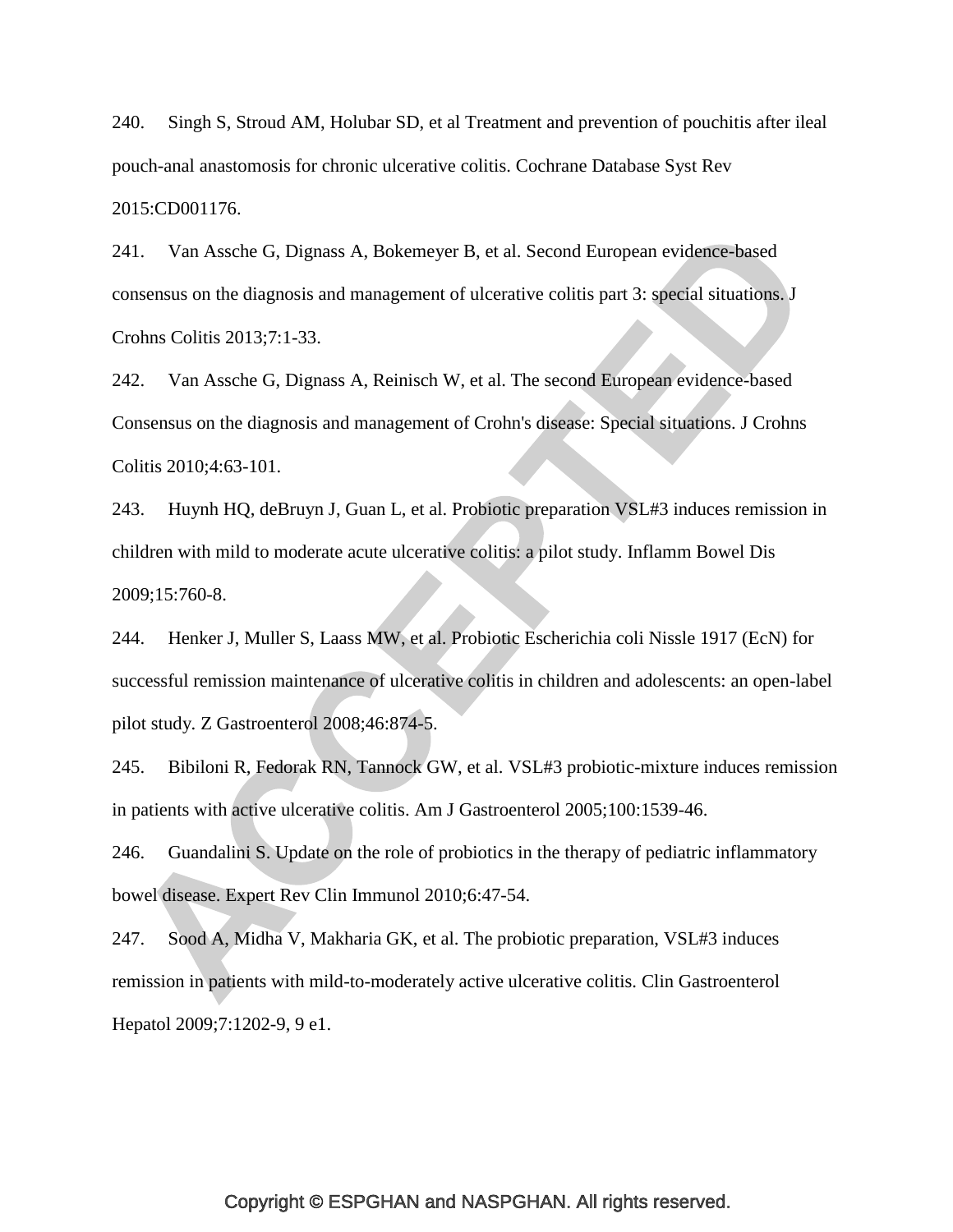<span id="page-56-3"></span>240. Singh S, Stroud AM, Holubar SD, et al Treatment and prevention of pouchitis after ileal pouch-anal anastomosis for chronic ulcerative colitis. Cochrane Database Syst Rev 2015:CD001176.

<span id="page-56-4"></span>241. Van Assche G, Dignass A, Bokemeyer B, et al. Second European evidence-based consensus on the diagnosis and management of ulcerative colitis part 3: special situations. J Crohns Colitis 2013;7:1-33.

242. Van Assche G, Dignass A, Reinisch W, et al. The second European evidence-based Consensus on the diagnosis and management of Crohn's disease: Special situations. J Crohns Colitis 2010;4:63-101.

<span id="page-56-0"></span>243. Huynh HQ, deBruyn J, Guan L, et al. Probiotic preparation VSL#3 induces remission in children with mild to moderate acute ulcerative colitis: a pilot study. Inflamm Bowel Dis 2009;15:760-8.

<span id="page-56-1"></span>244. Henker J, Muller S, Laass MW, et al. Probiotic Escherichia coli Nissle 1917 (EcN) for successful remission maintenance of ulcerative colitis in children and adolescents: an open-label pilot study. Z Gastroenterol 2008;46:874-5.

<span id="page-56-2"></span>245. Bibiloni R, Fedorak RN, Tannock GW, et al. VSL#3 probiotic-mixture induces remission in patients with active ulcerative colitis. Am J Gastroenterol 2005;100:1539-46.

246. Guandalini S. Update on the role of probiotics in the therapy of pediatric inflammatory bowel disease. Expert Rev Clin Immunol 2010;6:47-54.

247. Sood A, Midha V, Makharia GK, et al. The probiotic preparation, VSL#3 induces remission in patients with mild-to-moderately active ulcerative colitis. Clin Gastroenterol Hepatol 2009;7:1202-9, 9 e1.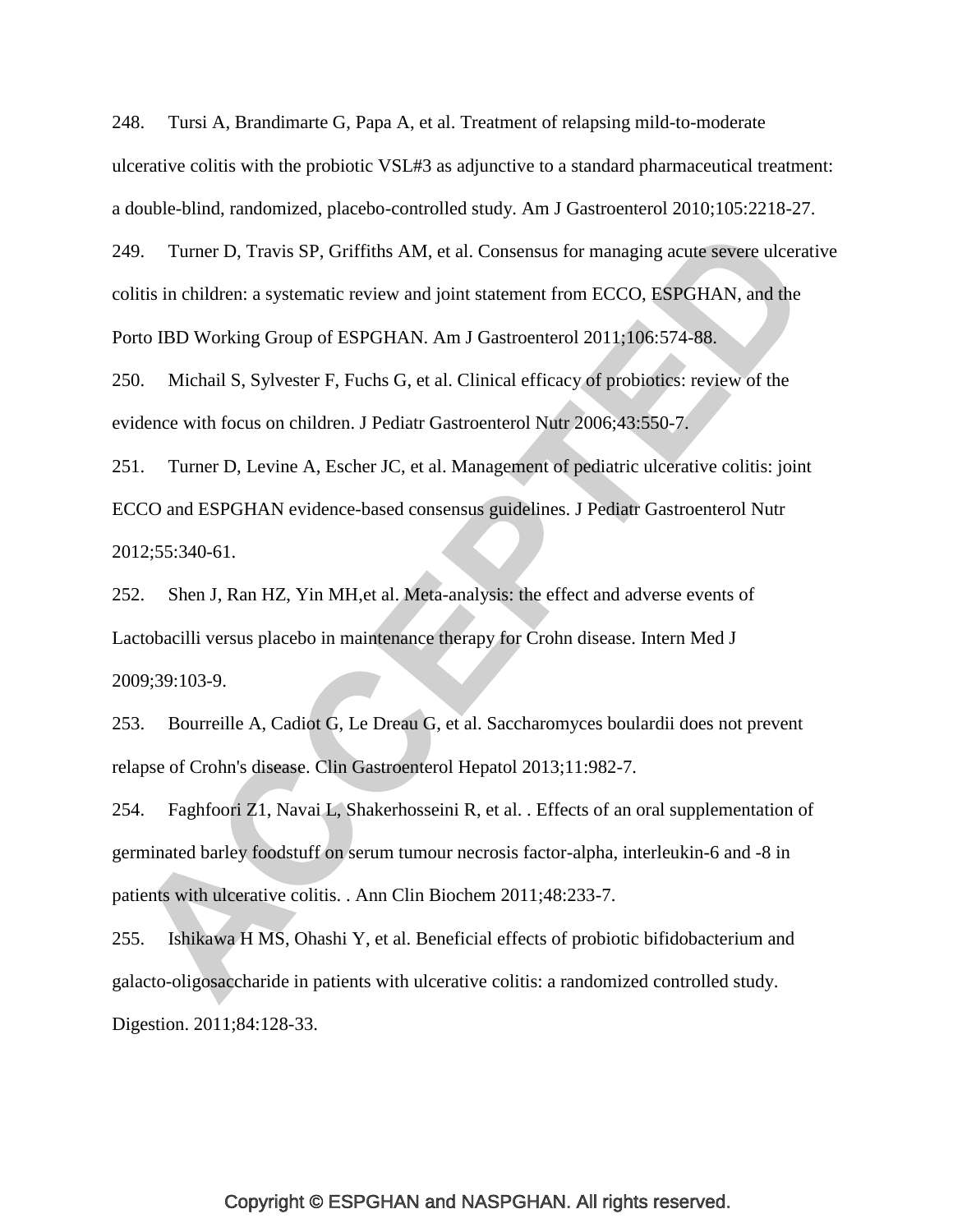248. Tursi A, Brandimarte G, Papa A, et al. Treatment of relapsing mild-to-moderate ulcerative colitis with the probiotic VSL#3 as adjunctive to a standard pharmaceutical treatment: a double-blind, randomized, placebo-controlled study. Am J Gastroenterol 2010;105:2218-27.

<span id="page-57-0"></span>249. Turner D, Travis SP, Griffiths AM, et al. Consensus for managing acute severe ulcerative colitis in children: a systematic review and joint statement from ECCO, ESPGHAN, and the Porto IBD Working Group of ESPGHAN. Am J Gastroenterol 2011;106:574-88.

<span id="page-57-1"></span>250. Michail S, Sylvester F, Fuchs G, et al. Clinical efficacy of probiotics: review of the evidence with focus on children. J Pediatr Gastroenterol Nutr 2006;43:550-7.

<span id="page-57-2"></span>251. Turner D, Levine A, Escher JC, et al. Management of pediatric ulcerative colitis: joint ECCO and ESPGHAN evidence-based consensus guidelines. J Pediatr Gastroenterol Nutr 2012;55:340-61.

<span id="page-57-3"></span>252. Shen J, Ran HZ, Yin MH,et al. Meta-analysis: the effect and adverse events of Lactobacilli versus placebo in maintenance therapy for Crohn disease. Intern Med J 2009;39:103-9.

<span id="page-57-4"></span>253. Bourreille A, Cadiot G, Le Dreau G, et al. Saccharomyces boulardii does not prevent relapse of Crohn's disease. Clin Gastroenterol Hepatol 2013;11:982-7.

<span id="page-57-5"></span>254. Faghfoori Z1, Navai L, Shakerhosseini R, et al. . Effects of an oral supplementation of germinated barley foodstuff on serum tumour necrosis factor-alpha, interleukin-6 and -8 in patients with ulcerative colitis. . Ann Clin Biochem 2011;48:233-7.

<span id="page-57-6"></span>255. Ishikawa H MS, Ohashi Y, et al. Beneficial effects of probiotic bifidobacterium and galacto-oligosaccharide in patients with ulcerative colitis: a randomized controlled study. Digestion. 2011;84:128-33.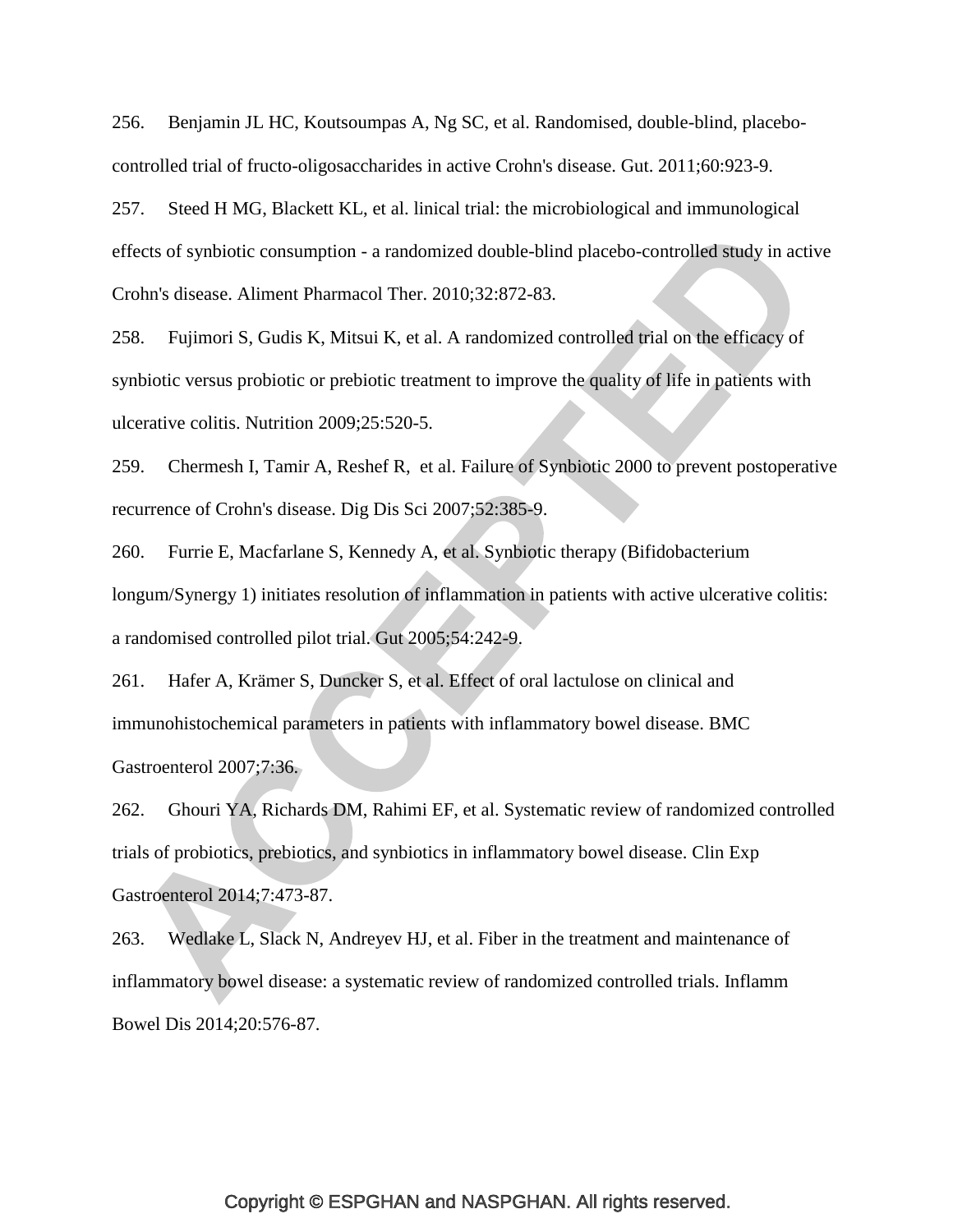256. Benjamin JL HC, Koutsoumpas A, Ng SC, et al. Randomised, double-blind, placebocontrolled trial of fructo-oligosaccharides in active Crohn's disease. Gut. 2011;60:923-9.

257. Steed H MG, Blackett KL, et al. linical trial: the microbiological and immunological effects of synbiotic consumption - a randomized double-blind placebo-controlled study in active Crohn's disease. Aliment Pharmacol Ther. 2010;32:872-83.

258. Fujimori S, Gudis K, Mitsui K, et al. A randomized controlled trial on the efficacy of synbiotic versus probiotic or prebiotic treatment to improve the quality of life in patients with ulcerative colitis. Nutrition 2009;25:520-5.

259. Chermesh I, Tamir A, Reshef R, et al. Failure of Synbiotic 2000 to prevent postoperative recurrence of Crohn's disease. Dig Dis Sci 2007;52:385-9.

260. Furrie E, Macfarlane S, Kennedy A, et al. Synbiotic therapy (Bifidobacterium longum/Synergy 1) initiates resolution of inflammation in patients with active ulcerative colitis: a randomised controlled pilot trial. Gut 2005;54:242-9.

261. Hafer A, Krämer S, Duncker S, et al. Effect of oral lactulose on clinical and immunohistochemical parameters in patients with inflammatory bowel disease. BMC Gastroenterol 2007;7:36.

<span id="page-58-0"></span>262. Ghouri YA, Richards DM, Rahimi EF, et al. Systematic review of randomized controlled trials of probiotics, prebiotics, and synbiotics in inflammatory bowel disease. Clin Exp Gastroenterol 2014;7:473-87.

<span id="page-58-1"></span>263. Wedlake L, Slack N, Andreyev HJ, et al. Fiber in the treatment and maintenance of inflammatory bowel disease: a systematic review of randomized controlled trials. Inflamm Bowel Dis 2014;20:576-87.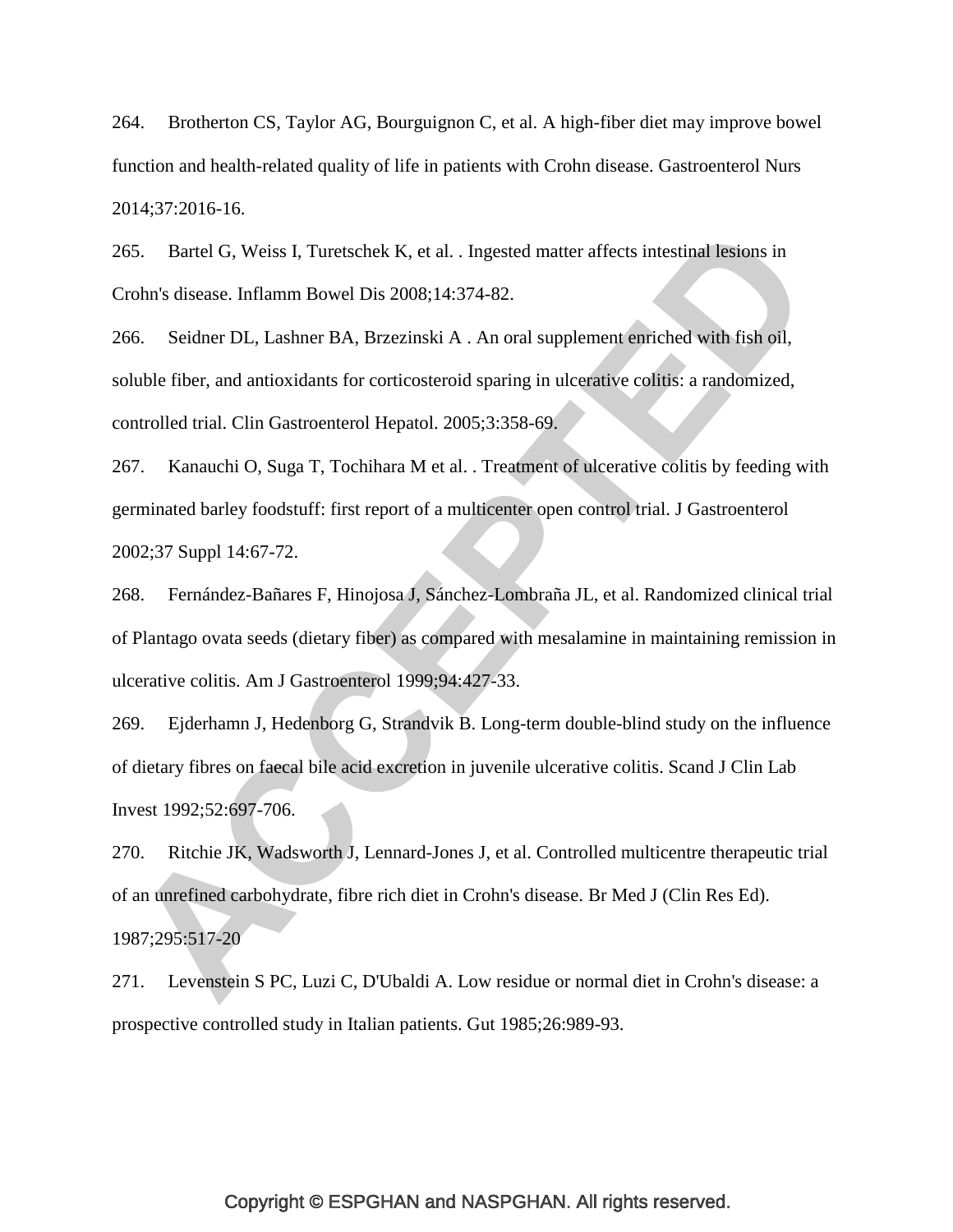<span id="page-59-0"></span>264. Brotherton CS, Taylor AG, Bourguignon C, et al. A high-fiber diet may improve bowel function and health-related quality of life in patients with Crohn disease. Gastroenterol Nurs 2014;37:2016-16.

<span id="page-59-1"></span>265. Bartel G, Weiss I, Turetschek K, et al. . Ingested matter affects intestinal lesions in Crohn's disease. Inflamm Bowel Dis 2008;14:374-82.

266. Seidner DL, Lashner BA, Brzezinski A . An oral supplement enriched with fish oil, soluble fiber, and antioxidants for corticosteroid sparing in ulcerative colitis: a randomized, controlled trial. Clin Gastroenterol Hepatol. 2005;3:358-69.

267. Kanauchi O, Suga T, Tochihara M et al. . Treatment of ulcerative colitis by feeding with germinated barley foodstuff: first report of a multicenter open control trial. J Gastroenterol 2002;37 Suppl 14:67-72.

268. Fernández-Bañares F, Hinojosa J, Sánchez-Lombraña JL, et al. Randomized clinical trial of Plantago ovata seeds (dietary fiber) as compared with mesalamine in maintaining remission in ulcerative colitis. Am J Gastroenterol 1999;94:427-33.

269. Ejderhamn J, Hedenborg G, Strandvik B. Long-term double-blind study on the influence of dietary fibres on faecal bile acid excretion in juvenile ulcerative colitis. Scand J Clin Lab Invest 1992;52:697-706.

<span id="page-59-2"></span>270. Ritchie JK, Wadsworth J, Lennard-Jones J, et al. Controlled multicentre therapeutic trial of an unrefined carbohydrate, fibre rich diet in Crohn's disease. Br Med J (Clin Res Ed). 1987;295:517-20

271. Levenstein S PC, Luzi C, D'Ubaldi A. Low residue or normal diet in Crohn's disease: a prospective controlled study in Italian patients. Gut 1985;26:989-93.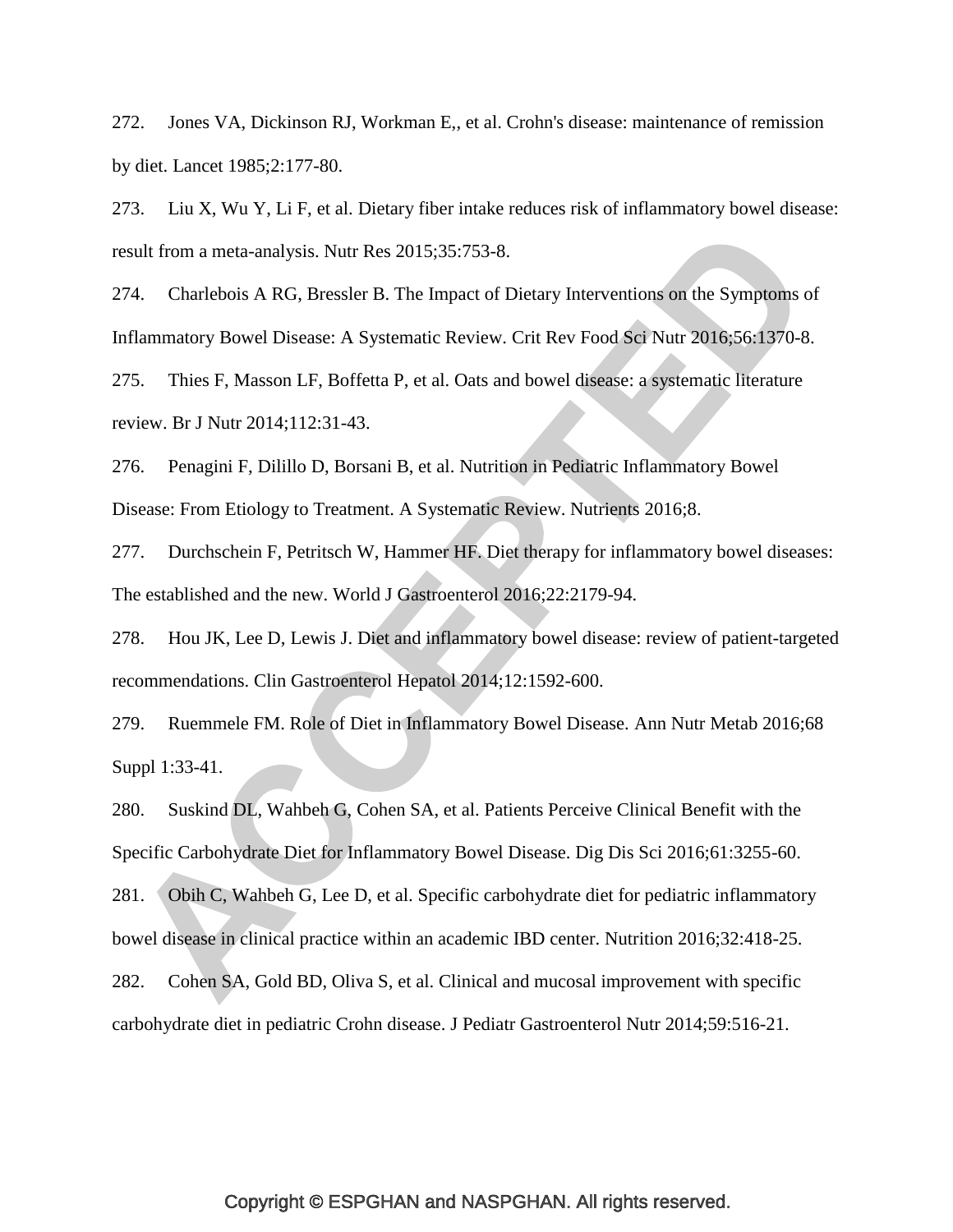272. Jones VA, Dickinson RJ, Workman E,, et al. Crohn's disease: maintenance of remission by diet. Lancet 1985;2:177-80.

273. Liu X, Wu Y, Li F, et al. Dietary fiber intake reduces risk of inflammatory bowel disease: result from a meta-analysis. Nutr Res 2015;35:753-8.

<span id="page-60-0"></span>274. Charlebois A RG, Bressler B. The Impact of Dietary Interventions on the Symptoms of Inflammatory Bowel Disease: A Systematic Review. Crit Rev Food Sci Nutr 2016;56:1370-8.

275. Thies F, Masson LF, Boffetta P, et al. Oats and bowel disease: a systematic literature review. Br J Nutr 2014;112:31-43.

<span id="page-60-1"></span>276. Penagini F, Dilillo D, Borsani B, et al. Nutrition in Pediatric Inflammatory Bowel Disease: From Etiology to Treatment. A Systematic Review. Nutrients 2016;8.

277. Durchschein F, Petritsch W, Hammer HF. Diet therapy for inflammatory bowel diseases: The established and the new. World J Gastroenterol 2016;22:2179-94.

<span id="page-60-5"></span>278. Hou JK, Lee D, Lewis J. Diet and inflammatory bowel disease: review of patient-targeted recommendations. Clin Gastroenterol Hepatol 2014;12:1592-600.

279. Ruemmele FM. Role of Diet in Inflammatory Bowel Disease. Ann Nutr Metab 2016;68 Suppl 1:33-41.

<span id="page-60-2"></span>280. Suskind DL, Wahbeh G, Cohen SA, et al. Patients Perceive Clinical Benefit with the Specific Carbohydrate Diet for Inflammatory Bowel Disease. Dig Dis Sci 2016;61:3255-60.

<span id="page-60-3"></span>281. Obih C, Wahbeh G, Lee D, et al. Specific carbohydrate diet for pediatric inflammatory bowel disease in clinical practice within an academic IBD center. Nutrition 2016;32:418-25.

<span id="page-60-4"></span>282. Cohen SA, Gold BD, Oliva S, et al. Clinical and mucosal improvement with specific carbohydrate diet in pediatric Crohn disease. J Pediatr Gastroenterol Nutr 2014;59:516-21.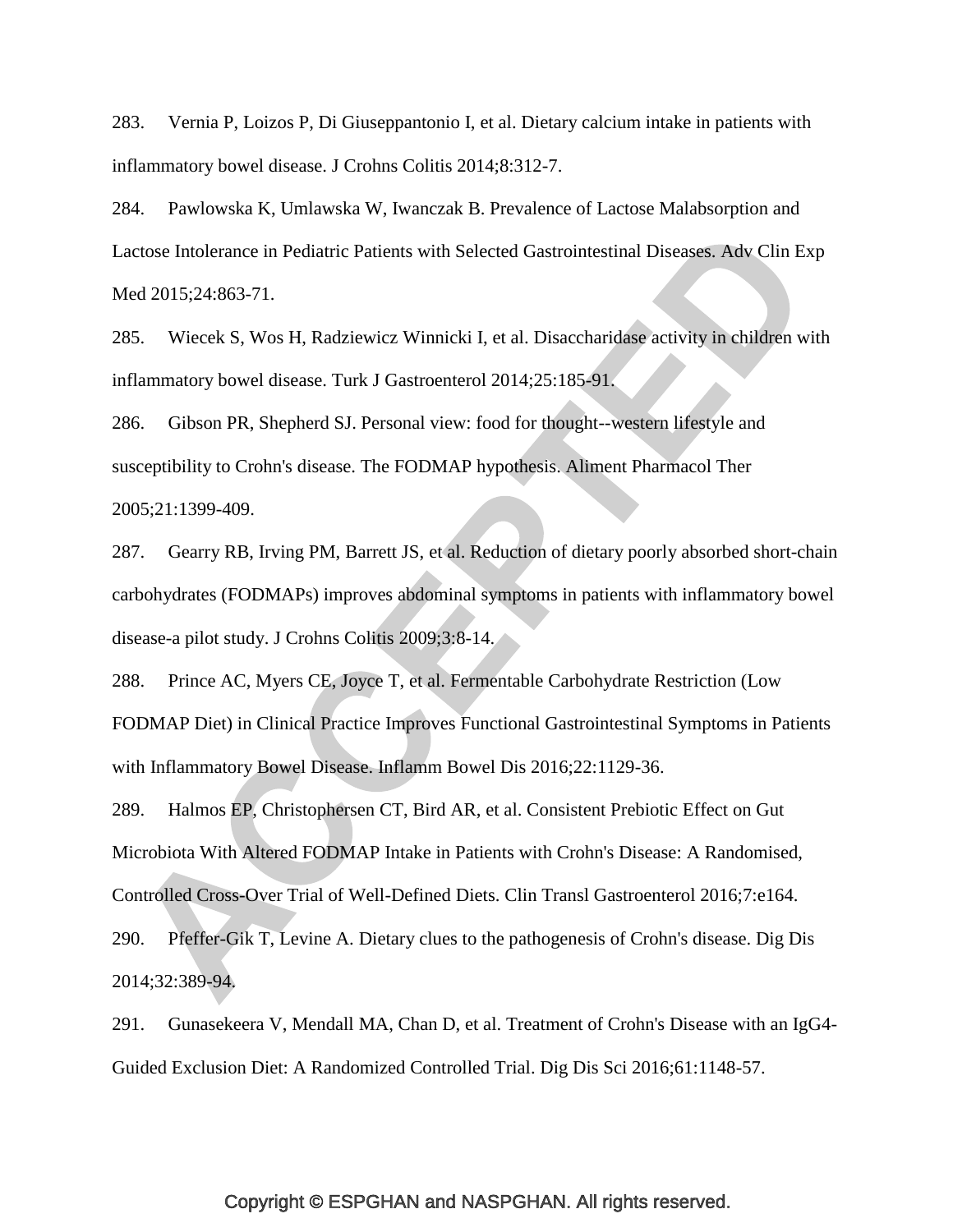<span id="page-61-0"></span>283. Vernia P, Loizos P, Di Giuseppantonio I, et al. Dietary calcium intake in patients with inflammatory bowel disease. J Crohns Colitis 2014;8:312-7.

<span id="page-61-1"></span>284. Pawlowska K, Umlawska W, Iwanczak B. Prevalence of Lactose Malabsorption and Lactose Intolerance in Pediatric Patients with Selected Gastrointestinal Diseases. Adv Clin Exp Med 2015;24:863-71.

<span id="page-61-2"></span>285. Wiecek S, Wos H, Radziewicz Winnicki I, et al. Disaccharidase activity in children with inflammatory bowel disease. Turk J Gastroenterol 2014;25:185-91.

<span id="page-61-3"></span>286. Gibson PR, Shepherd SJ. Personal view: food for thought--western lifestyle and susceptibility to Crohn's disease. The FODMAP hypothesis. Aliment Pharmacol Ther 2005;21:1399-409.

<span id="page-61-4"></span>287. Gearry RB, Irving PM, Barrett JS, et al. Reduction of dietary poorly absorbed short-chain carbohydrates (FODMAPs) improves abdominal symptoms in patients with inflammatory bowel disease-a pilot study. J Crohns Colitis 2009;3:8-14.

<span id="page-61-5"></span>288. Prince AC, Myers CE, Joyce T, et al. Fermentable Carbohydrate Restriction (Low FODMAP Diet) in Clinical Practice Improves Functional Gastrointestinal Symptoms in Patients with Inflammatory Bowel Disease. Inflamm Bowel Dis 2016;22:1129-36.

<span id="page-61-6"></span>289. Halmos EP, Christophersen CT, Bird AR, et al. Consistent Prebiotic Effect on Gut Microbiota With Altered FODMAP Intake in Patients with Crohn's Disease: A Randomised, Controlled Cross-Over Trial of Well-Defined Diets. Clin Transl Gastroenterol 2016;7:e164.

<span id="page-61-7"></span>290. Pfeffer-Gik T, Levine A. Dietary clues to the pathogenesis of Crohn's disease. Dig Dis 2014;32:389-94.

<span id="page-61-8"></span>291. Gunasekeera V, Mendall MA, Chan D, et al. Treatment of Crohn's Disease with an IgG4- Guided Exclusion Diet: A Randomized Controlled Trial. Dig Dis Sci 2016;61:1148-57.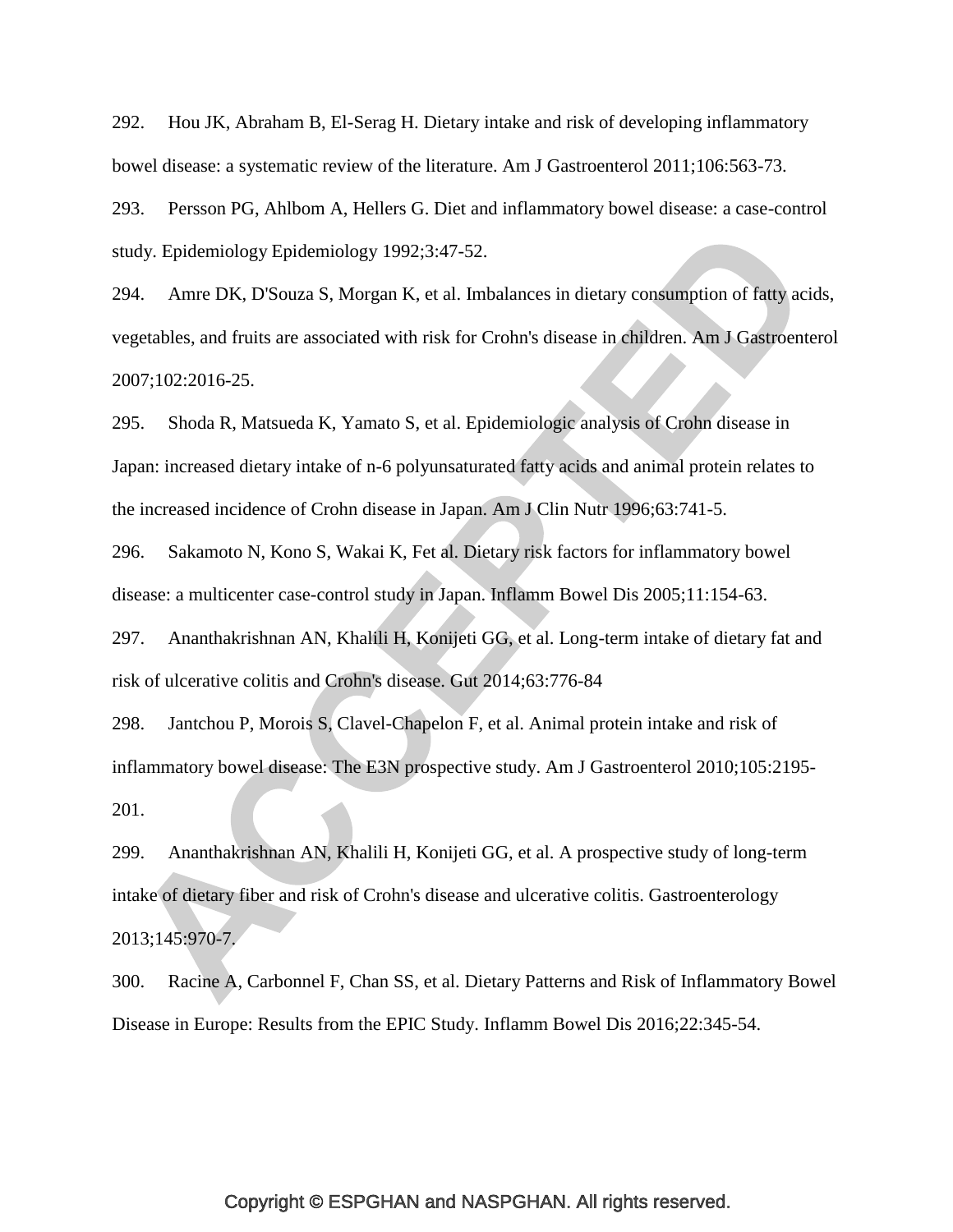<span id="page-62-0"></span>292. Hou JK, Abraham B, El-Serag H. Dietary intake and risk of developing inflammatory bowel disease: a systematic review of the literature. Am J Gastroenterol 2011;106:563-73.

<span id="page-62-2"></span><span id="page-62-1"></span>293. Persson PG, Ahlbom A, Hellers G. Diet and inflammatory bowel disease: a case-control study. Epidemiology Epidemiology 1992;3:47-52.

294. Amre DK, D'Souza S, Morgan K, et al. Imbalances in dietary consumption of fatty acids, vegetables, and fruits are associated with risk for Crohn's disease in children. Am J Gastroenterol 2007;102:2016-25.

<span id="page-62-3"></span>295. Shoda R, Matsueda K, Yamato S, et al. Epidemiologic analysis of Crohn disease in Japan: increased dietary intake of n-6 polyunsaturated fatty acids and animal protein relates to the increased incidence of Crohn disease in Japan. Am J Clin Nutr 1996;63:741-5.

<span id="page-62-4"></span>296. Sakamoto N, Kono S, Wakai K, Fet al. Dietary risk factors for inflammatory bowel disease: a multicenter case-control study in Japan. Inflamm Bowel Dis 2005;11:154-63.

<span id="page-62-5"></span>297. Ananthakrishnan AN, Khalili H, Konijeti GG, et al. Long-term intake of dietary fat and risk of ulcerative colitis and Crohn's disease. Gut 2014;63:776-84

<span id="page-62-6"></span>298. Jantchou P, Morois S, Clavel-Chapelon F, et al. Animal protein intake and risk of inflammatory bowel disease: The E3N prospective study. Am J Gastroenterol 2010;105:2195- 201.

<span id="page-62-7"></span>299. Ananthakrishnan AN, Khalili H, Konijeti GG, et al. A prospective study of long-term intake of dietary fiber and risk of Crohn's disease and ulcerative colitis. Gastroenterology 2013;145:970-7.

<span id="page-62-8"></span>300. Racine A, Carbonnel F, Chan SS, et al. Dietary Patterns and Risk of Inflammatory Bowel Disease in Europe: Results from the EPIC Study. Inflamm Bowel Dis 2016;22:345-54.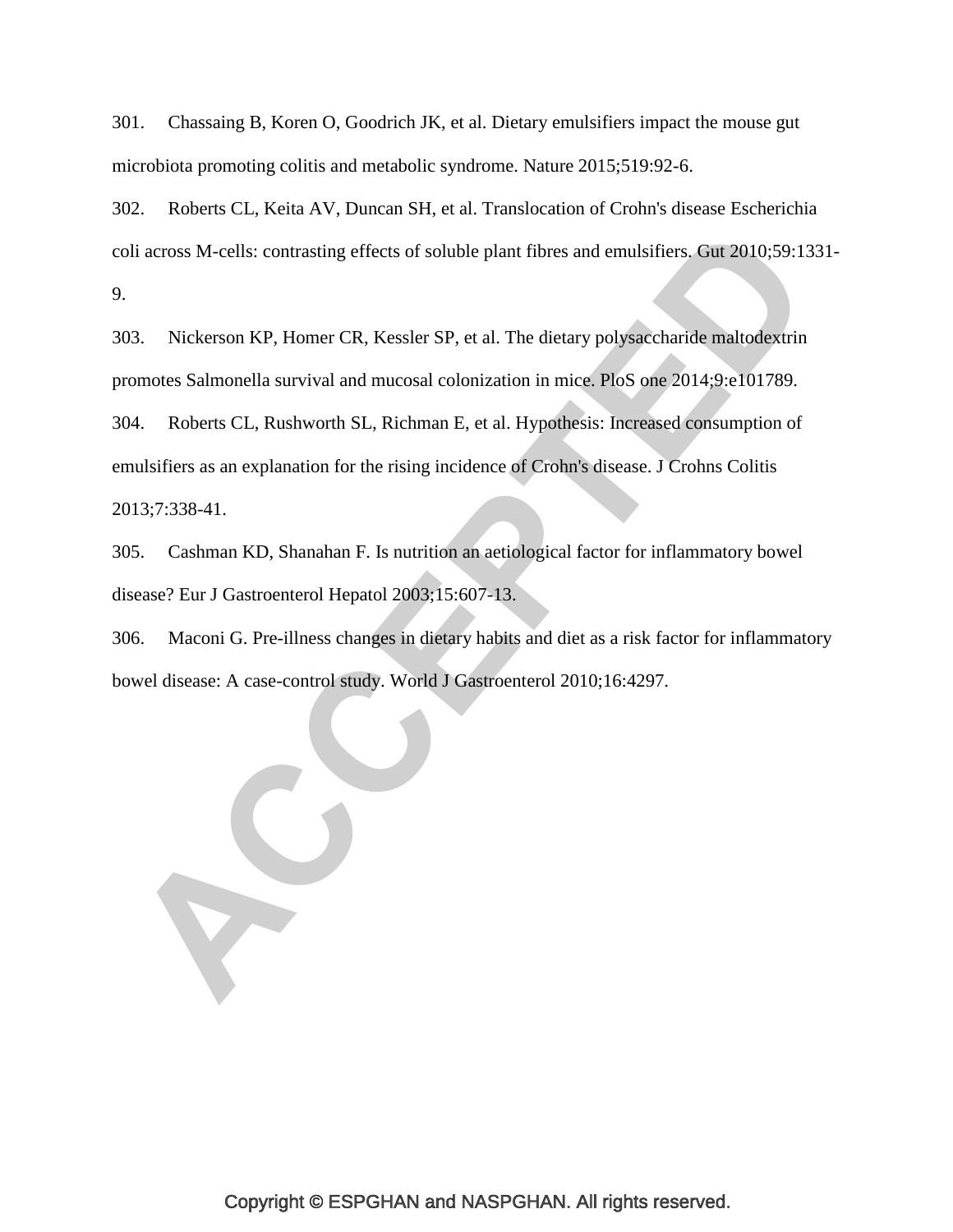<span id="page-63-0"></span>301. Chassaing B, Koren O, Goodrich JK, et al. Dietary emulsifiers impact the mouse gut microbiota promoting colitis and metabolic syndrome. Nature 2015;519:92-6.

<span id="page-63-1"></span>302. Roberts CL, Keita AV, Duncan SH, et al. Translocation of Crohn's disease Escherichia coli across M-cells: contrasting effects of soluble plant fibres and emulsifiers. Gut 2010;59:1331- 9.

<span id="page-63-3"></span><span id="page-63-2"></span>303. Nickerson KP, Homer CR, Kessler SP, et al. The dietary polysaccharide maltodextrin promotes Salmonella survival and mucosal colonization in mice. PloS one 2014;9:e101789. 304. Roberts CL, Rushworth SL, Richman E, et al. Hypothesis: Increased consumption of emulsifiers as an explanation for the rising incidence of Crohn's disease. J Crohns Colitis 2013;7:338-41.

<span id="page-63-4"></span>305. Cashman KD, Shanahan F. Is nutrition an aetiological factor for inflammatory bowel disease? Eur J Gastroenterol Hepatol 2003;15:607-13.

<span id="page-63-5"></span>306. Maconi G. Pre-illness changes in dietary habits and diet as a risk factor for inflammatory bowel disease: A case-control study. World J Gastroenterol 2010;16:4297.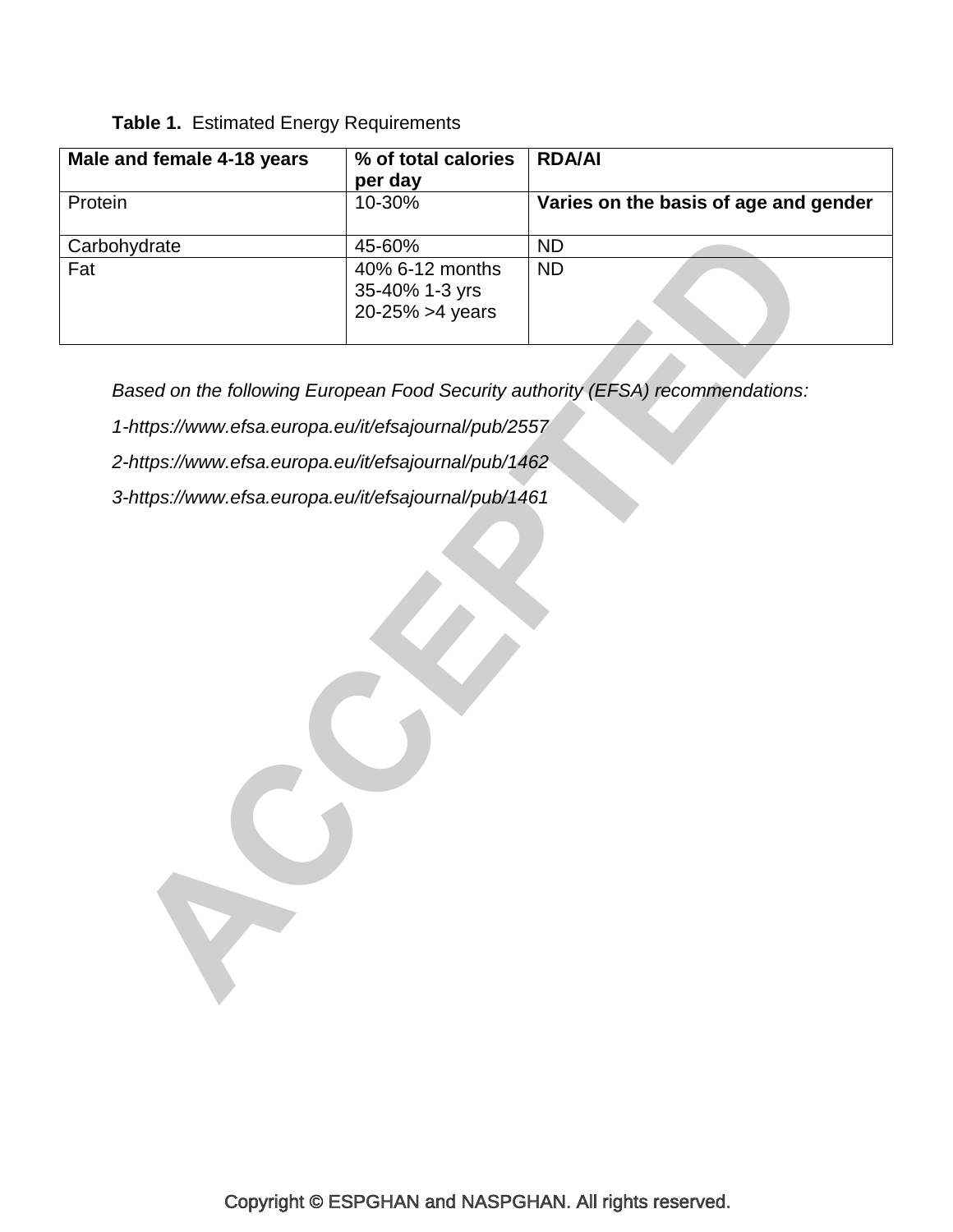# **Table 1.** Estimated Energy Requirements

| Male and female 4-18 years | % of total calories<br>per day                        | <b>RDA/AI</b>                         |
|----------------------------|-------------------------------------------------------|---------------------------------------|
| Protein                    | 10-30%                                                | Varies on the basis of age and gender |
| Carbohydrate               | 45-60%                                                | <b>ND</b>                             |
| Fat                        | 40% 6-12 months<br>35-40% 1-3 yrs<br>20-25% > 4 years | <b>ND</b>                             |

*Based on the following European Food Security authority (EFSA) recommendations:*

- *1-https://www.efsa.europa.eu/it/efsajournal/pub/2557*
- *2-https://www.efsa.europa.eu/it/efsajournal/pub/1462*
- *3-https://www.efsa.europa.eu/it/efsajournal/pub/1461*